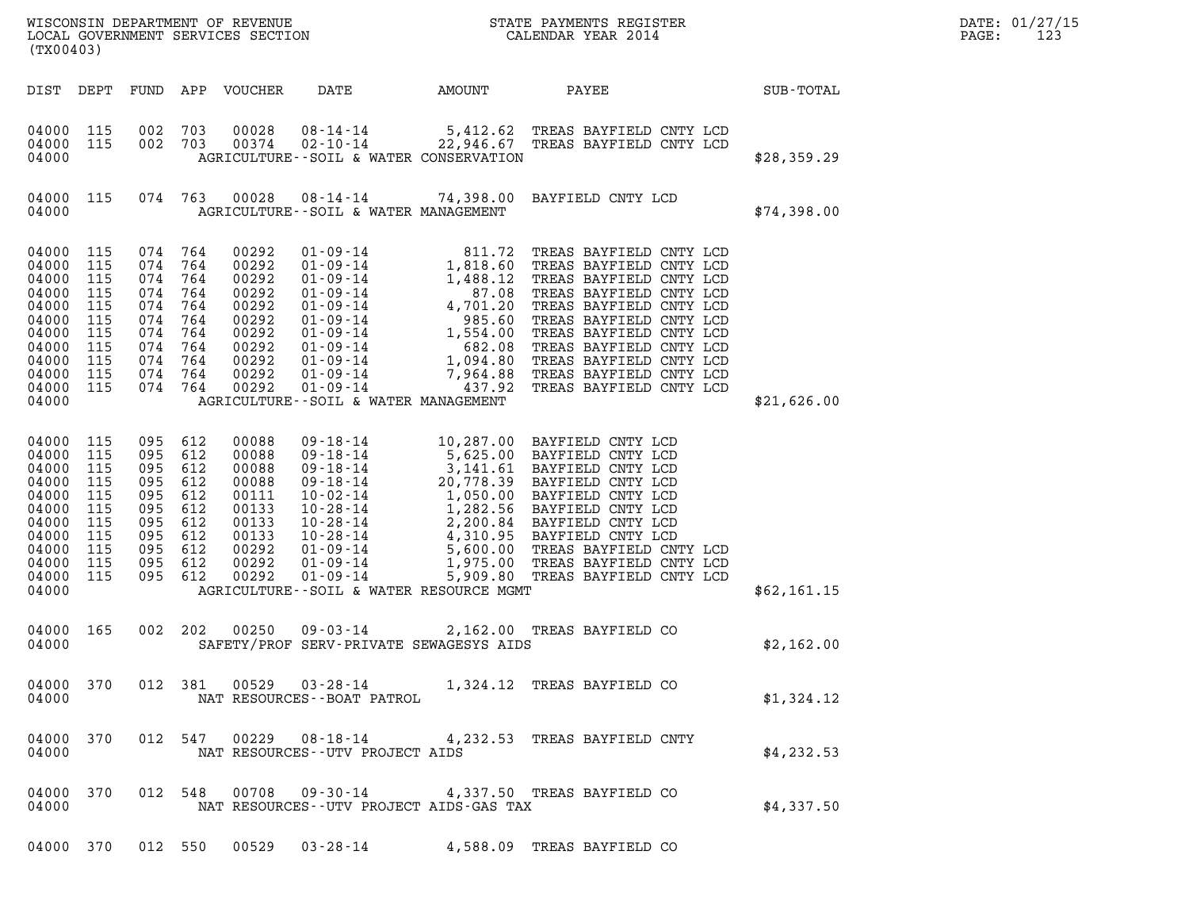| (TX00403)                                                                                                        |                                                                    |                                                                                                   |                                               |                                                                                                 |                                                           |               |                                                                                                                                                                                                                                                        |             | DATE: 01/27/15<br>PAGE:<br>123 |
|------------------------------------------------------------------------------------------------------------------|--------------------------------------------------------------------|---------------------------------------------------------------------------------------------------|-----------------------------------------------|-------------------------------------------------------------------------------------------------|-----------------------------------------------------------|---------------|--------------------------------------------------------------------------------------------------------------------------------------------------------------------------------------------------------------------------------------------------------|-------------|--------------------------------|
|                                                                                                                  |                                                                    |                                                                                                   |                                               | DIST DEPT FUND APP VOUCHER                                                                      | DATE                                                      | <b>AMOUNT</b> | <b>PAYEE</b> FOR THE PAYEE                                                                                                                                                                                                                             | SUB-TOTAL   |                                |
| 04000 115<br>04000 115<br>04000                                                                                  |                                                                    | 002 703<br>002 703                                                                                |                                               | 00028<br>00374                                                                                  | AGRICULTURE--SOIL & WATER CONSERVATION                    |               | 08-14-14 5,412.62 TREAS BAYFIELD CNTY LCD<br>02-10-14 22,946.67 TREAS BAYFIELD CNTY LCD                                                                                                                                                                | \$28,359.29 |                                |
| 04000 115<br>04000                                                                                               |                                                                    |                                                                                                   | 074 763                                       | 00028                                                                                           | AGRICULTURE--SOIL & WATER MANAGEMENT                      |               | 08-14-14 74,398.00 BAYFIELD CNTY LCD                                                                                                                                                                                                                   | \$74,398.00 |                                |
| 04000<br>04000<br>04000<br>04000<br>04000<br>04000<br>04000<br>04000<br>04000<br>04000<br>04000 115<br>04000     | 115<br>115<br>115<br>115<br>115<br>115<br>115<br>115<br>115<br>115 | 074<br>074 764<br>074<br>074<br>074<br>074<br>074<br>074 764<br>074<br>074 764<br>074 764         | 764<br>764<br>764<br>764<br>764<br>764<br>764 | 00292<br>00292<br>00292<br>00292<br>00292<br>00292<br>00292<br>00292<br>00292<br>00292<br>00292 | AGRICULTURE -- SOIL & WATER MANAGEMENT                    |               |                                                                                                                                                                                                                                                        | \$21,626.00 |                                |
| 04000 115<br>04000<br>04000<br>04000<br>04000<br>04000<br>04000<br>04000<br>04000<br>04000<br>04000 115<br>04000 | 115<br>115<br>115<br>115<br>115<br>115<br>115<br>115<br>115        | 095 612<br>095 612<br>095<br>095<br>095<br>095 612<br>095<br>095 612<br>095<br>095 612<br>095 612 | 612<br>612<br>612<br>612<br>612               | 00088<br>00088<br>00088<br>00088<br>00111<br>00133<br>00133<br>00133<br>00292<br>00292<br>00292 | AGRICULTURE--SOIL & WATER RESOURCE MGMT                   |               | 09-18-14<br>09-18-14<br>5,625.00 BAYFIELD CNTY LCD<br>09-18-14<br>3,141.61 BAYFIELD CNTY LCD<br>09-18-14<br>20,778.39 BAYFIELD CNTY LCD<br>10-02-14<br>1,050.00 BAYFIELD CNTY LCD<br>10-28-14<br>2,200.84 BAYFIELD CNTY LCD<br>10-28-14<br>2,200.84 BA | \$62,161.15 |                                |
| 04000 165<br>04000                                                                                               |                                                                    | 002 202                                                                                           |                                               | 00250                                                                                           | $09 - 03 - 14$<br>SAFETY/PROF SERV-PRIVATE SEWAGESYS AIDS |               | 2,162.00 TREAS BAYFIELD CO                                                                                                                                                                                                                             | \$2,162.00  |                                |
| 04000                                                                                                            | 04000 370                                                          |                                                                                                   |                                               |                                                                                                 | NAT RESOURCES - - BOAT PATROL                             |               | 012 381 00529 03-28-14 1,324.12 TREAS BAYFIELD CO                                                                                                                                                                                                      | \$1,324.12  |                                |
| 04000                                                                                                            | 04000 370                                                          |                                                                                                   |                                               |                                                                                                 | NAT RESOURCES - - UTV PROJECT AIDS                        |               | 012 547 00229 08-18-14 4,232.53 TREAS BAYFIELD CNTY                                                                                                                                                                                                    | \$4,232.53  |                                |
| 04000                                                                                                            | 04000 370                                                          |                                                                                                   |                                               |                                                                                                 | NAT RESOURCES--UTV PROJECT AIDS-GAS TAX                   |               | 012 548 00708 09-30-14 4,337.50 TREAS BAYFIELD CO                                                                                                                                                                                                      | \$4,337.50  |                                |

04000 370 012 550 00529 03-28-14 4,588.09 TREAS BAYFIELD CO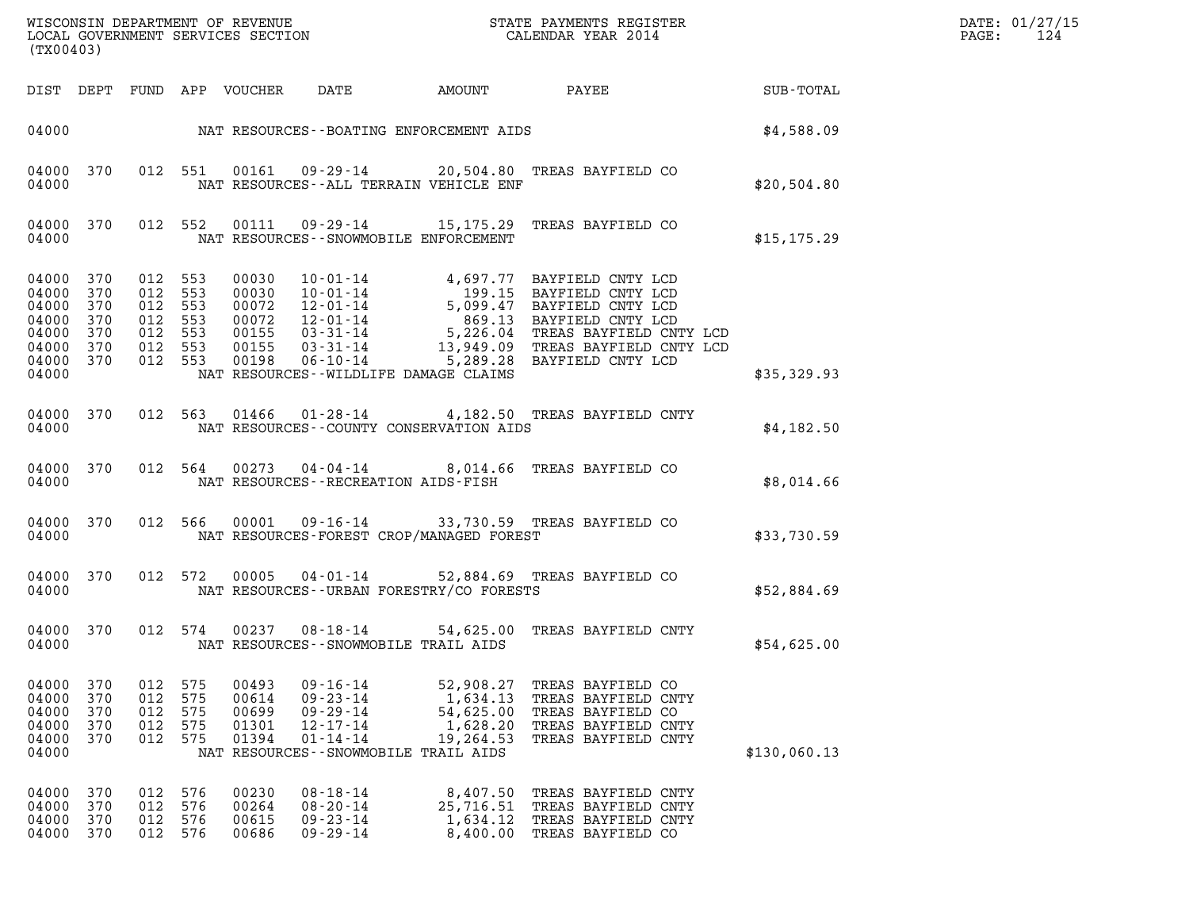| (TX00403)                                                                                                                                                                                                                                                                                                                                                                                                                                                                                                                                   | DATE: 01/27/15<br>$\mathtt{PAGE:}$<br>124 |
|---------------------------------------------------------------------------------------------------------------------------------------------------------------------------------------------------------------------------------------------------------------------------------------------------------------------------------------------------------------------------------------------------------------------------------------------------------------------------------------------------------------------------------------------|-------------------------------------------|
| AMOUNT PAYEE SUB-TOTAL<br>DIST DEPT FUND APP VOUCHER DATE                                                                                                                                                                                                                                                                                                                                                                                                                                                                                   |                                           |
| 04000 NAT RESOURCES--BOATING ENFORCEMENT AIDS \$4,588.09                                                                                                                                                                                                                                                                                                                                                                                                                                                                                    |                                           |
| 012 551 00161 09-29-14 20,504.80 TREAS BAYFIELD CO<br>370<br>04000<br>04000<br>NAT RESOURCES--ALL TERRAIN VEHICLE ENF<br>\$20,504.80                                                                                                                                                                                                                                                                                                                                                                                                        |                                           |
| 012 552 00111 09-29-14 15,175.29 TREAS BAYFIELD CO<br>04000<br>370<br>04000<br>NAT RESOURCES--SNOWMOBILE ENFORCEMENT<br>\$15, 175.29                                                                                                                                                                                                                                                                                                                                                                                                        |                                           |
| 00030 10-01-14 4,697.77 BAYFIELD CNTY LCD<br>00030 10-01-14 199.15 BAYFIELD CNTY LCD<br>00072 12-01-14 5,099.47 BAYFIELD CNTY LCD<br>00072 12-01-14 869.13 BAYFIELD CNTY LCD<br>00155 03-31-14 5,226.04 TREAS BAYFIELD CNTY LCD<br>00155 03-3<br>04000<br>370<br>012 553<br>012 553<br>04000<br>370<br>04000<br>370<br>012 553<br>012 553<br>04000<br>370<br>04000<br>370<br>012 553<br>04000 370<br>012 553<br>012 553<br>04000 370<br>04000<br>NAT RESOURCES - WILDLIFE DAMAGE CLAIMS<br>\$35,329.93                                      |                                           |
| 012 563 01466 01-28-14 4,182.50 TREAS BAYFIELD CNTY<br>04000 370<br>\$4,182.50<br>04000<br>NAT RESOURCES--COUNTY CONSERVATION AIDS                                                                                                                                                                                                                                                                                                                                                                                                          |                                           |
| 012 564 00273 04-04-14 8,014.66 TREAS BAYFIELD CO<br>04000 370<br>04000<br>NAT RESOURCES -- RECREATION AIDS-FISH<br>\$8,014.66                                                                                                                                                                                                                                                                                                                                                                                                              |                                           |
| 012 566 00001 09-16-14 33,730.59 TREAS BAYFIELD CO<br>04000<br>370<br>NAT RESOURCES-FOREST CROP/MANAGED FOREST<br>\$33,730.59<br>04000                                                                                                                                                                                                                                                                                                                                                                                                      |                                           |
| 012 572 00005 04-01-14 52,884.69 TREAS BAYFIELD CO<br>04000 370<br>\$52,884.69<br>NAT RESOURCES--URBAN FORESTRY/CO FORESTS<br>04000                                                                                                                                                                                                                                                                                                                                                                                                         |                                           |
| 012 574 00237 08-18-14 54,625.00 TREAS BAYFIELD CNTY<br>04000 370<br>04000<br>NAT RESOURCES - - SNOWMOBILE TRAIL AIDS<br>\$54,625.00                                                                                                                                                                                                                                                                                                                                                                                                        |                                           |
| 575<br>$09 - 16 - 14$<br>04000<br>370<br>012<br>00493<br>52,908.27<br>TREAS BAYFIELD CO<br>575<br>04000<br>370<br>012<br>00614<br>$09 - 23 - 14$<br>1,634.13<br>TREAS BAYFIELD CNTY<br>04000<br>370<br>012<br>575<br>00699<br>$09 - 29 - 14$<br>54,625.00<br>TREAS BAYFIELD CO<br>04000<br>370<br>012<br>575<br>01301<br>$12 - 17 - 14$<br>1,628.20<br>TREAS BAYFIELD CNTY<br>04000<br>370<br>012<br>575<br>01394<br>$01 - 14 - 14$<br>19,264.53<br>TREAS BAYFIELD CNTY<br>04000<br>NAT RESOURCES - - SNOWMOBILE TRAIL AIDS<br>\$130,060.13 |                                           |
| 04000<br>012<br>576<br>00230<br>$08 - 18 - 14$<br>8,407.50<br>TREAS BAYFIELD CNTY<br>370<br>576<br>04000<br>370<br>012<br>00264<br>$08 - 20 - 14$<br>25,716.51<br>TREAS BAYFIELD CNTY<br>04000<br>370<br>012<br>576<br>00615<br>$09 - 23 - 14$<br>1,634.12<br>TREAS BAYFIELD CNTY<br>04000<br>370<br>012<br>576<br>00686<br>$09 - 29 - 14$<br>8,400.00<br>TREAS BAYFIELD CO                                                                                                                                                                 |                                           |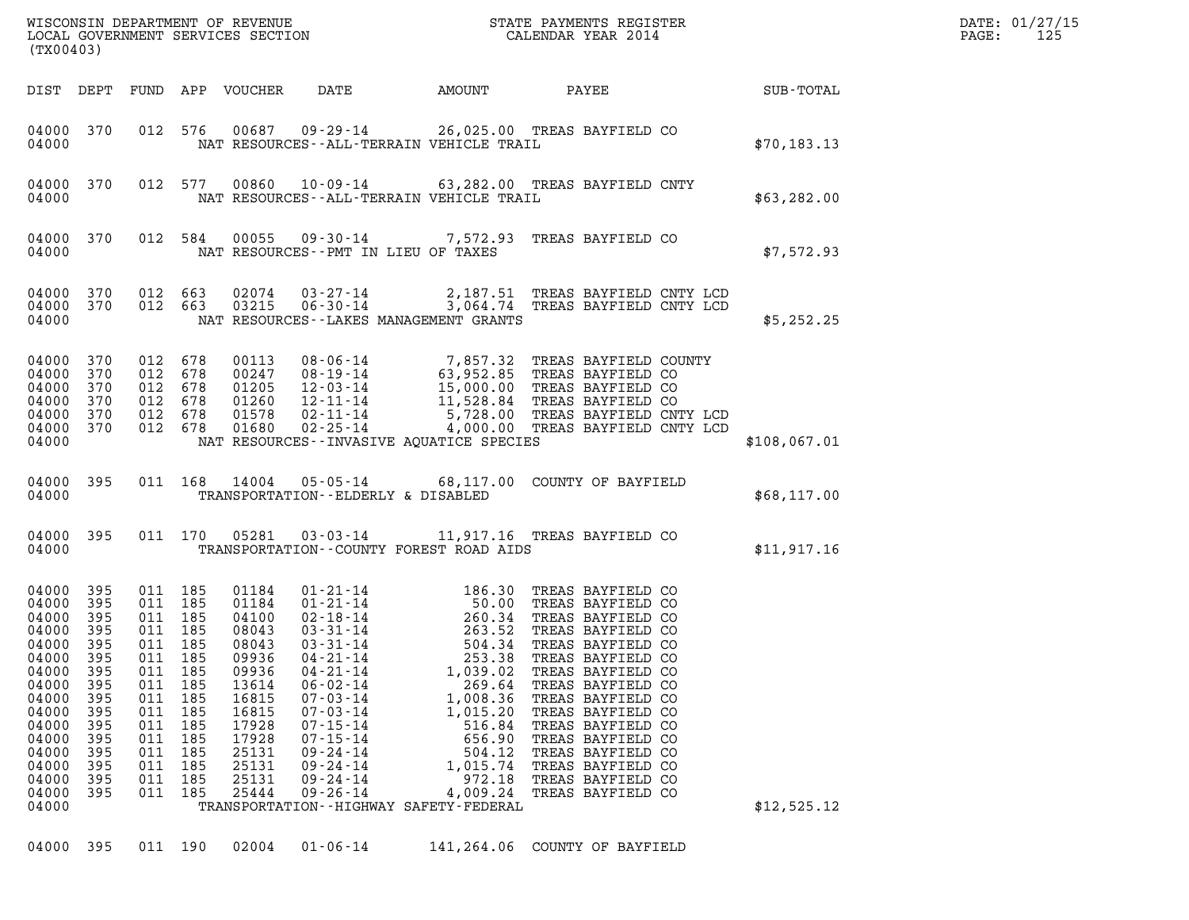|                                                                                                                                                       | (TX00403)                                                                                                    |                                                                                                                                  |                                                                           |                                                                                                                                              |                                                                                                                                                                                                                                                                                                                                                                                                              |                                                                                                                                |                                                                                                                                                                                                                                                                                                                                                     |              | DATE: 01/27/15<br>125<br>PAGE: |
|-------------------------------------------------------------------------------------------------------------------------------------------------------|--------------------------------------------------------------------------------------------------------------|----------------------------------------------------------------------------------------------------------------------------------|---------------------------------------------------------------------------|----------------------------------------------------------------------------------------------------------------------------------------------|--------------------------------------------------------------------------------------------------------------------------------------------------------------------------------------------------------------------------------------------------------------------------------------------------------------------------------------------------------------------------------------------------------------|--------------------------------------------------------------------------------------------------------------------------------|-----------------------------------------------------------------------------------------------------------------------------------------------------------------------------------------------------------------------------------------------------------------------------------------------------------------------------------------------------|--------------|--------------------------------|
|                                                                                                                                                       | DIST DEPT                                                                                                    |                                                                                                                                  |                                                                           | FUND APP VOUCHER                                                                                                                             |                                                                                                                                                                                                                                                                                                                                                                                                              |                                                                                                                                | DATE AMOUNT PAYEE SUB-TOTAL                                                                                                                                                                                                                                                                                                                         |              |                                |
| 04000                                                                                                                                                 | 04000 370                                                                                                    |                                                                                                                                  |                                                                           |                                                                                                                                              | NAT RESOURCES - - ALL - TERRAIN VEHICLE TRAIL                                                                                                                                                                                                                                                                                                                                                                |                                                                                                                                | 012 576 00687 09-29-14 26,025.00 TREAS BAYFIELD CO                                                                                                                                                                                                                                                                                                  | \$70,183.13  |                                |
| 04000                                                                                                                                                 | 04000 370                                                                                                    |                                                                                                                                  | 012 577                                                                   |                                                                                                                                              | NAT RESOURCES--ALL-TERRAIN VEHICLE TRAIL                                                                                                                                                                                                                                                                                                                                                                     |                                                                                                                                | 00860  10-09-14  63,282.00 TREAS BAYFIELD CNTY                                                                                                                                                                                                                                                                                                      | \$63,282.00  |                                |
| 04000                                                                                                                                                 | 04000 370                                                                                                    |                                                                                                                                  | 012 584                                                                   |                                                                                                                                              | NAT RESOURCES -- PMT IN LIEU OF TAXES                                                                                                                                                                                                                                                                                                                                                                        |                                                                                                                                | 00055 09-30-14 7,572.93 TREAS BAYFIELD CO                                                                                                                                                                                                                                                                                                           | \$7,572.93   |                                |
| 04000<br>04000                                                                                                                                        | 04000 370<br>370                                                                                             | 012 663                                                                                                                          | 012 663                                                                   | 02074<br>03215                                                                                                                               | NAT RESOURCES--LAKES MANAGEMENT GRANTS                                                                                                                                                                                                                                                                                                                                                                       |                                                                                                                                | 03-27-14 2,187.51 TREAS BAYFIELD CNTY LCD<br>06-30-14 3,064.74 TREAS BAYFIELD CNTY LCD                                                                                                                                                                                                                                                              | \$5,252.25   |                                |
| 04000<br>04000<br>04000<br>04000<br>04000<br>04000                                                                                                    | 370<br>370<br>370<br>370<br>370<br>04000 370                                                                 | 012<br>012 678<br>012 678<br>012 678<br>012 678                                                                                  | 678<br>012 678                                                            | 00113<br>00247<br>01205<br>01260<br>01578<br>01680                                                                                           | NAT RESOURCES--INVASIVE AQUATICE SPECIES                                                                                                                                                                                                                                                                                                                                                                     |                                                                                                                                | 08-06-14 7,857.32 TREAS BAYFIELD COUNTY<br>08-19-14 63,952.85 TREAS BAYFIELD CO<br>12-03-14 15,000.00 TREAS BAYFIELD CO<br>12-11-14 11,528.84 TREAS BAYFIELD CO<br>02-11-14 5,728.00 TREAS BAYFIELD CNTY LCD<br>02-25-14 4,000.00 TREAS                                                                                                             | \$108,067.01 |                                |
| 04000                                                                                                                                                 | 04000 395                                                                                                    |                                                                                                                                  |                                                                           | 011 168 14004                                                                                                                                | TRANSPORTATION--ELDERLY & DISABLED                                                                                                                                                                                                                                                                                                                                                                           |                                                                                                                                | 05-05-14 68,117.00 COUNTY OF BAYFIELD                                                                                                                                                                                                                                                                                                               | \$68,117.00  |                                |
| 04000                                                                                                                                                 | 04000 395                                                                                                    |                                                                                                                                  |                                                                           | 011 170 05281                                                                                                                                | TRANSPORTATION--COUNTY FOREST ROAD AIDS                                                                                                                                                                                                                                                                                                                                                                      |                                                                                                                                | 03-03-14 11,917.16 TREAS BAYFIELD CO                                                                                                                                                                                                                                                                                                                | \$11,917.16  |                                |
| 04000<br>04000<br>04000<br>04000<br>04000<br>04000<br>04000<br>04000<br>04000<br>04000<br>04000<br>04000<br>04000<br>04000<br>04000<br>04000<br>04000 | 395<br>395<br>395<br>395<br>395<br>395<br>395<br>395<br>395<br>395<br>395<br>395<br>395<br>395<br>395<br>395 | 011 185<br>011 185<br>011 185<br>011 185<br>011 185<br>011<br>011<br>011<br>011<br>011<br>011<br>011<br>011<br>011<br>011<br>011 | 185<br>185<br>185<br>185<br>185<br>185<br>185<br>185<br>185<br>185<br>185 | 01184<br>01184<br>04100<br>08043<br>08043<br>09936<br>09936<br>13614<br>16815<br>16815<br>17928<br>17928<br>25131<br>25131<br>25131<br>25444 | $01 - 21 - 14$<br>$01 - 21 - 14$<br>$02 - 18 - 14$<br>$03 - 31 - 14$<br>$03 - 31 - 14$<br>$04 - 263 - 52$<br>$053 - 52$<br>$063 - 52$<br>$03 - 31 - 14$<br>$04 - 21 - 14$<br>$04 - 21 - 14$<br>$06 - 02 - 14$<br>$07 - 03 - 14$<br>$07 - 03 - 14$<br>$07 - 15 - 14$<br>$07 - 15 - 14$<br>$09 - 24 - 14$<br>$09 - 24 - 14$<br>$09 - 24 - 14$<br>$09 - 26 - 14$<br>TRANSPORTATION - - HIGHWAY SAFETY - FEDERAL | 504.34<br>253.38<br>1,039.02<br>269.64<br>1,008.36<br>1,015.20<br>516.84<br>656.90<br>504.12<br>1,015.74<br>972.18<br>4,009.24 | 186.30 TREAS BAYFIELD CO<br>TREAS BAYFIELD CO<br>TREAS BAYFIELD CO<br>TREAS BAYFIELD CO<br>TREAS BAYFIELD CO<br>TREAS BAYFIELD CO<br>TREAS BAYFIELD CO<br>TREAS BAYFIELD CO<br>TREAS BAYFIELD CO<br>TREAS BAYFIELD CO<br>TREAS BAYFIELD CO<br>TREAS BAYFIELD CO<br>TREAS BAYFIELD CO<br>TREAS BAYFIELD CO<br>TREAS BAYFIELD CO<br>TREAS BAYFIELD CO | \$12,525.12  |                                |
|                                                                                                                                                       | 04000 395                                                                                                    | 011 190                                                                                                                          |                                                                           | 02004                                                                                                                                        | $01 - 06 - 14$                                                                                                                                                                                                                                                                                                                                                                                               | 141,264.06                                                                                                                     | COUNTY OF BAYFIELD                                                                                                                                                                                                                                                                                                                                  |              |                                |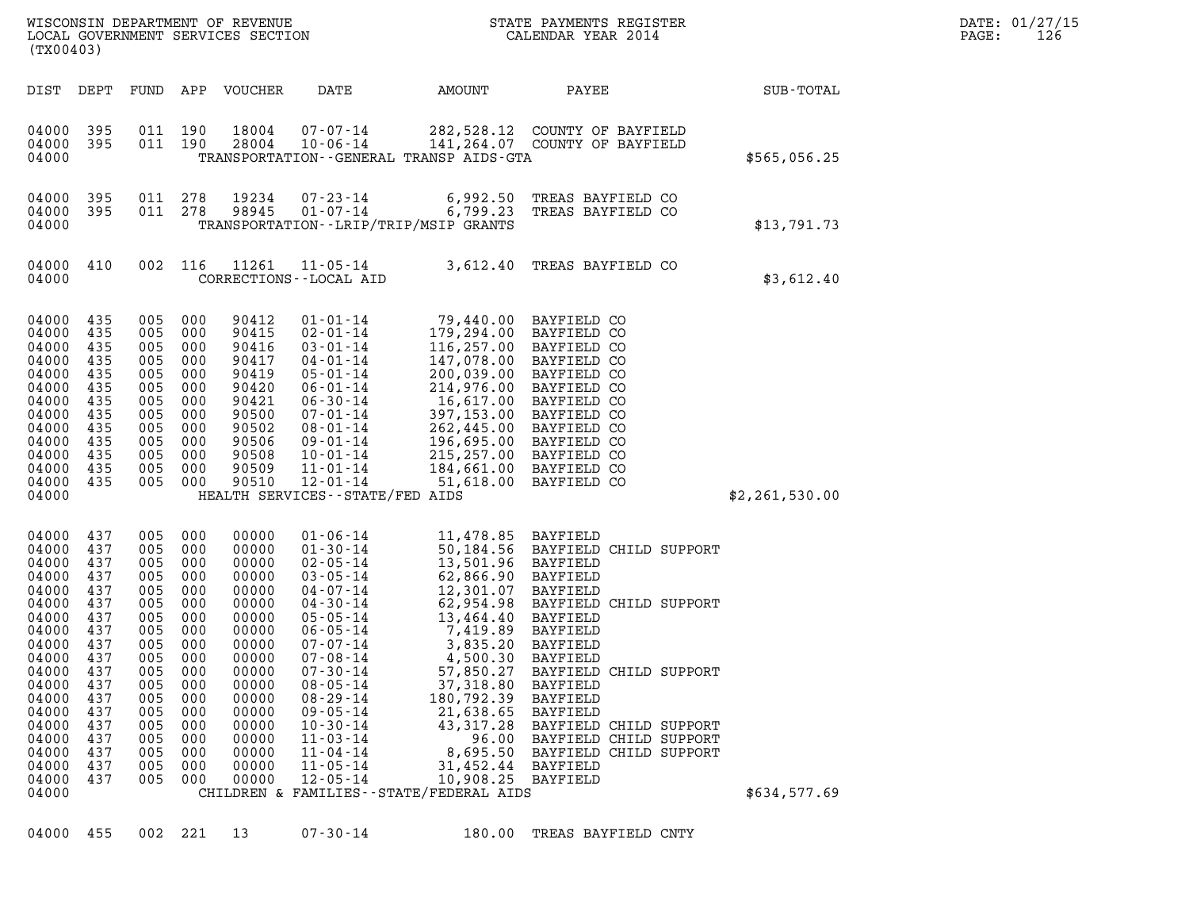| (TX00403)                                                                                                                                                                        |                                                                                                                                   |                                                                                                                                   |                                                                                                                                   | WISCONSIN DEPARTMENT OF REVENUE<br>LOCAL GOVERNMENT SERVICES SECTION                                                                                                    |                                                                                                                                                                                                                                                                                                                                                                                                  |                                                                                                                                                                                                                                                     | STATE PAYMENTS REGISTER<br>CALENDAR YEAR 2014                                                                                                                                                                                                                                                                               |                | DATE: 01/27/15<br>PAGE:<br>126 |
|----------------------------------------------------------------------------------------------------------------------------------------------------------------------------------|-----------------------------------------------------------------------------------------------------------------------------------|-----------------------------------------------------------------------------------------------------------------------------------|-----------------------------------------------------------------------------------------------------------------------------------|-------------------------------------------------------------------------------------------------------------------------------------------------------------------------|--------------------------------------------------------------------------------------------------------------------------------------------------------------------------------------------------------------------------------------------------------------------------------------------------------------------------------------------------------------------------------------------------|-----------------------------------------------------------------------------------------------------------------------------------------------------------------------------------------------------------------------------------------------------|-----------------------------------------------------------------------------------------------------------------------------------------------------------------------------------------------------------------------------------------------------------------------------------------------------------------------------|----------------|--------------------------------|
| DIST DEPT                                                                                                                                                                        |                                                                                                                                   | FUND                                                                                                                              |                                                                                                                                   | APP VOUCHER                                                                                                                                                             | DATE                                                                                                                                                                                                                                                                                                                                                                                             | AMOUNT                                                                                                                                                                                                                                              | PAYEE                                                                                                                                                                                                                                                                                                                       | SUB-TOTAL      |                                |
| 04000<br>04000<br>04000                                                                                                                                                          | 395<br>395                                                                                                                        | 011 190<br>011 190                                                                                                                |                                                                                                                                   | 18004<br>28004                                                                                                                                                          | $07 - 07 - 14$<br>$10 - 06 - 14$<br>TRANSPORTATION - - GENERAL TRANSP AIDS - GTA                                                                                                                                                                                                                                                                                                                 |                                                                                                                                                                                                                                                     | 282,528.12 COUNTY OF BAYFIELD<br>141,264.07 COUNTY OF BAYFIELD                                                                                                                                                                                                                                                              | \$565,056.25   |                                |
| 04000<br>04000<br>04000                                                                                                                                                          | 395<br>395                                                                                                                        | 011<br>011 278                                                                                                                    | 278                                                                                                                               | 19234<br>98945                                                                                                                                                          | $07 - 23 - 14$<br>$01 - 07 - 14$<br>TRANSPORTATION - - LRIP/TRIP/MSIP GRANTS                                                                                                                                                                                                                                                                                                                     | 6,992.50<br>6,799.23                                                                                                                                                                                                                                | TREAS BAYFIELD CO<br>TREAS BAYFIELD CO                                                                                                                                                                                                                                                                                      | \$13,791.73    |                                |
| 04000 410<br>04000                                                                                                                                                               |                                                                                                                                   |                                                                                                                                   | 002 116                                                                                                                           | 11261                                                                                                                                                                   | $11 - 05 - 14$<br>CORRECTIONS - - LOCAL AID                                                                                                                                                                                                                                                                                                                                                      |                                                                                                                                                                                                                                                     | 3,612.40 TREAS BAYFIELD CO                                                                                                                                                                                                                                                                                                  | \$3,612.40     |                                |
| 04000<br>04000<br>04000<br>04000<br>04000<br>04000<br>04000<br>04000<br>04000<br>04000<br>04000<br>04000<br>04000<br>04000                                                       | 435<br>435<br>435<br>435<br>435<br>435<br>435<br>435<br>435<br>435<br>435<br>435<br>435                                           | 005<br>005<br>005<br>005<br>005<br>005<br>005<br>005<br>005<br>005<br>005<br>005<br>005                                           | 000<br>000<br>000<br>000<br>000<br>000<br>000<br>000<br>000<br>000<br>000<br>000<br>000                                           | 90412<br>90415<br>90416<br>90417<br>90419<br>90420<br>90421<br>90500<br>90502<br>90506<br>90508<br>90509<br>90510                                                       | $01 - 01 - 14$<br>$02 - 01 - 14$<br>$03 - 01 - 14$<br>$04 - 01 - 14$<br>$05 - 01 - 14$<br>$06 - 01 - 14$<br>$06 - 30 - 14$<br>$07 - 01 - 14$<br>$08 - 01 - 14$<br>$09 - 01 - 14$<br>$10 - 01 - 14$<br>$11 - 01 - 14$<br>$12 - 01 - 14$<br>HEALTH SERVICES - - STATE/FED AIDS                                                                                                                     | 179,294.00<br>116,257.00<br>147,078.00<br>200,039.00<br>214,976.00<br>16,617.00<br>397,153.00<br>262,445.00<br>196,695.00<br>215,257.00<br>184,661.00<br>51,618.00                                                                                  | 79,440.00 BAYFIELD CO<br>BAYFIELD CO<br>BAYFIELD CO<br>BAYFIELD CO<br>BAYFIELD CO<br>BAYFIELD CO<br>BAYFIELD CO<br>BAYFIELD CO<br>BAYFIELD CO<br>BAYFIELD CO<br>BAYFIELD CO<br>BAYFIELD CO<br>BAYFIELD CO                                                                                                                   | \$2,261,530.00 |                                |
| 04000<br>04000<br>04000<br>04000<br>04000<br>04000<br>04000<br>04000<br>04000<br>04000<br>04000<br>04000<br>04000<br>04000<br>04000<br>04000<br>04000<br>04000<br>04000<br>04000 | 437<br>437<br>437<br>437<br>437<br>437<br>437<br>437<br>437<br>437<br>437<br>437<br>437<br>437<br>437<br>437<br>437<br>437<br>437 | 005<br>005<br>005<br>005<br>005<br>005<br>005<br>005<br>005<br>005<br>005<br>005<br>005<br>005<br>005<br>005<br>005<br>005<br>005 | 000<br>000<br>000<br>000<br>000<br>000<br>000<br>000<br>000<br>000<br>000<br>000<br>000<br>000<br>000<br>000<br>000<br>000<br>000 | 00000<br>00000<br>00000<br>00000<br>00000<br>00000<br>00000<br>00000<br>00000<br>00000<br>00000<br>00000<br>00000<br>00000<br>00000<br>00000<br>00000<br>00000<br>00000 | $01 - 06 - 14$<br>$01 - 30 - 14$<br>$02 - 05 - 14$<br>$03 - 05 - 14$<br>$04 - 07 - 14$<br>$04 - 30 - 14$<br>$05 - 05 - 14$<br>$06 - 05 - 14$<br>$07 - 07 - 14$<br>$07 - 08 - 14$<br>$07 - 30 - 14$<br>$08 - 05 - 14$<br>$08 - 29 - 14$<br>$09 - 05 - 14$<br>$10 - 30 - 14$<br>$11 - 03 - 14$<br>$11 - 04 - 14$<br>$11 - 05 - 14$<br>$12 - 05 - 14$<br>CHILDREN & FAMILIES - - STATE/FEDERAL AIDS | 11,478.85 BAYFIELD<br>13,501.96 BAYFIELD<br>62,866.90<br>12,301.07<br>62,954.98<br>13,464.40<br>7,419.89<br>3,835.20<br>4,500.30<br>57,850.27<br>37,318.80<br>180,792.39<br>21,638.65<br>43, 317. 28<br>96.00<br>8,695.50<br>31,452.44<br>10,908.25 | 50,184.56 BAYFIELD CHILD SUPPORT<br>BAYFIELD<br>BAYFIELD<br>BAYFIELD CHILD SUPPORT<br>BAYFIELD<br>BAYFIELD<br>BAYFIELD<br><b>BAYFIELD</b><br>BAYFIELD CHILD SUPPORT<br>BAYFIELD<br>BAYFIELD<br><b>BAYFIELD</b><br>BAYFIELD CHILD SUPPORT<br>BAYFIELD CHILD SUPPORT<br>BAYFIELD CHILD SUPPORT<br><b>BAYFIELD</b><br>BAYFIELD | \$634,577.69   |                                |
| 04000 455                                                                                                                                                                        |                                                                                                                                   |                                                                                                                                   | 002 221                                                                                                                           | 13                                                                                                                                                                      | $07 - 30 - 14$                                                                                                                                                                                                                                                                                                                                                                                   |                                                                                                                                                                                                                                                     | 180.00 TREAS BAYFIELD CNTY                                                                                                                                                                                                                                                                                                  |                |                                |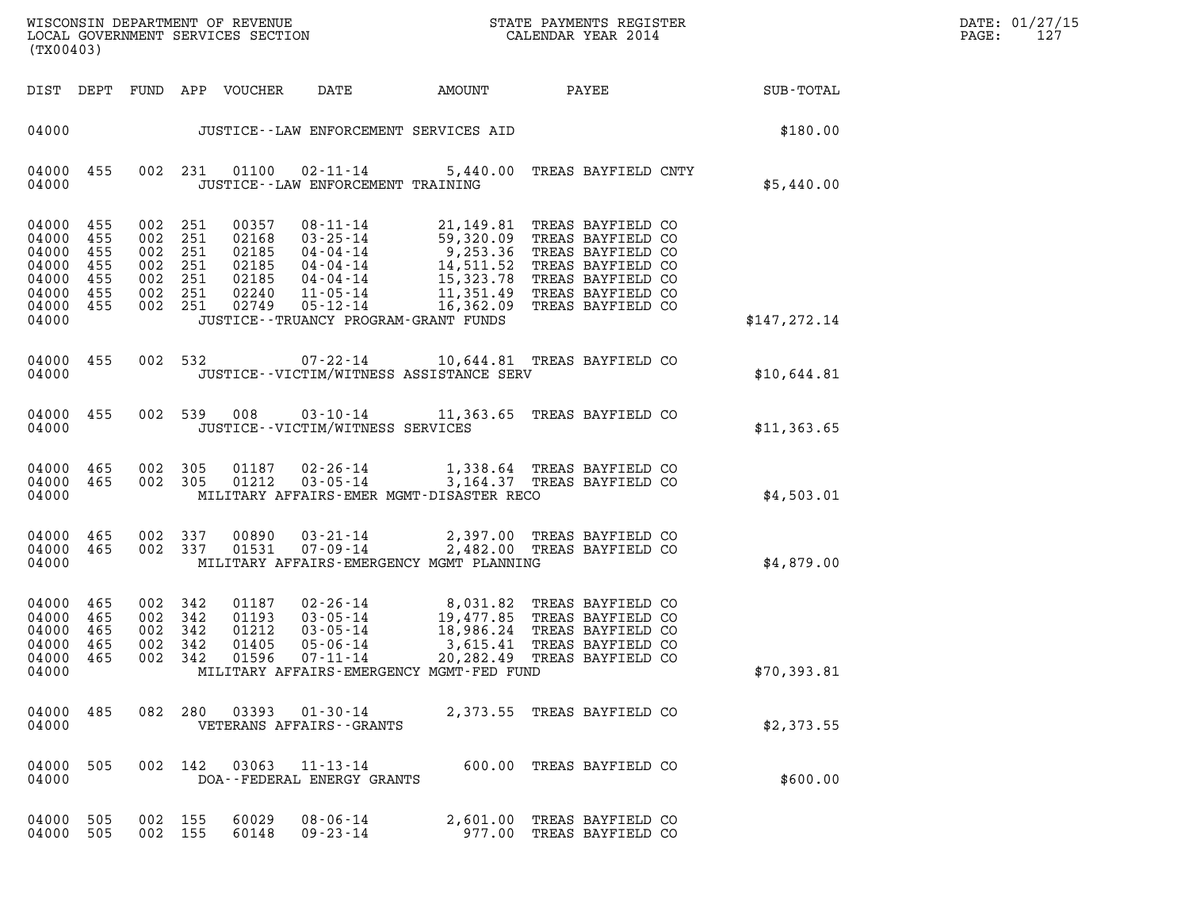| DATE: | 01/27/15 |
|-------|----------|
| PAGE: | 127      |

| (TX00403)                                                                            |                   |                                                                       |         |                                                             |                                                                              |                                                                                                                                                                                                                                                                  |                        | DATE: 01/27/15<br>PAGE:<br>127 |
|--------------------------------------------------------------------------------------|-------------------|-----------------------------------------------------------------------|---------|-------------------------------------------------------------|------------------------------------------------------------------------------|------------------------------------------------------------------------------------------------------------------------------------------------------------------------------------------------------------------------------------------------------------------|------------------------|--------------------------------|
|                                                                                      |                   |                                                                       |         | DIST DEPT FUND APP VOUCHER                                  | DATE                                                                         |                                                                                                                                                                                                                                                                  | AMOUNT PAYEE SUB-TOTAL |                                |
| 04000                                                                                |                   |                                                                       |         |                                                             | JUSTICE--LAW ENFORCEMENT SERVICES AID                                        |                                                                                                                                                                                                                                                                  | \$180.00               |                                |
| 04000 455<br>04000                                                                   |                   |                                                                       |         |                                                             | 002 231 01100 02-11-14<br>JUSTICE -- LAW ENFORCEMENT TRAINING                | 5,440.00 TREAS BAYFIELD CNTY                                                                                                                                                                                                                                     | \$5,440.00             |                                |
| 04000 455<br>04000 455<br>04000<br>04000<br>04000<br>04000 455<br>04000 455<br>04000 | 455<br>455<br>455 | 002 251<br>002 251<br>002<br>002 251<br>002 251<br>002 251<br>002 251 | 251     | 00357<br>02168<br>02185<br>02185<br>02185<br>02240<br>02749 | JUSTICE - - TRUANCY PROGRAM - GRANT FUNDS                                    | 08-11-14<br>03-25-14<br>59,320.09<br>04-04-14<br>9,253.36<br>TREAS BAYFIELD CO<br>04-04-14<br>14,511.52<br>TREAS BAYFIELD CO<br>04-04-14<br>15,323.78<br>TREAS BAYFIELD CO<br>01-05-14<br>11,351.49<br>TREAS BAYFIELD CO<br>05-12-14<br>11,351.49<br>TREAS BAYFI | \$147, 272.14          |                                |
| 04000 455<br>04000                                                                   |                   |                                                                       |         |                                                             | JUSTICE -- VICTIM/WITNESS ASSISTANCE SERV                                    | 002 532 07-22-14 10,644.81 TREAS BAYFIELD CO                                                                                                                                                                                                                     | \$10,644.81            |                                |
| 04000 455<br>04000                                                                   |                   |                                                                       | 002 539 | 008                                                         | JUSTICE - - VICTIM/WITNESS SERVICES                                          | 03-10-14 11,363.65 TREAS BAYFIELD CO                                                                                                                                                                                                                             | \$11,363.65            |                                |
| 04000<br>04000 465<br>04000                                                          | 465               | 002<br>002 305                                                        | 305     | 01187<br>01212                                              | MILITARY AFFAIRS-EMER MGMT-DISASTER RECO                                     | 02-26-14 1,338.64 TREAS BAYFIELD CO<br>03-05-14 3,164.37 TREAS BAYFIELD CO                                                                                                                                                                                       | \$4,503.01             |                                |
| 04000 465<br>04000 465<br>04000                                                      |                   | 002 337<br>002 337                                                    |         | 00890<br>01531                                              | $03 - 21 - 14$<br>07-09-14<br>MILITARY AFFAIRS-EMERGENCY MGMT PLANNING       | 2,397.00 TREAS BAYFIELD CO<br>2,482.00 TREAS BAYFIELD CO                                                                                                                                                                                                         | \$4,879.00             |                                |
| 04000 465<br>04000 465<br>04000<br>04000 465<br>04000 465<br>04000                   | 465               | 002 342<br>002 342<br>002<br>002 342<br>002 342                       | 342     | 01187<br>01193<br>01212<br>01405                            | $03 - 05 - 14$<br>$05 - 06 - 14$<br>MILITARY AFFAIRS-EMERGENCY MGMT-FED FUND | 02-26-14 8,031.82 TREAS BAYFIELD CO<br>03-05-14 19,477.85 TREAS BAYFIELD CO<br>18,986.24 TREAS BAYFIELD CO<br>3,615.41 TREAS BAYFIELD CO<br>01596  07-11-14  20,282.49 TREAS BAYFIELD CO                                                                         | \$70,393.81            |                                |
| 04000 485<br>04000                                                                   |                   |                                                                       | 082 280 |                                                             | 03393   01-30-14<br>VETERANS AFFAIRS - - GRANTS                              | 2,373.55 TREAS BAYFIELD CO                                                                                                                                                                                                                                       | \$2,373.55             |                                |
| 04000<br>04000                                                                       | 505               |                                                                       | 002 142 | 03063                                                       | 11-13-14<br>DOA--FEDERAL ENERGY GRANTS                                       | 600.00 TREAS BAYFIELD CO                                                                                                                                                                                                                                         | \$600.00               |                                |
| 04000<br>04000 505                                                                   | 505               | 002 155<br>002 155                                                    |         | 60029<br>60148                                              | $08 - 06 - 14$<br>09 - 23 - 14                                               | 2,601.00 TREAS BAYFIELD CO<br>977.00 TREAS BAYFIELD CO                                                                                                                                                                                                           |                        |                                |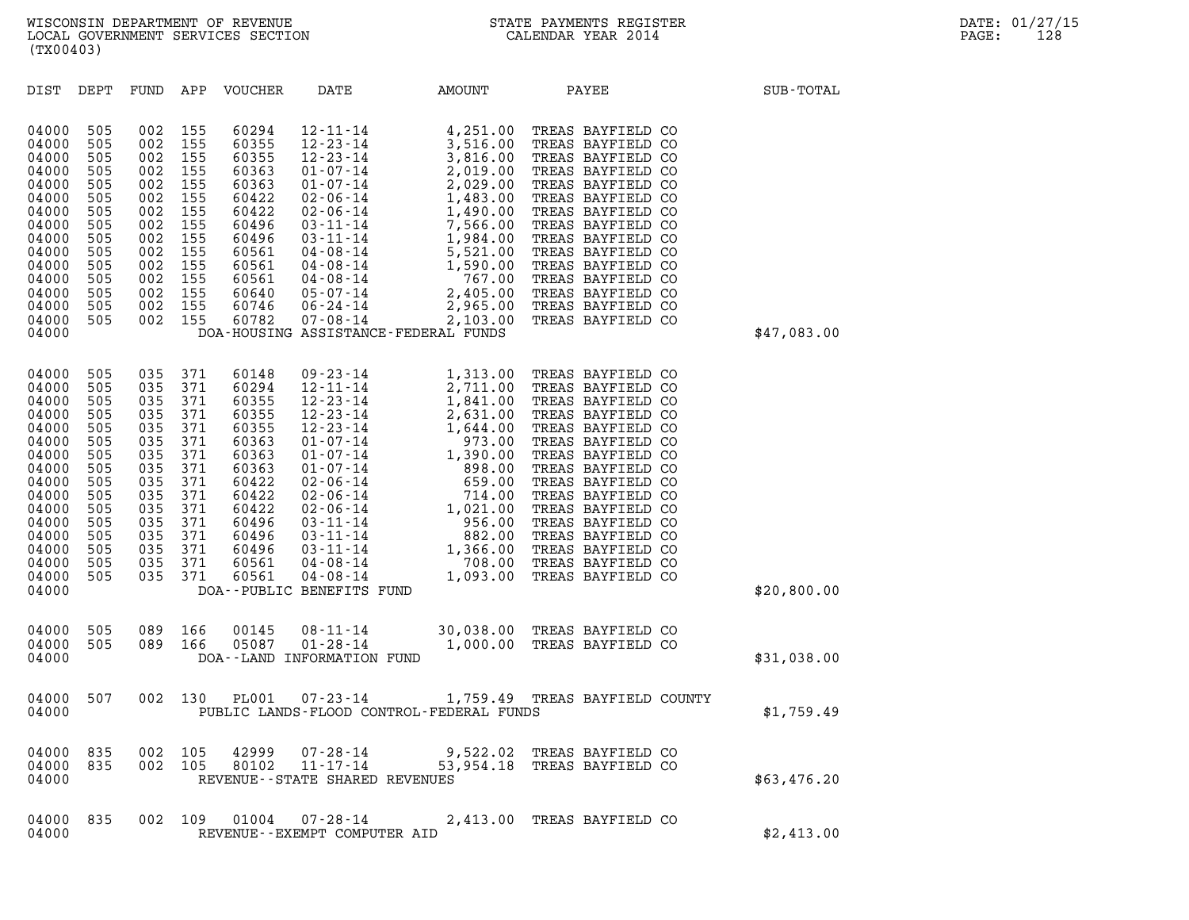| (TX00403)                                                                                                                                             |                                                                                                              |                                                                                                              |                                                                                                              |                                                                                                                                              |                                                                                                                                                                                                                                                                                                                           |                                                                                                                                                                                                                                            |                                                                                                                                                                                                                                                                                                                                              |             |
|-------------------------------------------------------------------------------------------------------------------------------------------------------|--------------------------------------------------------------------------------------------------------------|--------------------------------------------------------------------------------------------------------------|--------------------------------------------------------------------------------------------------------------|----------------------------------------------------------------------------------------------------------------------------------------------|---------------------------------------------------------------------------------------------------------------------------------------------------------------------------------------------------------------------------------------------------------------------------------------------------------------------------|--------------------------------------------------------------------------------------------------------------------------------------------------------------------------------------------------------------------------------------------|----------------------------------------------------------------------------------------------------------------------------------------------------------------------------------------------------------------------------------------------------------------------------------------------------------------------------------------------|-------------|
| DIST                                                                                                                                                  | DEPT                                                                                                         | FUND                                                                                                         | APP                                                                                                          | VOUCHER                                                                                                                                      | DATE                                                                                                                                                                                                                                                                                                                      | AMOUNT                                                                                                                                                                                                                                     | PAYEE                                                                                                                                                                                                                                                                                                                                        | SUB-TOTAL   |
| 04000<br>04000<br>04000<br>04000<br>04000<br>04000<br>04000<br>04000<br>04000<br>04000<br>04000<br>04000<br>04000<br>04000<br>04000<br>04000          | 505<br>505<br>505<br>505<br>505<br>505<br>505<br>505<br>505<br>505<br>505<br>505<br>505<br>505<br>505        | 002<br>002<br>002<br>002<br>002<br>002<br>002<br>002<br>002<br>002<br>002<br>002<br>002<br>002<br>002        | 155<br>155<br>155<br>155<br>155<br>155<br>155<br>155<br>155<br>155<br>155<br>155<br>155<br>155<br>155        | 60294<br>60355<br>60355<br>60363<br>60363<br>60422<br>60422<br>60496<br>60496<br>60561<br>60561<br>60561<br>60640<br>60746<br>60782          | $12 - 11 - 14$<br>$12 - 23 - 14$<br>$12 - 23 - 14$<br>$01 - 07 - 14$<br>$01 - 07 - 14$<br>$02 - 06 - 14$<br>$02 - 06 - 14$<br>$03 - 11 - 14$<br>$03 - 11 - 14$<br>$04 - 08 - 14$<br>$04 - 08 - 14$<br>$04 - 08 - 14$<br>05-07-14<br>06-24-14<br>07-08-14                                                                  | 4,251.00<br>3,516.00<br>3,816.00<br>2,019.00<br>2,029.00<br>1,483.00<br>1,490.00<br>7,566.00<br>1,984.00<br>5,521.00<br>5,521.00<br>1,590.00<br>767.00<br>2,405.00<br>2,103.00<br>7F-FEDERAL FUNDS<br>DOA-HOUSING ASSISTANCE-FEDERAL FUNDS | TREAS BAYFIELD CO<br>TREAS BAYFIELD CO<br>TREAS BAYFIELD CO<br>TREAS BAYFIELD CO<br>TREAS BAYFIELD CO<br>TREAS BAYFIELD CO<br>TREAS BAYFIELD CO<br>TREAS BAYFIELD CO<br>TREAS BAYFIELD CO<br>TREAS BAYFIELD CO<br>TREAS BAYFIELD CO<br>TREAS BAYFIELD CO<br>TREAS BAYFIELD CO<br>TREAS BAYFIELD CO<br>TREAS BAYFIELD CO                      | \$47,083.00 |
| 04000<br>04000<br>04000<br>04000<br>04000<br>04000<br>04000<br>04000<br>04000<br>04000<br>04000<br>04000<br>04000<br>04000<br>04000<br>04000<br>04000 | 505<br>505<br>505<br>505<br>505<br>505<br>505<br>505<br>505<br>505<br>505<br>505<br>505<br>505<br>505<br>505 | 035<br>035<br>035<br>035<br>035<br>035<br>035<br>035<br>035<br>035<br>035<br>035<br>035<br>035<br>035<br>035 | 371<br>371<br>371<br>371<br>371<br>371<br>371<br>371<br>371<br>371<br>371<br>371<br>371<br>371<br>371<br>371 | 60148<br>60294<br>60355<br>60355<br>60355<br>60363<br>60363<br>60363<br>60422<br>60422<br>60422<br>60496<br>60496<br>60496<br>60561<br>60561 | $09 - 23 - 14$<br>$12 - 11 - 14$<br>$12 - 23 - 14$<br>$12 - 23 - 14$<br>$12 - 23 - 14$<br>$01 - 07 - 14$<br>$01 - 07 - 14$<br>$01 - 07 - 14$<br>$02 - 06 - 14$<br>$02 - 06 - 14$<br>$02 - 06 - 14$<br>$03 - 11 - 14$<br>$03 - 11 - 14$<br>$03 - 11 - 14$<br>$04 - 08 - 14$<br>$04 - 08 - 14$<br>DOA--PUBLIC BENEFITS FUND | 1,313.00<br>2,711.00<br>2,711.00<br>1,841.00<br>2,631.00<br>1,644.00<br>973.00<br>973.00<br>998.00<br>659.00<br>714.00<br>1,021.00<br>956.00<br>882.00<br>1,366.00<br>708.00<br>708.00<br>708.00<br>708.00                                 | TREAS BAYFIELD CO<br>TREAS BAYFIELD CO<br>TREAS BAYFIELD CO<br>TREAS BAYFIELD CO<br>TREAS BAYFIELD CO<br>TREAS BAYFIELD CO<br>TREAS BAYFIELD CO<br>TREAS BAYFIELD CO<br>TREAS BAYFIELD CO<br>TREAS BAYFIELD CO<br>TREAS BAYFIELD CO<br>TREAS BAYFIELD CO<br>TREAS BAYFIELD CO<br>TREAS BAYFIELD CO<br>TREAS BAYFIELD CO<br>TREAS BAYFIELD CO | \$20,800.00 |
| 04000<br>04000<br>04000                                                                                                                               | 505<br>505                                                                                                   | 089<br>089                                                                                                   | 166<br>166                                                                                                   | 00145<br>05087                                                                                                                               | $08 - 11 - 14$<br>$01 - 28 - 14$<br>DOA--LAND INFORMATION FUND                                                                                                                                                                                                                                                            | 1,000.00                                                                                                                                                                                                                                   | 30,038.00 TREAS BAYFIELD CO<br>TREAS BAYFIELD CO                                                                                                                                                                                                                                                                                             | \$31,038.00 |
| 04000<br>04000                                                                                                                                        | 507                                                                                                          | 002                                                                                                          | 130                                                                                                          | <b>PL001</b>                                                                                                                                 | $07 - 23 - 14$                                                                                                                                                                                                                                                                                                            | 1,759.49<br>PUBLIC LANDS-FLOOD CONTROL-FEDERAL FUNDS                                                                                                                                                                                       | TREAS BAYFIELD COUNTY                                                                                                                                                                                                                                                                                                                        | \$1,759.49  |
| 04000<br>04000<br>04000                                                                                                                               | 835<br>835                                                                                                   | 002<br>002                                                                                                   | 105<br>105                                                                                                   | 42999<br>80102                                                                                                                               | 07-28-14<br>$11 - 17 - 14$<br>REVENUE--STATE SHARED REVENUES                                                                                                                                                                                                                                                              |                                                                                                                                                                                                                                            | 9,522.02 TREAS BAYFIELD CO<br>53,954.18 TREAS BAYFIELD CO                                                                                                                                                                                                                                                                                    | \$63,476.20 |
| 04000<br>04000                                                                                                                                        | 835                                                                                                          | 002                                                                                                          | 109                                                                                                          | 01004                                                                                                                                        | 07-28-14<br>REVENUE--EXEMPT COMPUTER AID                                                                                                                                                                                                                                                                                  | 2,413.00                                                                                                                                                                                                                                   | TREAS BAYFIELD CO                                                                                                                                                                                                                                                                                                                            | \$2,413.00  |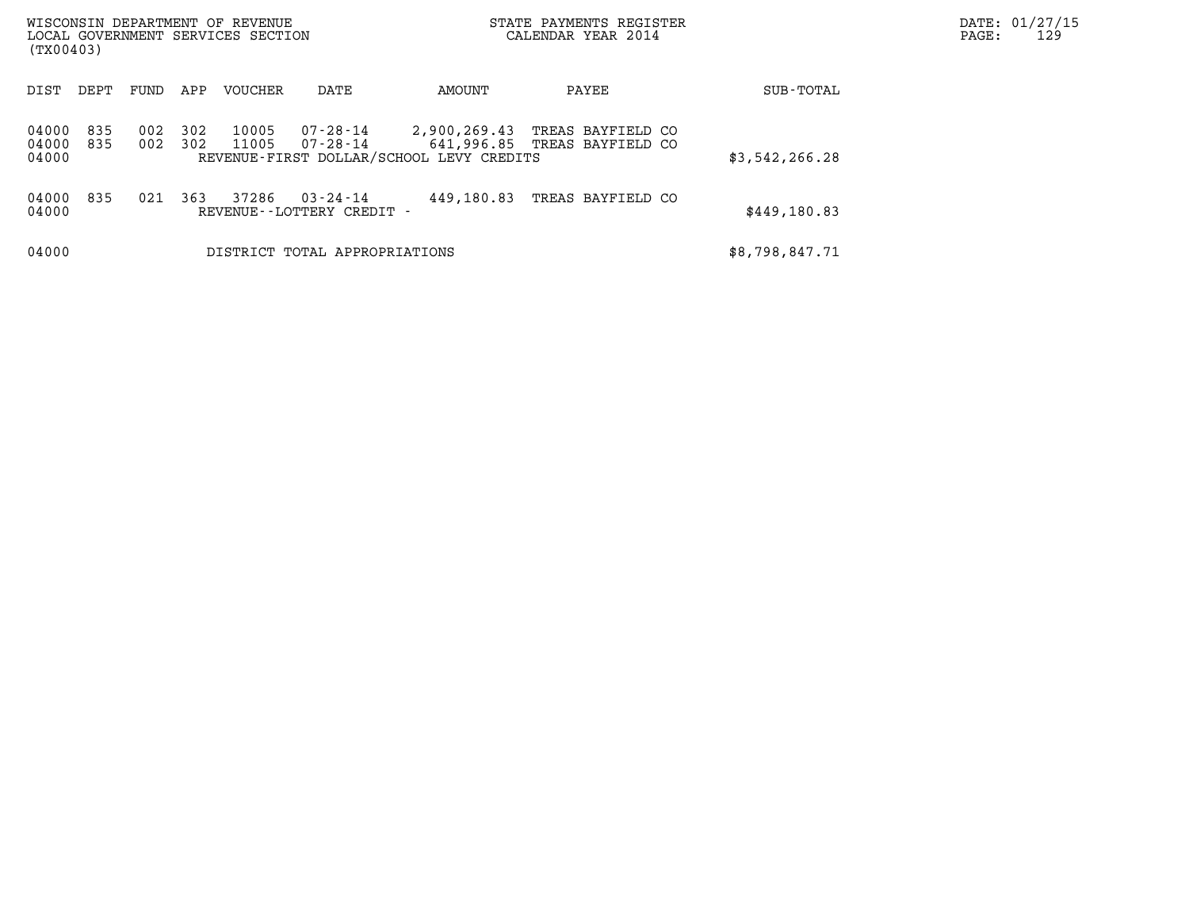| (TX00403)               |            |            |            | WISCONSIN DEPARTMENT OF REVENUE<br>LOCAL GOVERNMENT SERVICES SECTION |                                          |                                                          | STATE PAYMENTS REGISTER<br>CALENDAR YEAR 2014     | DATE: 01/27/15<br>129<br>PAGE: |  |
|-------------------------|------------|------------|------------|----------------------------------------------------------------------|------------------------------------------|----------------------------------------------------------|---------------------------------------------------|--------------------------------|--|
| DIST                    | DEPT       | FUND       | APP        | <b>VOUCHER</b>                                                       | DATE                                     | AMOUNT                                                   | PAYEE                                             | SUB-TOTAL                      |  |
| 04000<br>04000<br>04000 | 835<br>835 | 002<br>002 | 302<br>302 | 10005<br>11005                                                       | 07-28-14<br>07-28-14                     | 2,900,269.43<br>REVENUE-FIRST DOLLAR/SCHOOL LEVY CREDITS | TREAS BAYFIELD CO<br>641,996.85 TREAS BAYFIELD CO | \$3,542,266.28                 |  |
| 04000<br>04000          | 835        | 021        | 363        | 37286                                                                | 03-24-14<br>REVENUE - - LOTTERY CREDIT - | 449,180.83                                               | TREAS BAYFIELD CO                                 | \$449,180.83                   |  |
| 04000                   |            |            |            |                                                                      | DISTRICT TOTAL APPROPRIATIONS            |                                                          |                                                   | \$8,798,847.71                 |  |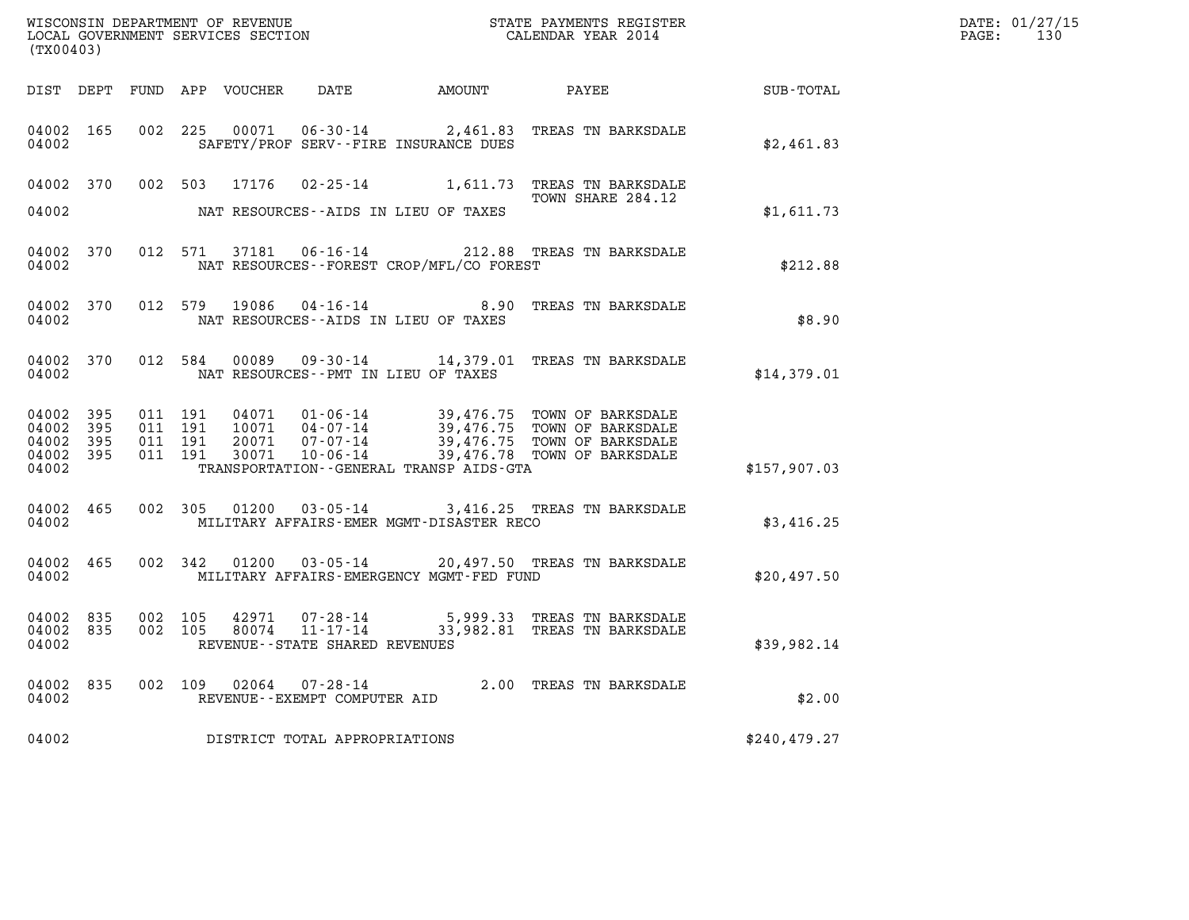| (TX00403)                                     |                   |  | WISCONSIN DEPARTMENT OF REVENUE<br>LOCAL GOVERNMENT SERVICES SECTION |                                |                                              | STATE PAYMENTS REGISTER<br>CALENDAR YEAR 2014                                                                                                                                                                         |               | DATE: 01/27/15<br>PAGE: 130 |
|-----------------------------------------------|-------------------|--|----------------------------------------------------------------------|--------------------------------|----------------------------------------------|-----------------------------------------------------------------------------------------------------------------------------------------------------------------------------------------------------------------------|---------------|-----------------------------|
|                                               |                   |  |                                                                      |                                |                                              | DIST DEPT FUND APP VOUCHER  DATE            AMOUNT             PAYEE                                                                                                                                                  | SUB-TOTAL     |                             |
| 04002 165<br>04002                            |                   |  |                                                                      |                                | SAFETY/PROF SERV--FIRE INSURANCE DUES        | 002 225 00071 06-30-14 2,461.83 TREAS TN BARKSDALE                                                                                                                                                                    | \$2,461.83    |                             |
|                                               |                   |  |                                                                      |                                |                                              | 04002 370 002 503 17176 02-25-14 1,611.73 TREAS TN BARKSDALE<br>TOWN SHARE 284.12                                                                                                                                     |               |                             |
| 04002                                         |                   |  |                                                                      |                                | NAT RESOURCES--AIDS IN LIEU OF TAXES         |                                                                                                                                                                                                                       | \$1,611.73    |                             |
| 04002                                         |                   |  |                                                                      |                                | NAT RESOURCES--FOREST CROP/MFL/CO FOREST     | 04002 370 012 571 37181 06-16-14 212.88 TREAS TN BARKSDALE                                                                                                                                                            | \$212.88      |                             |
| 04002 370<br>04002                            |                   |  |                                                                      |                                | NAT RESOURCES--AIDS IN LIEU OF TAXES         | 012 579 19086 04-16-14 8.90 TREAS TN BARKSDALE                                                                                                                                                                        | \$8.90        |                             |
| 04002                                         |                   |  |                                                                      |                                | NAT RESOURCES--PMT IN LIEU OF TAXES          | 04002 370 012 584 00089 09-30-14 14,379.01 TREAS TN BARKSDALE                                                                                                                                                         | \$14,379.01   |                             |
| 04002 395<br>04002<br>04002<br>04002<br>04002 | 395<br>395<br>395 |  |                                                                      |                                | TRANSPORTATION - - GENERAL TRANSP AIDS - GTA |                                                                                                                                                                                                                       | \$157,907.03  |                             |
|                                               |                   |  |                                                                      |                                |                                              |                                                                                                                                                                                                                       |               |                             |
| 04002 465<br>04002                            |                   |  |                                                                      |                                | MILITARY AFFAIRS-EMER MGMT-DISASTER RECO     | 002 305 01200 03-05-14 3,416.25 TREAS TN BARKSDALE                                                                                                                                                                    | \$3,416.25    |                             |
| 04002 465<br>04002                            |                   |  |                                                                      |                                | MILITARY AFFAIRS-EMERGENCY MGMT-FED FUND     | 002 342 01200 03-05-14 20,497.50 TREAS TN BARKSDALE                                                                                                                                                                   | \$20.497.50   |                             |
| 04002 835<br>04002 835<br>04002               |                   |  |                                                                      | REVENUE--STATE SHARED REVENUES |                                              | $\begin{array}{cccc} 002 & 105 & 42971 & 07\texttt{-}28\texttt{-}14 & 5,999.33 & \texttt{TREAS TN BARKSDALE} \\ 002 & 105 & 80074 & 11\texttt{-}17\texttt{-}14 & 33,982.81 & \texttt{TREAS TN BARKSDALE} \end{array}$ | \$39,982.14   |                             |
| 04002                                         |                   |  |                                                                      | REVENUE--EXEMPT COMPUTER AID   |                                              | 04002 835 002 109 02064 07-28-14 2.00 TREAS TN BARKSDALE                                                                                                                                                              | \$2.00        |                             |
| 04002                                         |                   |  |                                                                      | DISTRICT TOTAL APPROPRIATIONS  |                                              |                                                                                                                                                                                                                       | \$240, 479.27 |                             |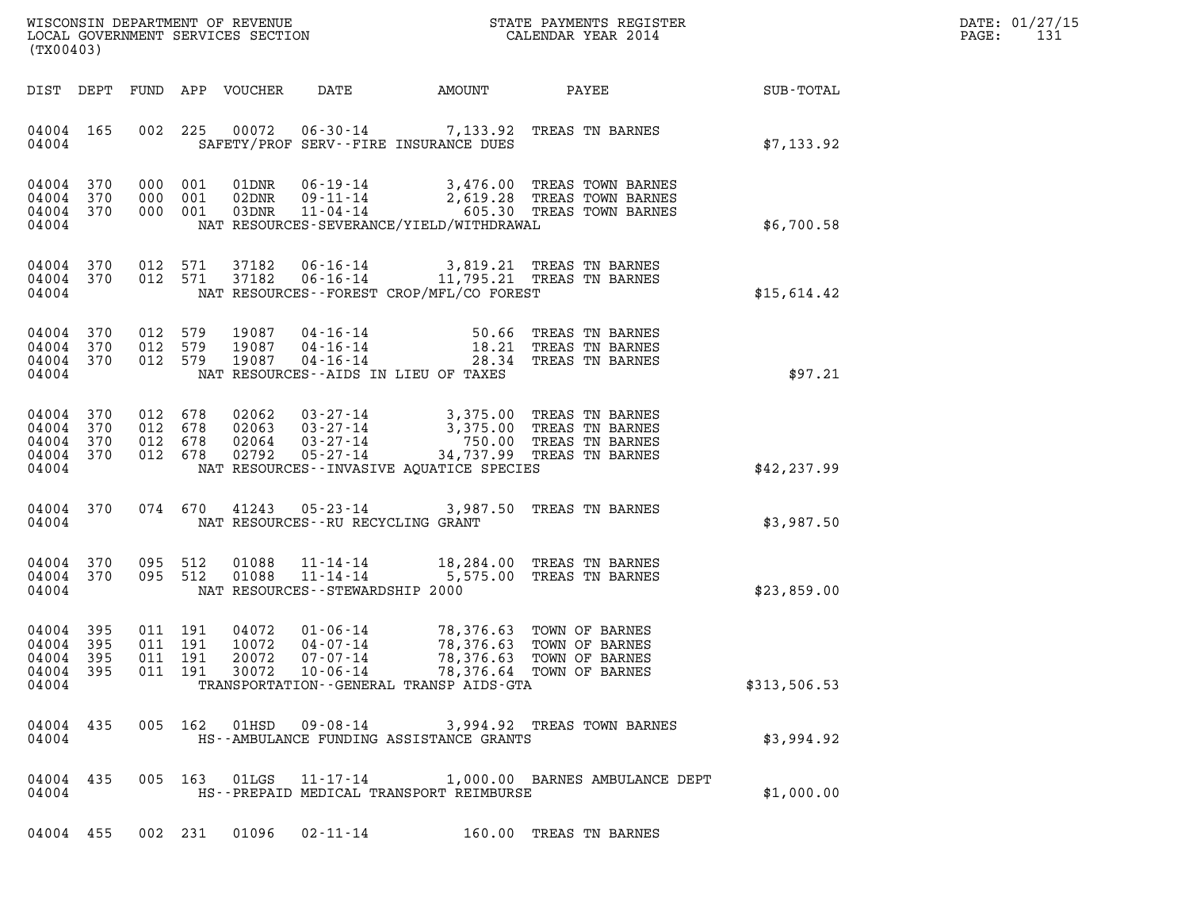| DATE: | 01/27/15 |
|-------|----------|
| PAGE: | 131      |

| (TX00403)                                                 |           |         |                                          |                                  |                                    |                                                                              |                                                                                                                                                                                 |              | DATE: 01/27/15<br>$\mathtt{PAGE:}$<br>131 |
|-----------------------------------------------------------|-----------|---------|------------------------------------------|----------------------------------|------------------------------------|------------------------------------------------------------------------------|---------------------------------------------------------------------------------------------------------------------------------------------------------------------------------|--------------|-------------------------------------------|
|                                                           |           |         |                                          | DIST DEPT FUND APP VOUCHER DATE  |                                    |                                                                              | AMOUNT PAYEE SUB-TOTAL                                                                                                                                                          |              |                                           |
| 04004                                                     | 04004 165 |         |                                          |                                  |                                    | SAFETY/PROF SERV--FIRE INSURANCE DUES                                        | 002 225 00072 06-30-14 7,133.92 TREAS TN BARNES                                                                                                                                 | \$7,133.92   |                                           |
| 04004 370<br>04004 370<br>04004 370<br>04004              |           |         |                                          |                                  |                                    | NAT RESOURCES-SEVERANCE/YIELD/WITHDRAWAL                                     | 000 001 01DNR 06-19-14 3,476.00 TREAS TOWN BARNES<br>000 001 02DNR 09-11-14 2,619.28 TREAS TOWN BARNES<br>000 001 03DNR 11-04-14 605.30 TREAS TOWN BARNES                       | \$6,700.58   |                                           |
| 04004                                                     |           |         |                                          |                                  |                                    | NAT RESOURCES - - FOREST CROP/MFL/CO FOREST                                  | 04004 370 012 571 37182 06-16-14 3,819.21 TREAS TN BARNES<br>04004 370 012 571 37182 06-16-14 11,795.21 TREAS TN BARNES                                                         | \$15,614.42  |                                           |
| 04004 370<br>04004 370<br>04004 370<br>04004              |           |         |                                          |                                  |                                    | NAT RESOURCES -- AIDS IN LIEU OF TAXES                                       | 012 579 19087 04-16-14 50.66 TREAS TN BARNES<br>012 579 19087 04-16-14 18.21 TREAS TN BARNES<br>012 579 19087 04-16-14 28.34 TREAS TN BARNES                                    | \$97.21      |                                           |
| 04004<br>04004 370<br>04004 370<br>04004 370<br>04004     | 370       | 012 678 | 012 678<br>012 678<br>012 678            |                                  |                                    | NAT RESOURCES -- INVASIVE AQUATICE SPECIES                                   | 02062  03-27-14  3,375.00 TREAS TN BARNES<br>02063  03-27-14  3,375.00 TREAS TN BARNES<br>02064  03-27-14  750.00 TREAS TN BARNES<br>02792  05-27-14  34,737.99 TREAS TN BARNES | \$42, 237.99 |                                           |
| 04004                                                     | 04004 370 |         |                                          |                                  |                                    | NAT RESOURCES--RU RECYCLING GRANT                                            | 074 670 41243 05-23-14 3,987.50 TREAS TN BARNES                                                                                                                                 | \$3,987.50   |                                           |
| 04004 370<br>04004 370<br>04004                           |           |         |                                          |                                  | NAT RESOURCES - - STEWARDSHIP 2000 |                                                                              | 095 512 01088 11-14-14 18,284.00 TREAS TN BARNES<br>095 512 01088 11-14-14 5,575.00 TREAS TN BARNES                                                                             | \$23,859.00  |                                           |
| 04004 395<br>04004 395<br>04004 395<br>04004 395<br>04004 |           |         | 011 191<br>011 191<br>011 191<br>011 191 | 04072<br>10072<br>20072<br>30072 | 04-07-14<br>07-07-14<br>10-06-14   | 01-06-14 78,376.63 TOWN OF BARNES<br>TRANSPORTATION--GENERAL TRANSP AIDS-GTA | 78,376.63 TOWN OF BARNES<br>78,376.63 TOWN OF BARNES<br>78,376.64 TOWN OF BARNES                                                                                                | \$313,506.53 |                                           |
| 04004 435<br>04004                                        |           |         |                                          |                                  | 005 162 01HSD 09-08-14             | HS--AMBULANCE FUNDING ASSISTANCE GRANTS                                      | 3,994.92 TREAS TOWN BARNES                                                                                                                                                      | \$3,994.92   |                                           |
| 04004 435<br>04004                                        |           |         |                                          |                                  | 005 163 01LGS 11-17-14             | HS--PREPAID MEDICAL TRANSPORT REIMBURSE                                      | 1,000.00 BARNES AMBULANCE DEPT                                                                                                                                                  | \$1,000.00   |                                           |
|                                                           | 04004 455 |         | 002 231                                  | 01096                            | 02-11-14                           |                                                                              | 160.00 TREAS TN BARNES                                                                                                                                                          |              |                                           |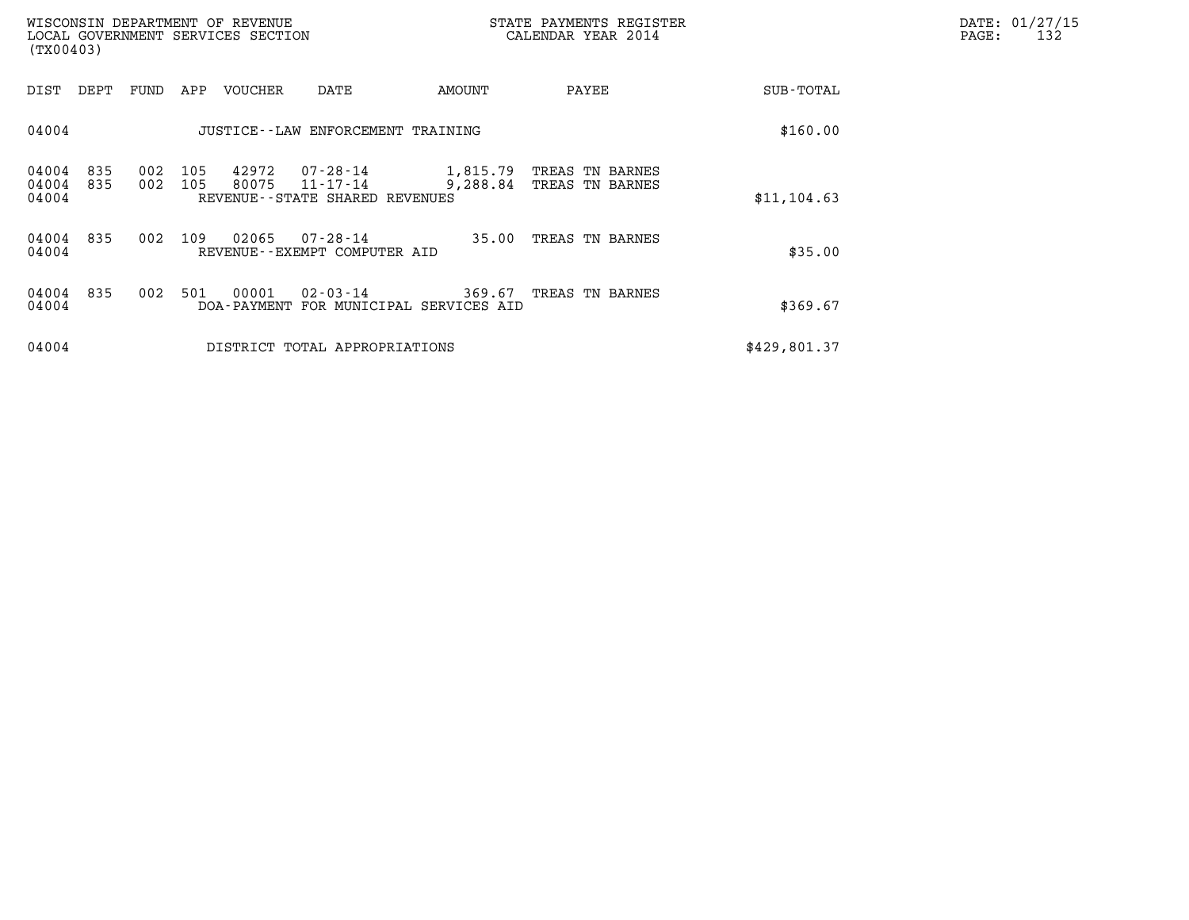| (TX00403)               |            |            |            | WISCONSIN DEPARTMENT OF REVENUE<br>LOCAL GOVERNMENT SERVICES SECTION |                                                                 |                      | STATE PAYMENTS REGISTER<br>CALENDAR YEAR 2014 |              | DATE: 01/27/15<br>PAGE:<br>132 |
|-------------------------|------------|------------|------------|----------------------------------------------------------------------|-----------------------------------------------------------------|----------------------|-----------------------------------------------|--------------|--------------------------------|
| DIST                    | DEPT       | FUND       | APP        | VOUCHER                                                              | DATE                                                            | AMOUNT               | PAYEE                                         | SUB-TOTAL    |                                |
| 04004                   |            |            |            |                                                                      | JUSTICE - - LAW ENFORCEMENT TRAINING                            |                      |                                               | \$160.00     |                                |
| 04004<br>04004<br>04004 | 835<br>835 | 002<br>002 | 105<br>105 | 42972<br>80075                                                       | 07-28-14<br>$11 - 17 - 14$<br>REVENUE - - STATE SHARED REVENUES | 1,815.79<br>9,288.84 | TREAS TN BARNES<br>TREAS TN BARNES            | \$11, 104.63 |                                |
| 04004<br>04004          | 835        | 002        | 109        | 02065                                                                | 07-28-14<br>REVENUE--EXEMPT COMPUTER AID                        | 35.00                | TREAS TN BARNES                               | \$35.00      |                                |
| 04004<br>04004          | 835        | 002        | 501        | 00001                                                                | 02-03-14<br>DOA-PAYMENT FOR MUNICIPAL SERVICES AID              |                      | 369.67 TREAS TN BARNES                        | \$369.67     |                                |
| 04004                   |            |            |            |                                                                      | DISTRICT TOTAL APPROPRIATIONS                                   |                      |                                               | \$429,801.37 |                                |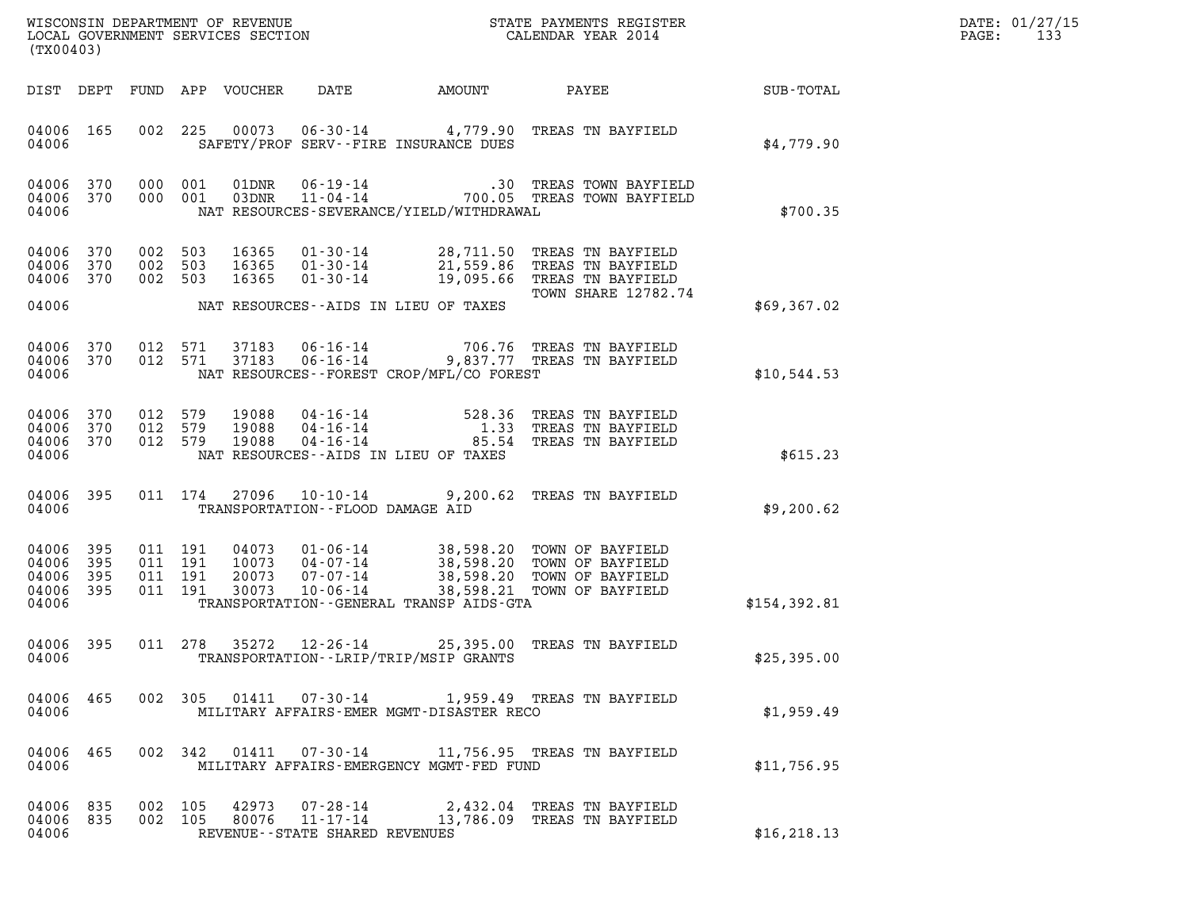| DATE: | 01/27/15 |
|-------|----------|
| PAGE: | 133      |

| STATE PAYMENTS REGISTER<br>WISCONSIN DEPARTMENT OF REVENUE<br>LOCAL GOVERNMENT SERVICES SECTION<br>CALENDAR YEAR 2014<br>(TX00403) |                            |     |                                          |                                  |                                                          |                                             | DATE: 01/27/15<br>133<br>PAGE:                                                                                            |              |  |
|------------------------------------------------------------------------------------------------------------------------------------|----------------------------|-----|------------------------------------------|----------------------------------|----------------------------------------------------------|---------------------------------------------|---------------------------------------------------------------------------------------------------------------------------|--------------|--|
| DIST DEPT                                                                                                                          |                            |     |                                          | FUND APP VOUCHER                 | DATE                                                     | AMOUNT                                      | PAYEE                                                                                                                     | SUB-TOTAL    |  |
| 04006 165<br>04006                                                                                                                 |                            | 002 | 225                                      |                                  |                                                          | SAFETY/PROF SERV--FIRE INSURANCE DUES       | 00073  06-30-14  4,779.90  TREAS TN BAYFIELD                                                                              | \$4,779.90   |  |
| 04006<br>04006<br>04006                                                                                                            | 370<br>370                 |     | 000 001<br>000 001                       |                                  |                                                          | NAT RESOURCES-SEVERANCE/YIELD/WITHDRAWAL    | .30 TREAS TOWN BAYFIELD                                                                                                   | \$700.35     |  |
| 04006<br>04006<br>04006 370                                                                                                        | 370<br>370                 |     | 002 503<br>002 503<br>002 503            | 16365<br>16365<br>16365          | $01 - 30 - 14$<br>$01 - 30 - 14$                         |                                             | 01-30-14 28,711.50 TREAS TN BAYFIELD<br>21,559.86 TREAS TN BAYFIELD<br>19,095.66 TREAS TN BAYFIELD<br>TOWN SHARE 12782.74 |              |  |
| 04006                                                                                                                              |                            |     |                                          |                                  |                                                          | NAT RESOURCES--AIDS IN LIEU OF TAXES        |                                                                                                                           | \$69,367.02  |  |
| 04006<br>04006<br>04006                                                                                                            | 370<br>370                 |     | 012 571<br>012 571                       | 37183<br>37183                   |                                                          | NAT RESOURCES - - FOREST CROP/MFL/CO FOREST | 06-16-14 706.76 TREAS TN BAYFIELD<br>06-16-14 9,837.77 TREAS TN BAYFIELD                                                  | \$10,544.53  |  |
| 04006<br>04006<br>04006<br>04006                                                                                                   | 370<br>370<br>370          |     | 012 579<br>012 579<br>012 579            | 19088<br>19088<br>19088          | $04 - 16 - 14$<br>04-16-14<br>$04 - 16 - 14$             | NAT RESOURCES -- AIDS IN LIEU OF TAXES      | 528.36 TREAS TN BAYFIELD<br>1.33 TREAS TN BAYFIELD<br>85.54 TREAS TN BAYFIELD                                             | \$615.23     |  |
| 04006<br>04006                                                                                                                     | 395                        |     | 011 174                                  | 27096                            | $10 - 10 - 14$                                           | TRANSPORTATION -- FLOOD DAMAGE AID          | 9,200.62 TREAS TN BAYFIELD                                                                                                | \$9,200.62   |  |
| 04006<br>04006<br>04006<br>04006<br>04006                                                                                          | 395<br>395<br>395<br>- 395 |     | 011 191<br>011 191<br>011 191<br>011 191 | 04073<br>10073<br>20073<br>30073 | 01-06-14<br>04-07-14<br>$07 - 07 - 14$<br>$10 - 06 - 14$ | TRANSPORTATION--GENERAL TRANSP AIDS-GTA     | 38,598.20 TOWN OF BAYFIELD<br>38,598.20 TOWN OF BAYFIELD<br>38,598.20 TOWN OF BAYFIELD<br>38,598.21 TOWN OF BAYFIELD      | \$154,392.81 |  |
| 04006 395<br>04006                                                                                                                 |                            |     | 011 278                                  | 35272                            | 12-26-14                                                 | TRANSPORTATION - - LRIP/TRIP/MSIP GRANTS    | 25,395.00 TREAS TN BAYFIELD                                                                                               | \$25,395.00  |  |
| 04006<br>04006                                                                                                                     | 465                        |     | 002 305                                  | 01411                            | $07 - 30 - 14$                                           | MILITARY AFFAIRS-EMER MGMT-DISASTER RECO    | 1,959.49 TREAS TN BAYFIELD                                                                                                | \$1,959.49   |  |
| 04006<br>04006                                                                                                                     | 465                        |     | 002 342                                  | 01411                            | 07-30-14                                                 | MILITARY AFFAIRS-EMERGENCY MGMT-FED FUND    | 11,756.95 TREAS TN BAYFIELD                                                                                               | \$11,756.95  |  |
| 04006 835<br>04006 835<br>04006                                                                                                    |                            |     | 002 105<br>002 105                       | 42973                            | 07-28-14<br>REVENUE--STATE SHARED REVENUES               |                                             | 2,432.04 TREAS TN BAYFIELD<br>80076  11-17-14  13,786.09  TREAS TN BAYFIELD                                               | \$16, 218.13 |  |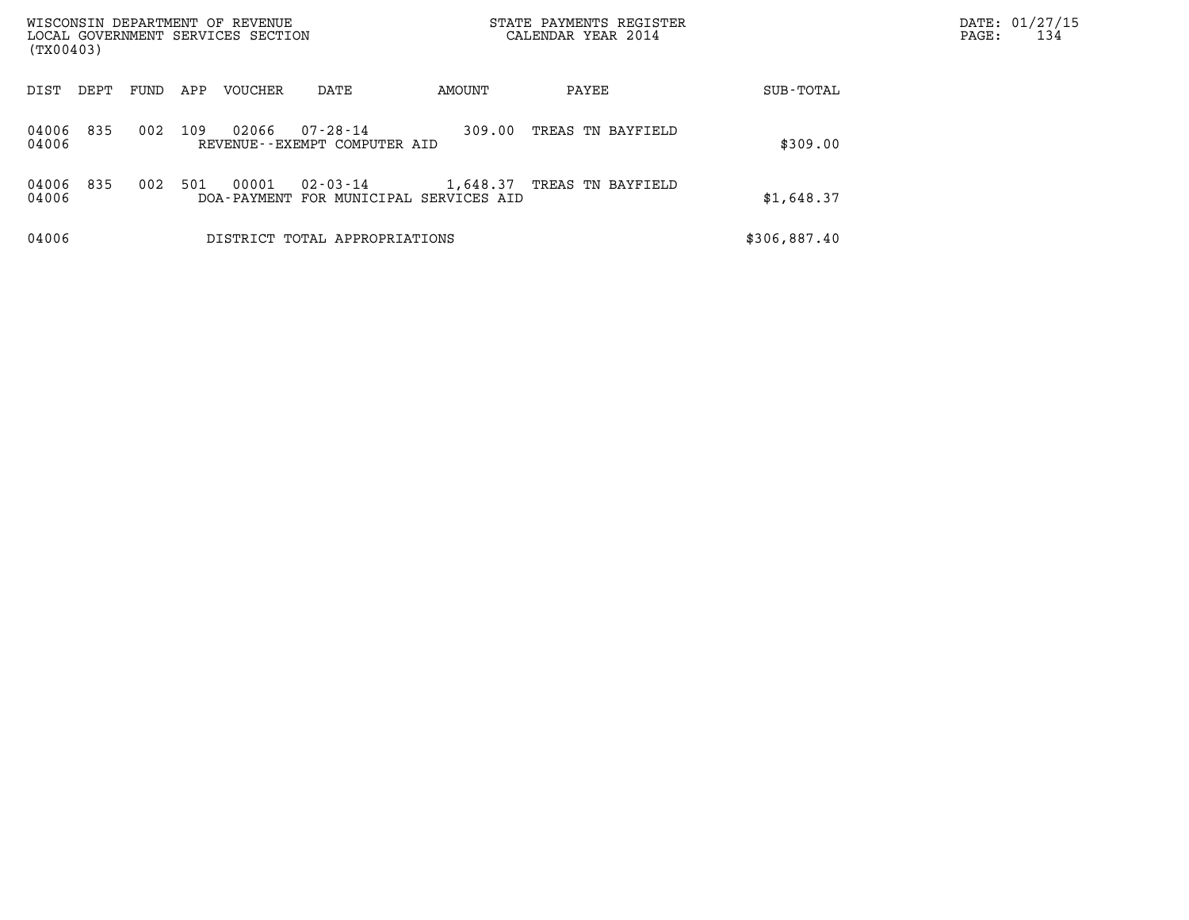| WISCONSIN DEPARTMENT OF REVENUE<br>LOCAL GOVERNMENT SERVICES SECTION<br>(TX00403) |      |     |                |                                                |                                                    | STATE PAYMENTS REGISTER<br>CALENDAR YEAR 2014 |              | DATE: 01/27/15<br>PAGE:<br>134 |
|-----------------------------------------------------------------------------------|------|-----|----------------|------------------------------------------------|----------------------------------------------------|-----------------------------------------------|--------------|--------------------------------|
| DIST<br>DEPT                                                                      | FUND | APP | <b>VOUCHER</b> | DATE                                           | AMOUNT                                             | PAYEE                                         | SUB-TOTAL    |                                |
| 835<br>04006<br>04006                                                             | 002  | 109 | 02066          | $07 - 28 - 14$<br>REVENUE--EXEMPT COMPUTER AID | 309.00                                             | TREAS TN BAYFIELD                             | \$309.00     |                                |
| 04006<br>835<br>04006                                                             | 002  | 501 | 00001          | 02-03-14                                       | 1,648.37<br>DOA-PAYMENT FOR MUNICIPAL SERVICES AID | TREAS TN BAYFIELD                             | \$1,648.37   |                                |
| 04006                                                                             |      |     |                | DISTRICT TOTAL APPROPRIATIONS                  |                                                    |                                               | \$306,887.40 |                                |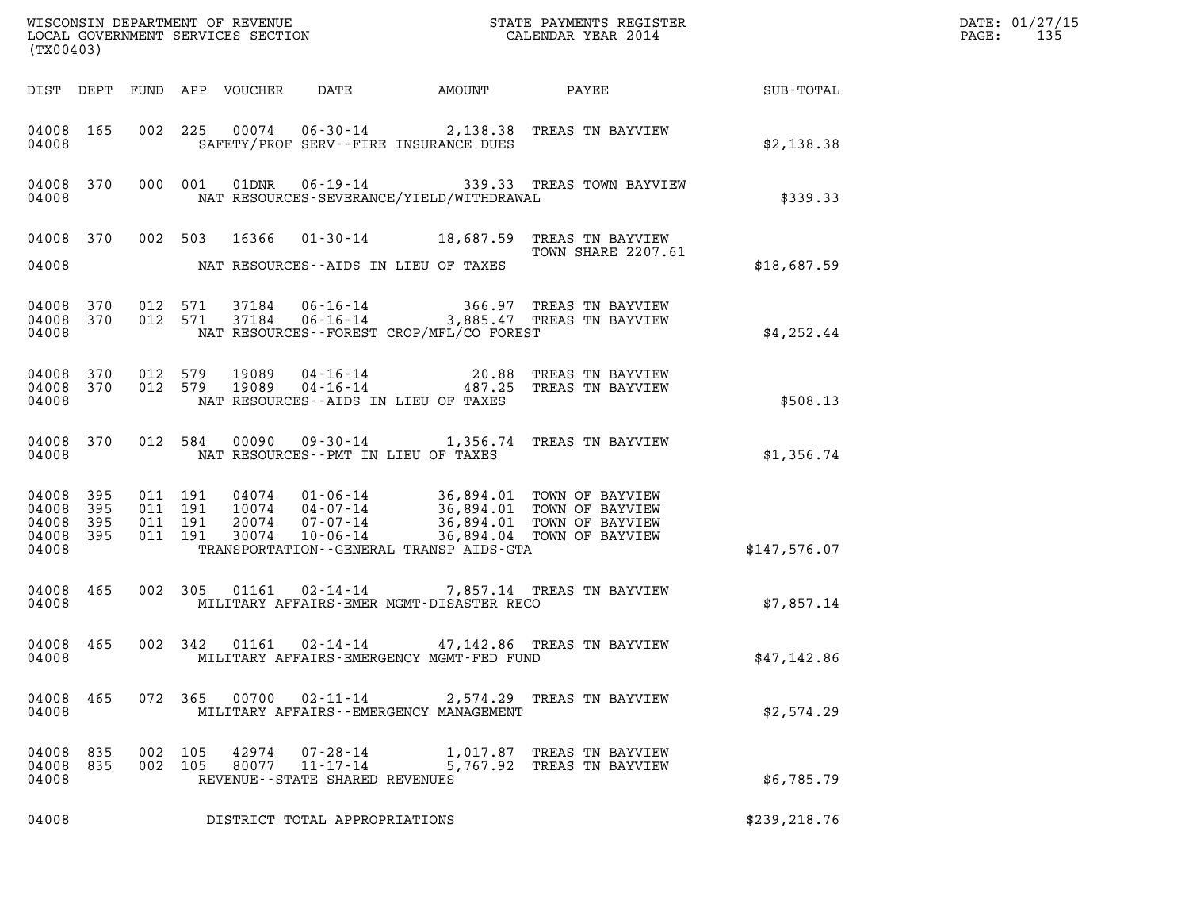| (TX00403)                                 |                          |                    |                                          |                                  |                                                                 |                                                           |                                                                                                                  | DATE: 01/27/15<br>PAGE:<br>135 |  |
|-------------------------------------------|--------------------------|--------------------|------------------------------------------|----------------------------------|-----------------------------------------------------------------|-----------------------------------------------------------|------------------------------------------------------------------------------------------------------------------|--------------------------------|--|
|                                           |                          |                    |                                          | DIST DEPT FUND APP VOUCHER       | DATE                                                            | AMOUNT                                                    | PAYEE                                                                                                            | SUB-TOTAL                      |  |
| 04008 165<br>04008                        |                          |                    | 002 225                                  | 00074                            |                                                                 | SAFETY/PROF SERV--FIRE INSURANCE DUES                     | 06-30-14 2,138.38 TREAS TN BAYVIEW                                                                               | \$2,138.38                     |  |
| 04008 370<br>04008                        |                          |                    | 000 001                                  | 01DNR                            |                                                                 | NAT RESOURCES-SEVERANCE/YIELD/WITHDRAWAL                  | 06-19-14 339.33 TREAS TOWN BAYVIEW                                                                               | \$339.33                       |  |
| 04008 370<br>04008                        |                          |                    | 002 503                                  | 16366                            |                                                                 | NAT RESOURCES--AIDS IN LIEU OF TAXES                      | 01-30-14 18,687.59 TREAS TN BAYVIEW<br><b>TOWN SHARE 2207.61</b>                                                 | \$18,687.59                    |  |
| 04008<br>04008 370<br>04008               | 370                      | 012                | 571<br>012 571                           | 37184<br>37184                   | $06 - 16 - 14$<br>$06 - 16 - 14$                                | NAT RESOURCES - - FOREST CROP/MFL/CO FOREST               | 366.97 TREAS TN BAYVIEW<br>3,885.47 TREAS TN BAYVIEW                                                             | \$4,252.44                     |  |
| 04008 370<br>04008<br>04008               | 370                      | 012 579<br>012 579 |                                          | 19089<br>19089                   | 04-16-14<br>$04 - 16 - 14$                                      | 20.88<br>487.25<br>NAT RESOURCES -- AIDS IN LIEU OF TAXES | TREAS TN BAYVIEW<br>TREAS TN BAYVIEW                                                                             | \$508.13                       |  |
| 04008<br>04008                            | 370                      |                    | 012 584                                  | 00090                            |                                                                 | NAT RESOURCES - - PMT IN LIEU OF TAXES                    | 09-30-14 1,356.74 TREAS TN BAYVIEW                                                                               | \$1,356.74                     |  |
| 04008<br>04008<br>04008<br>04008<br>04008 | 395<br>395<br>395<br>395 |                    | 011 191<br>011 191<br>011 191<br>011 191 | 04074<br>10074<br>20074<br>30074 | $01 - 06 - 14$<br>04-07-14<br>$07 - 07 - 14$<br>$10 - 06 - 14$  | TRANSPORTATION--GENERAL TRANSP AIDS-GTA                   | 36,894.01 TOWN OF BAYVIEW<br>36,894.01 TOWN OF BAYVIEW<br>36,894.01 TOWN OF BAYVIEW<br>36,894.04 TOWN OF BAYVIEW | \$147,576.07                   |  |
| 04008 465<br>04008                        |                          |                    | 002 305                                  | 01161                            | 02-14-14                                                        | MILITARY AFFAIRS-EMER MGMT-DISASTER RECO                  | 7,857.14 TREAS TN BAYVIEW                                                                                        | \$7,857.14                     |  |
| 04008 465<br>04008                        |                          |                    | 002 342                                  | 01161                            | 02-14-14                                                        | MILITARY AFFAIRS-EMERGENCY MGMT-FED FUND                  | 47,142.86 TREAS TN BAYVIEW                                                                                       | \$47,142.86                    |  |
| 04008 465<br>04008                        |                          |                    |                                          |                                  |                                                                 | MILITARY AFFAIRS - - EMERGENCY MANAGEMENT                 | 072  365  00700  02-11-14  2,574.29  TREAS TN BAYVIEW                                                            | \$2,574.29                     |  |
| 04008 835<br>04008                        | 04008 835                | 002 105            | 002 105                                  | 42974                            | 07-28-14<br>80077 11-17-14<br>REVENUE - - STATE SHARED REVENUES |                                                           | 1,017.87 TREAS TN BAYVIEW<br>5,767.92 TREAS TN BAYVIEW                                                           | \$6,785.79                     |  |
| 04008                                     |                          |                    |                                          |                                  | DISTRICT TOTAL APPROPRIATIONS                                   |                                                           |                                                                                                                  | \$239, 218.76                  |  |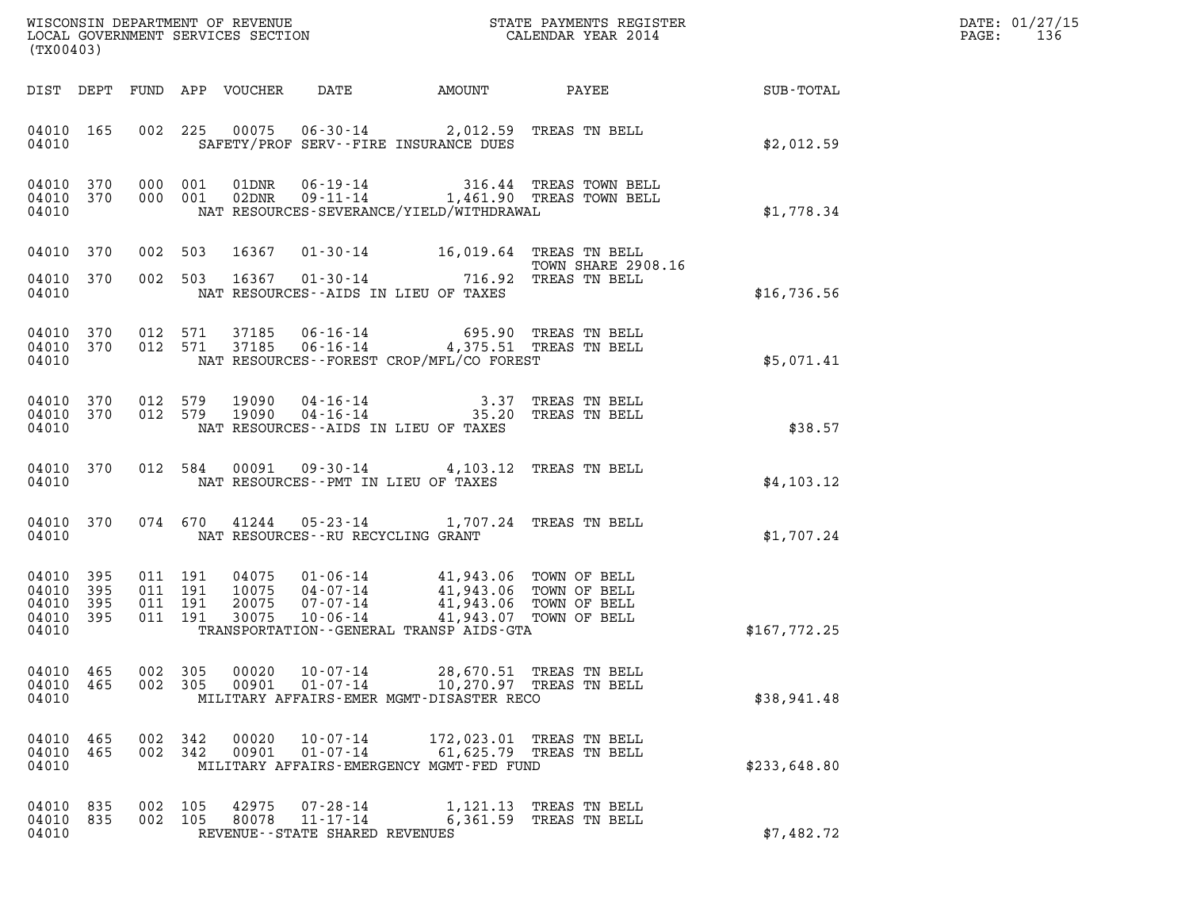| DATE: | 01/27/15 |
|-------|----------|
| PAGE: | 136      |

| (TX00403)                                                          |                    |                                                   | WISCONSIN DEPARTMENT OF REVENUE<br>LOCAL GOVERNMENT SERVICES SECTION $\rm CALENDAR$ YEAR 2014                                                                                                                           |          | DATE: 01/27/15<br>$\mathtt{PAGE:}$<br>136                                                                                                                                                            |              |  |
|--------------------------------------------------------------------|--------------------|---------------------------------------------------|-------------------------------------------------------------------------------------------------------------------------------------------------------------------------------------------------------------------------|----------|------------------------------------------------------------------------------------------------------------------------------------------------------------------------------------------------------|--------------|--|
|                                                                    |                    | DIST DEPT FUND APP VOUCHER                        |                                                                                                                                                                                                                         |          | DATE AMOUNT PAYEE SUB-TOTAL                                                                                                                                                                          |              |  |
| 04010 165<br>04010                                                 |                    |                                                   | 002 225 00075 06-30-14 2,012.59 TREAS TN BELL<br>SAFETY/PROF SERV--FIRE INSURANCE DUES                                                                                                                                  |          |                                                                                                                                                                                                      | \$2,012.59   |  |
| 04010 370<br>04010 370<br>04010                                    |                    |                                                   | NAT RESOURCES-SEVERANCE/YIELD/WITHDRAWAL                                                                                                                                                                                |          | $\begin{tabular}{llllll} 000 & 001 & 01 \texttt{DNR} & 06-19-14 & & 316.44 \texttt{ TREAS TOWN BELL} \\ 000 & 001 & 02 \texttt{DNR} & 09-11-14 & & 1,461.90 \texttt{ TREAS TOWN BELL} \end{tabular}$ | \$1,778.34   |  |
| 04010 370                                                          |                    | 002 503                                           | 16367  01-30-14  16,019.64  TREAS TN BELL                                                                                                                                                                               |          | TOWN SHARE 2908.16                                                                                                                                                                                   |              |  |
| 04010 370<br>04010                                                 |                    | 002 503                                           | 716.92 TOWN SHARE<br>TREAS TN BELL 716.92 TREAS TN BELL<br>NAT RESOURCES -- AIDS IN LIEU OF TAXES                                                                                                                       |          |                                                                                                                                                                                                      | \$16,736.56  |  |
| 04010 370<br>04010 370<br>04010                                    |                    |                                                   | 012 571 37185 06-16-14 695.90 TREAS TN BELL<br>012 571 37185 06-16-14 4,375.51 TREAS TN BELL<br>NAT RESOURCES -- FOREST CROP/MFL/CO FOREST                                                                              |          |                                                                                                                                                                                                      | \$5,071.41   |  |
| 04010 370<br>04010 370<br>04010                                    |                    |                                                   | 012 579 19090 04-16-14 3.37 TREAS TN BELL<br>012 579 19090 04-16-14 35.20 TREAS TN BELL<br>NAT RESOURCES--AIDS IN LIEU OF TAXES                                                                                         |          |                                                                                                                                                                                                      | \$38.57      |  |
| 04010 370<br>04010                                                 |                    |                                                   | 012 584 00091 09-30-14 4,103.12 TREAS TN BELL<br>NAT RESOURCES--PMT IN LIEU OF TAXES                                                                                                                                    |          |                                                                                                                                                                                                      | \$4,103.12   |  |
| 04010 370<br>04010                                                 |                    |                                                   | 074 670 41244 05-23-14 1,707.24 TREAS TN BELL<br>NAT RESOURCES--RU RECYCLING GRANT                                                                                                                                      |          |                                                                                                                                                                                                      | \$1,707.24   |  |
| 04010<br>395<br>04010<br>395<br>04010<br>395<br>04010 395<br>04010 |                    | 011 191<br>04075<br>011 191<br>011 191<br>011 191 | 04075  01-06-14  41,943.06  TOWN OF BELL<br>10075  04-07-14  41,943.06  TOWN OF BELL<br>20075  07-07-14  41,943.06  TOWN OF BELL<br>30075  10-06-14  41,943.07  TOWN OF BELL<br>TRANSPORTATION--GENERAL TRANSP AIDS-GTA |          |                                                                                                                                                                                                      | \$167,772.25 |  |
| 04010 465<br>04010<br>465<br>04010                                 | 002                | 305<br>00020<br>002 305<br>00901                  | $10 - 07 - 14$<br>$01 - 07 - 14$<br>MILITARY AFFAIRS-EMER MGMT-DISASTER RECO                                                                                                                                            |          | 28,670.51 TREAS TN BELL<br>10,270.97 TREAS TN BELL                                                                                                                                                   | \$38,941.48  |  |
| 04010<br>465<br>04010 465<br>04010                                 | 002 342<br>002 342 | 00020<br>00901                                    | $10 - 07 - 14$<br>$01 - 07 - 14$<br>MILITARY AFFAIRS-EMERGENCY MGMT-FED FUND                                                                                                                                            |          | 172,023.01 TREAS TN BELL<br>61,625.79 TREAS TN BELL                                                                                                                                                  | \$233,648.80 |  |
| 04010 835<br>04010<br>835<br>04010                                 | 002 105<br>002 105 | 42975<br>80078                                    | 07-28-14<br>11-17-14<br>REVENUE - - STATE SHARED REVENUES                                                                                                                                                               | 6,361.59 | 1,121.13 TREAS TN BELL<br>TREAS TN BELL                                                                                                                                                              | \$7,482.72   |  |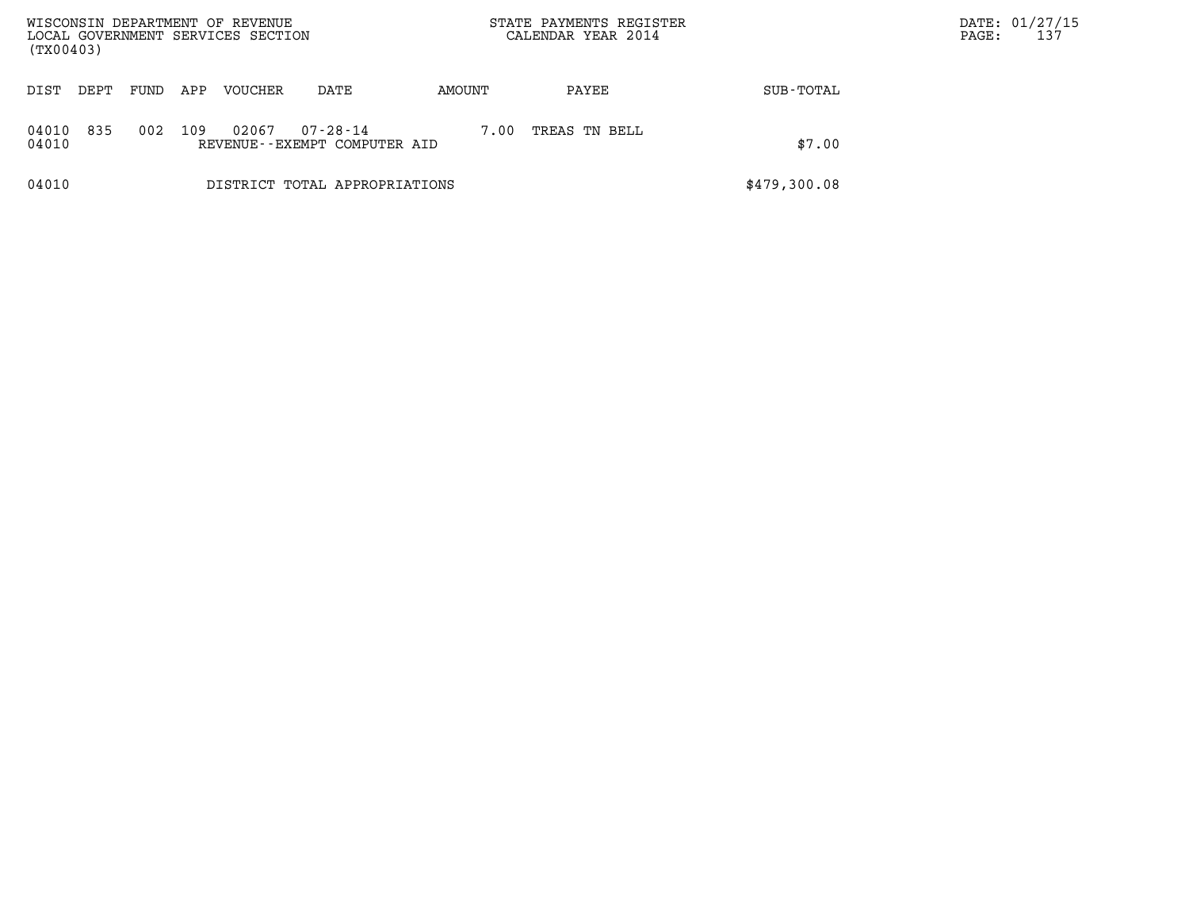| WISCONSIN DEPARTMENT OF REVENUE<br>LOCAL GOVERNMENT SERVICES SECTION<br>(TX00403) |      |     |         |                                                |        |      | STATE PAYMENTS REGISTER<br>CALENDAR YEAR 2014 |              | PAGE: | DATE: 01/27/15<br>137 |  |
|-----------------------------------------------------------------------------------|------|-----|---------|------------------------------------------------|--------|------|-----------------------------------------------|--------------|-------|-----------------------|--|
| DIST<br>DEPT                                                                      | FUND | APP | VOUCHER | DATE                                           | AMOUNT |      | PAYEE                                         | SUB-TOTAL    |       |                       |  |
| 835<br>04010<br>04010                                                             | 002  | 109 | 02067   | $07 - 28 - 14$<br>REVENUE--EXEMPT COMPUTER AID |        | 7.00 | TREAS TN BELL                                 | \$7.00       |       |                       |  |
| 04010                                                                             |      |     |         | DISTRICT TOTAL APPROPRIATIONS                  |        |      |                                               | \$479,300.08 |       |                       |  |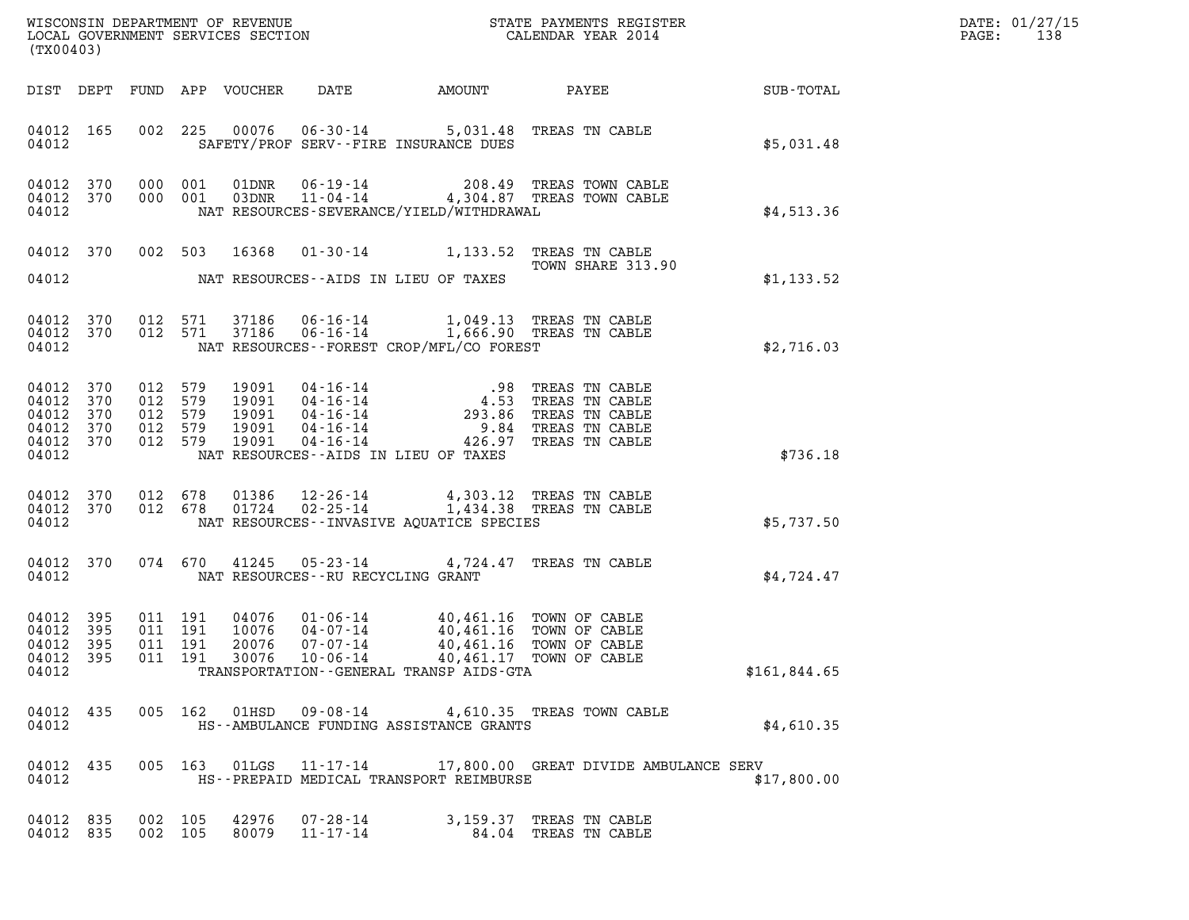| $\mathtt{DATE}$ : | 01/27/15 |
|-------------------|----------|
| PAGE:             | 138      |

| WISCONSIN DEPARTMENT OF REVENUE<br>LOCAL GOVERNMENT SERVICES SECTION $\rm CALENDAR$ YEAR 2014<br>(TX00403)                                                                                                                                                                                                                                                                            | DATE: 01/27/15<br>$\mathtt{PAGE}$ :<br>138 |
|---------------------------------------------------------------------------------------------------------------------------------------------------------------------------------------------------------------------------------------------------------------------------------------------------------------------------------------------------------------------------------------|--------------------------------------------|
| DIST DEPT FUND APP VOUCHER<br>DATE AMOUNT PAYEE SUB-TOTAL                                                                                                                                                                                                                                                                                                                             |                                            |
| 002 225 00076 06-30-14 5,031.48 TREAS TN CABLE<br>04012 165<br>SAFETY/PROF SERV--FIRE INSURANCE DUES<br>04012<br>\$5,031.48                                                                                                                                                                                                                                                           |                                            |
| 000 001 01DNR 06-19-14 208.49 TREAS TOWN CABLE<br>000 001 03DNR 11-04-14 4,304.87 TREAS TOWN CABLE<br>04012 370<br>04012 370<br>NAT RESOURCES-SEVERANCE/YIELD/WITHDRAWAL<br>\$4,513.36<br>04012                                                                                                                                                                                       |                                            |
| 002 503 16368 01-30-14 1,133.52 TREAS TN CABLE<br>04012 370<br>TOWN SHARE 313.90<br>NAT RESOURCES--AIDS IN LIEU OF TAXES<br>04012<br>\$1,133.52                                                                                                                                                                                                                                       |                                            |
| 04012 370 012 571 37186 06-16-14 1,049.13 TREAS TN CABLE 04012 370 012 571 37186 06-16-14 1,666.90 TREAS TN CABLE<br>NAT RESOURCES - - FOREST CROP/MFL/CO FOREST<br>04012<br>\$2,716.03                                                                                                                                                                                               |                                            |
| 04012 370<br>012 579<br>19091 04-16-14 .98 TREAS TN CABLE<br>19091 04-16-14 4.53 TREAS TN CABLE<br>19091 04-16-14 293.86 TREAS TN CABLE<br>19091 04-16-14 9.84 TREAS TN CABLE<br>19091 04-16-14 426.97 TREAS TN CABLE<br>04012 370<br>012 579<br>04012<br>370<br>012 579<br>012 579<br>04012 370<br>04012 370<br>012 579<br>NAT RESOURCES--AIDS IN LIEU OF TAXES<br>04012<br>\$736.18 |                                            |
| 012 678 01386 12-26-14 4,303.12 TREAS TN CABLE<br>012 678 01724 02-25-14 1,434.38 TREAS TN CABLE<br>04012 370<br>04012 370<br>04012<br>NAT RESOURCES--INVASIVE AQUATICE SPECIES<br>\$5,737.50                                                                                                                                                                                         |                                            |
| 04012 370<br>074 670 41245 05-23-14 4,724.47 TREAS TN CABLE<br>04012<br>NAT RESOURCES--RU RECYCLING GRANT<br>\$4,724.47                                                                                                                                                                                                                                                               |                                            |
| 04076  01-06-14  40,461.16 TOWN OF CABLE<br>10076  04-07-14  40,461.16 TOWN OF CABLE<br>04012 395<br>011 191<br>011 191<br>04012<br>395<br>011 191<br>04012 395<br>20076<br>07-07-14<br>40,461.16 TOWN OF CABLE<br>04012 395<br>011  191  30076  10-06-14  40,461.17  TOWN OF CABLE<br>\$161,844.65<br>04012<br>TRANSPORTATION--GENERAL TRANSP AIDS-GTA                               |                                            |
| 005 162 01HSD 09-08-14 4,610.35 TREAS TOWN CABLE<br>04012 435<br>04012<br>HS--AMBULANCE FUNDING ASSISTANCE GRANTS<br>\$4,610.35                                                                                                                                                                                                                                                       |                                            |
| 005 163 01LGS 11-17-14 17,800.00 GREAT DIVIDE AMBULANCE SERV<br>04012 435<br>HS--PREPAID MEDICAL TRANSPORT REIMBURSE<br>04012<br>\$17,800.00                                                                                                                                                                                                                                          |                                            |
| 04012 835<br>002 105<br>42976 07-28-14<br>3,159.37 TREAS TN CABLE<br>04012 835<br>002 105<br>80079<br>11-17-14<br>84.04 TREAS TN CABLE                                                                                                                                                                                                                                                |                                            |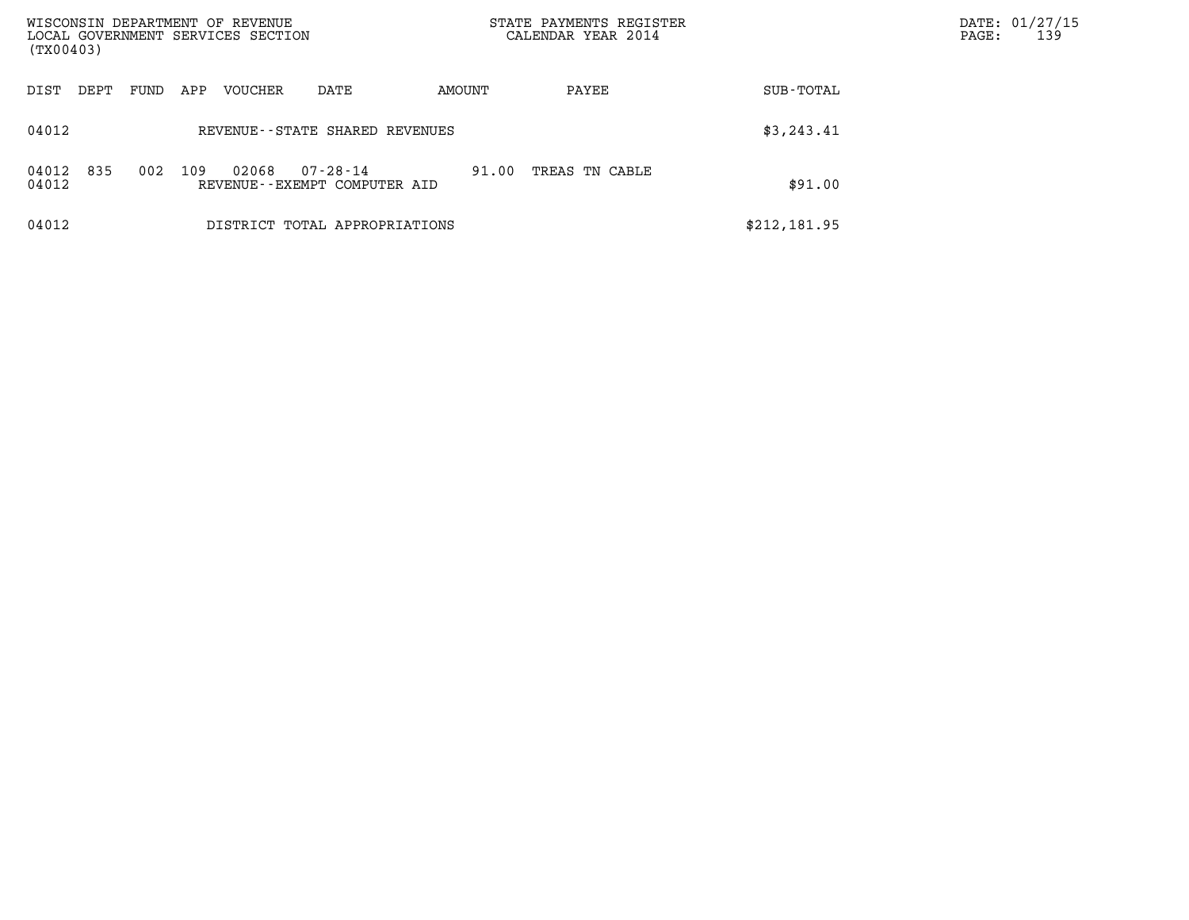| WISCONSIN DEPARTMENT OF REVENUE                                              |                                   | STATE PAYMENTS REGISTER |              | DATE: 01/27/15 |
|------------------------------------------------------------------------------|-----------------------------------|-------------------------|--------------|----------------|
| LOCAL GOVERNMENT SERVICES SECTION<br>(TX00403)                               |                                   | CALENDAR YEAR 2014      | PAGE:        | 139            |
| VOUCHER<br>DIST<br>FUND<br>APP<br>DEPT                                       | AMOUNT<br>DATE                    | PAYEE                   | SUB-TOTAL    |                |
| 04012                                                                        | REVENUE - - STATE SHARED REVENUES |                         | \$3, 243.41  |                |
| 835<br>109<br>04012<br>002<br>02068<br>04012<br>REVENUE--EXEMPT COMPUTER AID | 07-28-14<br>91.00                 | TREAS TN CABLE          | \$91.00      |                |
| 04012                                                                        | DISTRICT TOTAL APPROPRIATIONS     |                         | \$212,181.95 |                |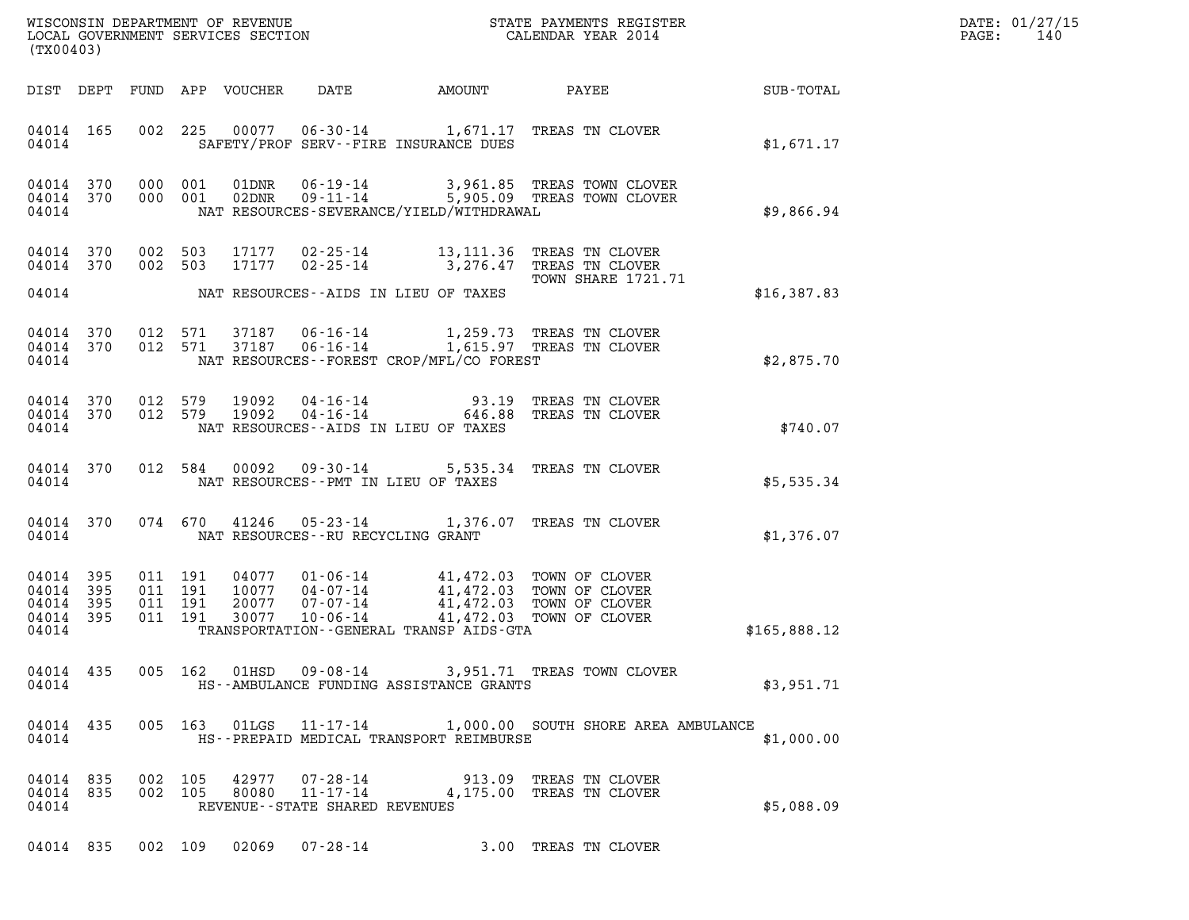| DATE: | 01/27/15 |
|-------|----------|
| PAGE: | 140      |

| (TX00403)                                 |                          |                                          |                            |                                |                                                                                                                                                                          |                                                                                                      |                        | DATE: 01/27/15<br>PAGE:<br>140 |
|-------------------------------------------|--------------------------|------------------------------------------|----------------------------|--------------------------------|--------------------------------------------------------------------------------------------------------------------------------------------------------------------------|------------------------------------------------------------------------------------------------------|------------------------|--------------------------------|
|                                           |                          |                                          | DIST DEPT FUND APP VOUCHER | DATE                           |                                                                                                                                                                          |                                                                                                      | AMOUNT PAYEE SUB-TOTAL |                                |
| 04014 165<br>04014                        |                          | 002 225                                  |                            |                                | SAFETY/PROF SERV--FIRE INSURANCE DUES                                                                                                                                    | 00077  06-30-14  1,671.17  TREAS TN CLOVER                                                           | \$1,671.17             |                                |
| 04014 370<br>04014 370<br>04014           |                          | 000 001<br>000 001                       |                            |                                | NAT RESOURCES-SEVERANCE/YIELD/WITHDRAWAL                                                                                                                                 |                                                                                                      | \$9,866.94             |                                |
| 04014<br>04014 370<br>04014               | 370                      | 002 503<br>002 503                       | 17177<br>17177             |                                | NAT RESOURCES--AIDS IN LIEU OF TAXES                                                                                                                                     | 02-25-14 13,111.36 TREAS TN CLOVER<br>02-25-14 3,276.47 TREAS TN CLOVER<br><b>TOWN SHARE 1721.71</b> | \$16,387.83            |                                |
| 04014<br>04014 370<br>04014               | 370                      |                                          |                            |                                | NAT RESOURCES - - FOREST CROP/MFL/CO FOREST                                                                                                                              | 012 571 37187 06-16-14 1,259.73 TREAS TN CLOVER<br>012 571 37187 06-16-14 1,615.97 TREAS TN CLOVER   | \$2,875.70             |                                |
| 04014 370<br>04014 370<br>04014           |                          |                                          |                            |                                | NAT RESOURCES--AIDS IN LIEU OF TAXES                                                                                                                                     | 012 579 19092 04-16-14 93.19 TREAS TN CLOVER<br>012 579 19092 04-16-14 646.88 TREAS TN CLOVER        | \$740.07               |                                |
| 04014 370<br>04014                        |                          |                                          |                            |                                | NAT RESOURCES -- PMT IN LIEU OF TAXES                                                                                                                                    | 012 584 00092 09-30-14 5,535.34 TREAS TN CLOVER                                                      | \$5,535.34             |                                |
| 04014 370<br>04014                        |                          |                                          |                            |                                | NAT RESOURCES--RU RECYCLING GRANT                                                                                                                                        | 074 670 41246 05-23-14 1,376.07 TREAS TN CLOVER                                                      | \$1,376.07             |                                |
| 04014<br>04014<br>04014<br>04014<br>04014 | 395<br>395<br>395<br>395 | 011 191<br>011 191<br>011 191<br>011 191 | 30077                      | 10-06-14                       | 04077 01-06-14 41,472.03 TOWN OF CLOVER<br>10077 04-07-14 41,472.03 TOWN OF CLOVER<br>20077 07-07-14 41,472.03 TOWN OF CLOVER<br>TRANSPORTATION--GENERAL TRANSP AIDS-GTA | 41,472.03 TOWN OF CLOVER                                                                             | \$165,888.12           |                                |
| 04014 435<br>04014                        |                          |                                          |                            |                                | HS--AMBULANCE FUNDING ASSISTANCE GRANTS                                                                                                                                  | 005 162 01HSD 09-08-14 3,951.71 TREAS TOWN CLOVER                                                    | \$3,951.71             |                                |
| 04014 435<br>04014                        |                          |                                          |                            |                                | HS--PREPAID MEDICAL TRANSPORT REIMBURSE                                                                                                                                  | 005 163 01LGS 11-17-14 1,000.00 SOUTH SHORE AREA AMBULANCE                                           | \$1,000.00             |                                |
| 04014 835<br>04014 835<br>04014           |                          | 002 105<br>002 105                       | 42977<br>80080             | REVENUE--STATE SHARED REVENUES |                                                                                                                                                                          | 07-28-14 913.09 TREAS TN CLOVER<br>11-17-14 4,175.00 TREAS TN CLOVER                                 | \$5,088.09             |                                |
|                                           |                          |                                          |                            |                                |                                                                                                                                                                          | 04014 835 002 109 02069 07-28-14 3.00 TREAS TN CLOVER                                                |                        |                                |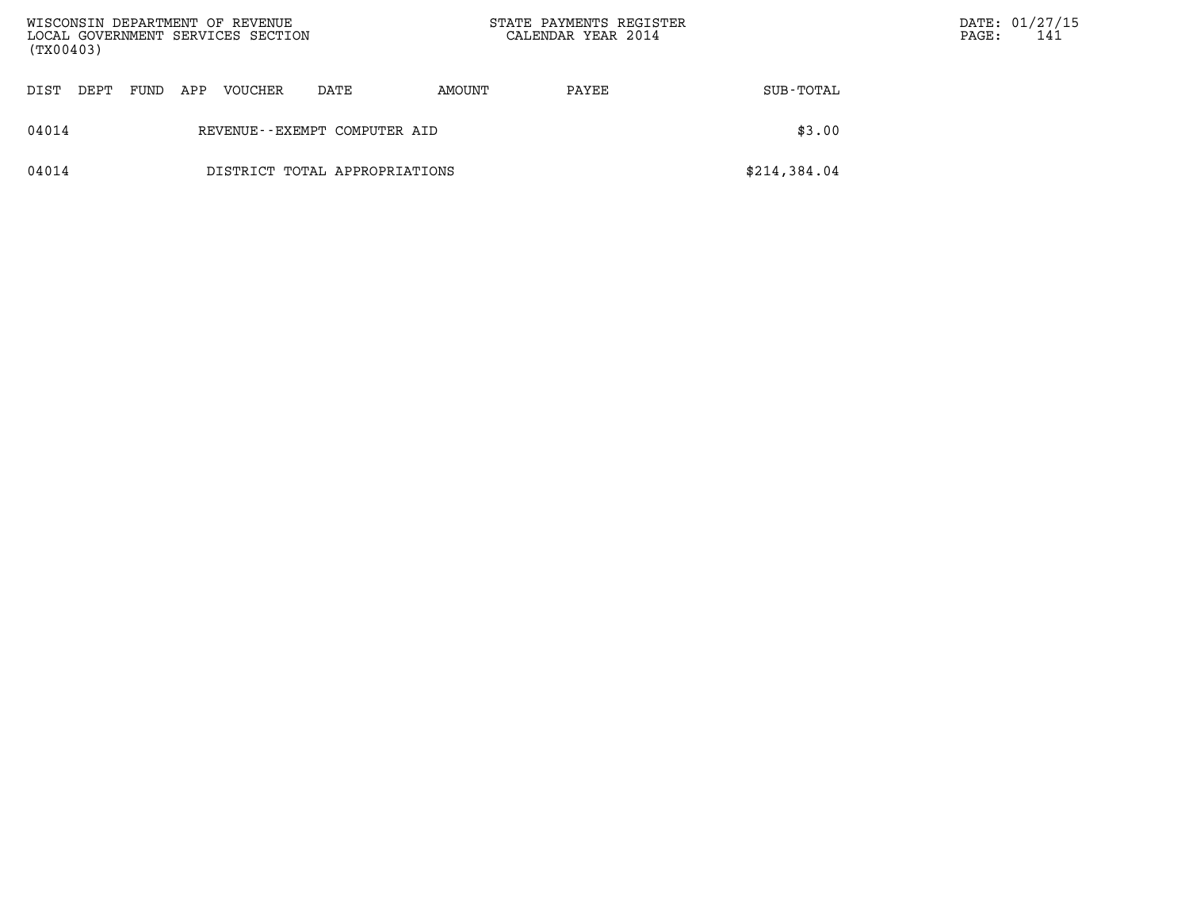| WISCONSIN DEPARTMENT OF REVENUE<br>LOCAL GOVERNMENT SERVICES SECTION<br>(TX00403) |      |      |     |         |                               | STATE PAYMENTS REGISTER<br>CALENDAR YEAR 2014 |       |              | $\mathtt{PAGE}$ : | DATE: 01/27/15<br>141 |
|-----------------------------------------------------------------------------------|------|------|-----|---------|-------------------------------|-----------------------------------------------|-------|--------------|-------------------|-----------------------|
| DIST                                                                              | DEPT | FUND | APP | VOUCHER | DATE                          | AMOUNT                                        | PAYEE | SUB-TOTAL    |                   |                       |
| 04014                                                                             |      |      |     |         | REVENUE--EXEMPT COMPUTER AID  |                                               |       | \$3.00       |                   |                       |
| 04014                                                                             |      |      |     |         | DISTRICT TOTAL APPROPRIATIONS |                                               |       | \$214,384.04 |                   |                       |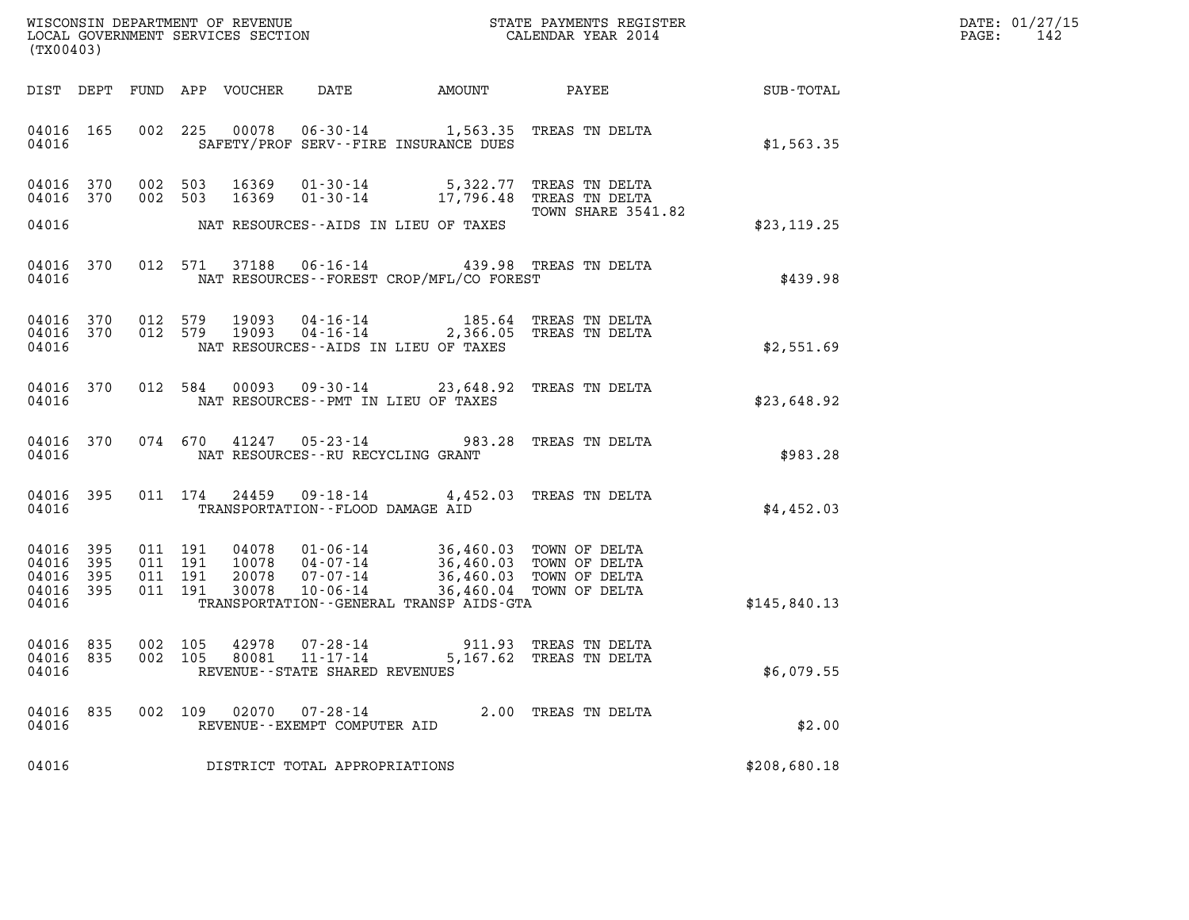| DATE: | 01/27/15 |
|-------|----------|
| PAGE: | 142      |

| (TX00403)                                     |                   |                    |                               |                                  |                                                                      |                                                                                                                                            |                                                                                             |              |  |  |  |
|-----------------------------------------------|-------------------|--------------------|-------------------------------|----------------------------------|----------------------------------------------------------------------|--------------------------------------------------------------------------------------------------------------------------------------------|---------------------------------------------------------------------------------------------|--------------|--|--|--|
|                                               |                   |                    |                               | DIST DEPT FUND APP VOUCHER       | DATE                                                                 | AMOUNT                                                                                                                                     | <b>PAYEE</b> FOUND THE PAYEE                                                                | SUB-TOTAL    |  |  |  |
| 04016 165<br>04016                            |                   |                    |                               |                                  |                                                                      | SAFETY/PROF SERV--FIRE INSURANCE DUES                                                                                                      | 002 225 00078 06-30-14 1,563.35 TREAS TN DELTA                                              | \$1,563.35   |  |  |  |
| 04016 370<br>04016 370                        |                   |                    | 002 503<br>002 503            | 16369<br>16369                   |                                                                      |                                                                                                                                            | 01-30-14 5,322.77 TREAS TN DELTA<br>01-30-14 17,796.48 TREAS TN DELTA<br>TOWN SHARE 3541.82 |              |  |  |  |
| 04016                                         |                   |                    |                               |                                  |                                                                      | NAT RESOURCES--AIDS IN LIEU OF TAXES                                                                                                       |                                                                                             | \$23,119.25  |  |  |  |
| 04016                                         | 04016 370         |                    |                               |                                  |                                                                      | NAT RESOURCES - - FOREST CROP/MFL/CO FOREST                                                                                                | 012 571 37188 06-16-14 439.98 TREAS TN DELTA                                                | \$439.98     |  |  |  |
| 04016 370<br>04016                            | 04016 370         | 012 579<br>012 579 |                               | 19093<br>19093                   | 04-16-14                                                             | NAT RESOURCES--AIDS IN LIEU OF TAXES                                                                                                       | 185.64 TREAS TN DELTA<br>04-16-14 2,366.05 TREAS TN DELTA                                   | \$2,551.69   |  |  |  |
| 04016 370<br>04016                            |                   |                    | 012 584                       | 00093                            |                                                                      | NAT RESOURCES -- PMT IN LIEU OF TAXES                                                                                                      | 09-30-14 23,648.92 TREAS TN DELTA                                                           | \$23,648.92  |  |  |  |
| 04016                                         | 04016 370         |                    | 074 670                       |                                  | $41247$ 05-23-14<br>NAT RESOURCES - - RU RECYCLING GRANT             |                                                                                                                                            | 983.28 TREAS TN DELTA                                                                       | \$983.28     |  |  |  |
| 04016 395<br>04016                            |                   |                    | 011 174                       | 24459                            | TRANSPORTATION--FLOOD DAMAGE AID                                     |                                                                                                                                            | 09-18-14 4,452.03 TREAS TN DELTA                                                            | \$4,452.03   |  |  |  |
| 04016<br>04016<br>04016<br>04016 395<br>04016 | 395<br>395<br>395 | 011 191            | 011 191<br>011 191<br>011 191 | 04078<br>10078<br>20078<br>30078 | 07-07-14<br>$10 - 06 - 14$                                           | 01-06-14 36,460.03 TOWN OF DELTA<br>04-07-14 36,460.03 TOWN OF DELTA<br>36,460.03 TOWN OF DELTA<br>TRANSPORTATION--GENERAL TRANSP AIDS-GTA | 36,460.04 TOWN OF DELTA                                                                     | \$145,840.13 |  |  |  |
| 04016 835<br>04016                            | 04016 835         |                    |                               | 002 105 42978                    | 07-28-14<br>002 105 80081 11-17-14<br>REVENUE--STATE SHARED REVENUES |                                                                                                                                            | 911.93 TREAS TN DELTA<br>5,167.62 TREAS TN DELTA                                            | \$6,079.55   |  |  |  |
| 04016 835<br>04016                            |                   |                    | 002 109                       |                                  | 02070  07-28-14<br>REVENUE--EXEMPT COMPUTER AID                      |                                                                                                                                            | 2.00 TREAS TN DELTA                                                                         | \$2.00       |  |  |  |
| 04016                                         |                   |                    |                               |                                  | DISTRICT TOTAL APPROPRIATIONS                                        |                                                                                                                                            |                                                                                             | \$208,680.18 |  |  |  |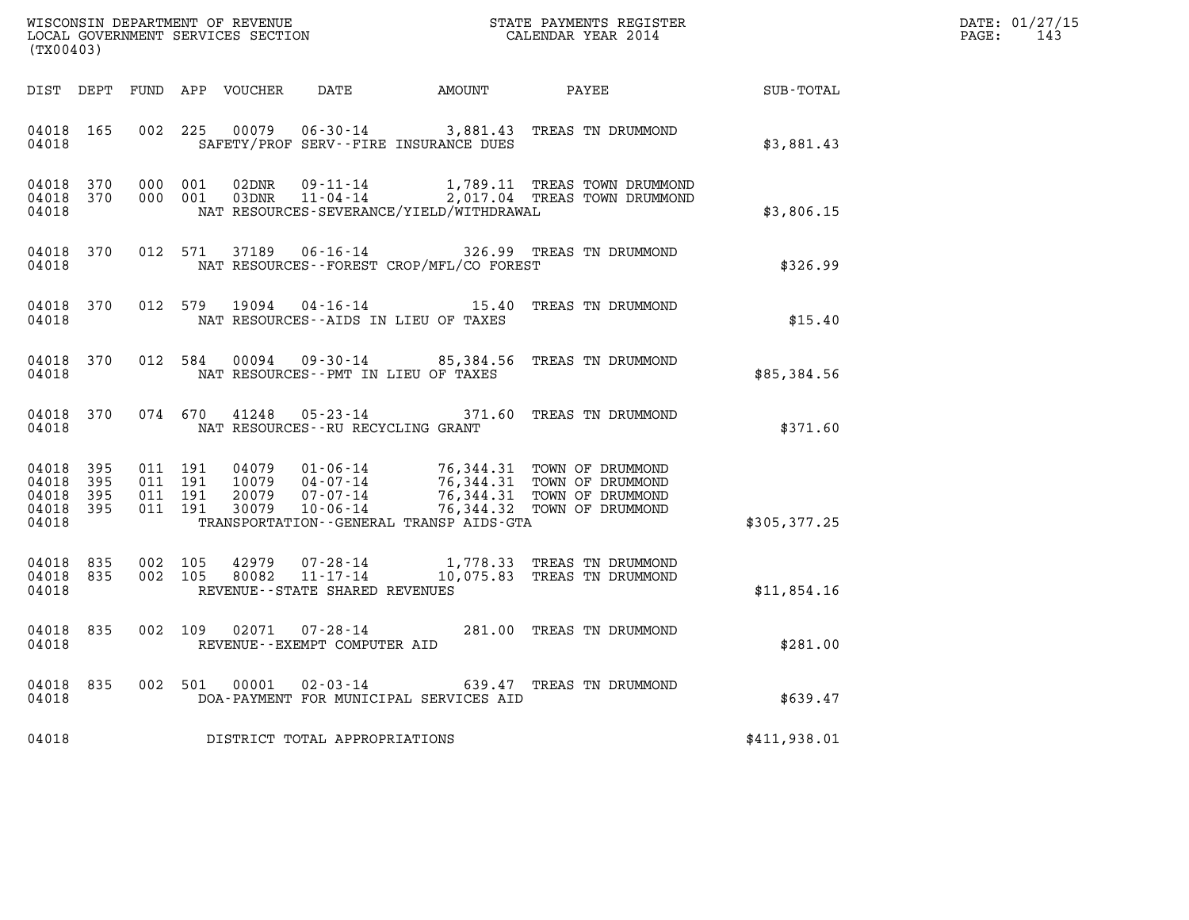|       | DATE: 01/27/15 |
|-------|----------------|
| PAGE: | 143            |

| ${\tt WISCOONSIM} \begin{tabular}{lcccc} {\tt NISCOONSIM} \end{tabular} \begin{tabular}{lcccc} {\tt NISCOAN} \end{tabular} \begin{tabular}{lcccc} {\tt NUCAL} \end{tabular} \begin{tabular}{lcccc} {\tt NUCAL} \end{tabular} \begin{tabular}{lcccc} {\tt NUCAL} \end{tabular} \begin{tabular}{lcccc} {\tt NUCAL} \end{tabular} \end{tabular} \begin{tabular}{lcccc} {\tt NUCAL} \end{tabular} \begin{tabular}{lcccc} {\tt NUCAL} \end{tabular} \end{tabular} \begin{tabular}{lcccc} {\tt NUCAL} \end{tabular} \begin{tabular}{lcccc} {\tt$<br>(TX00403) |           |  |                                          |                            |                                                              |                                              |                                                                                                                                                                                                          |               | DATE: 01/27/15<br>$\mathtt{PAGE:}$<br>143 |
|---------------------------------------------------------------------------------------------------------------------------------------------------------------------------------------------------------------------------------------------------------------------------------------------------------------------------------------------------------------------------------------------------------------------------------------------------------------------------------------------------------------------------------------------------------|-----------|--|------------------------------------------|----------------------------|--------------------------------------------------------------|----------------------------------------------|----------------------------------------------------------------------------------------------------------------------------------------------------------------------------------------------------------|---------------|-------------------------------------------|
|                                                                                                                                                                                                                                                                                                                                                                                                                                                                                                                                                         |           |  |                                          | DIST DEPT FUND APP VOUCHER |                                                              |                                              | DATE AMOUNT PAYEE SUB-TOTAL                                                                                                                                                                              |               |                                           |
| 04018 165<br>04018                                                                                                                                                                                                                                                                                                                                                                                                                                                                                                                                      |           |  | 002 225                                  | 00079                      |                                                              | SAFETY/PROF SERV--FIRE INSURANCE DUES        | 06-30-14 3,881.43 TREAS TN DRUMMOND                                                                                                                                                                      | \$3,881.43    |                                           |
| 04018 370<br>04018                                                                                                                                                                                                                                                                                                                                                                                                                                                                                                                                      | 04018 370 |  | 000 001<br>000 001                       | 02DNR<br>03DNR             |                                                              | NAT RESOURCES-SEVERANCE/YIELD/WITHDRAWAL     | 09-11-14 1,789.11 TREAS TOWN DRUMMOND<br>11-04-14 2,017.04 TREAS TOWN DRUMMOND                                                                                                                           | \$3,806.15    |                                           |
| 04018 370<br>04018                                                                                                                                                                                                                                                                                                                                                                                                                                                                                                                                      |           |  |                                          |                            |                                                              | NAT RESOURCES--FOREST CROP/MFL/CO FOREST     | 012 571 37189 06-16-14 326.99 TREAS TN DRUMMOND                                                                                                                                                          | \$326.99      |                                           |
| 04018<br>04018                                                                                                                                                                                                                                                                                                                                                                                                                                                                                                                                          | 370       |  |                                          | 012 579 19094              |                                                              | NAT RESOURCES -- AIDS IN LIEU OF TAXES       | 04-16-14 15.40 TREAS TN DRUMMOND                                                                                                                                                                         | \$15.40       |                                           |
| 04018                                                                                                                                                                                                                                                                                                                                                                                                                                                                                                                                                   | 04018 370 |  | 012 584                                  |                            |                                                              | NAT RESOURCES -- PMT IN LIEU OF TAXES        | 00094  09-30-14  85,384.56  TREAS TN DRUMMOND                                                                                                                                                            | \$85,384.56   |                                           |
| 04018                                                                                                                                                                                                                                                                                                                                                                                                                                                                                                                                                   | 04018 370 |  |                                          | 074 670 41248              | NAT RESOURCES--RU RECYCLING GRANT                            |                                              | 05-23-14 371.60 TREAS TN DRUMMOND                                                                                                                                                                        | \$371.60      |                                           |
| 04018 395<br>04018<br>04018 395<br>04018 395<br>04018                                                                                                                                                                                                                                                                                                                                                                                                                                                                                                   | 395       |  | 011 191<br>011 191<br>011 191<br>011 191 | 30079                      | $10 - 06 - 14$                                               | TRANSPORTATION - - GENERAL TRANSP AIDS - GTA | 04079  01-06-14  76,344.31  TOWN OF DRUMMOND<br>10079  04-07-14  76,344.31  TOWN OF DRUMMOND<br>20079  07-07-14  76.344.31  TOWN OF DRUMMOND<br>76,344.31 TOWN OF DRUMMOND<br>76,344.32 TOWN OF DRUMMOND | \$305, 377.25 |                                           |
| 04018 835<br>04018 835<br>04018                                                                                                                                                                                                                                                                                                                                                                                                                                                                                                                         |           |  | 002 105<br>002 105                       | 42979<br>80082             | 07-28-14<br>$11 - 17 - 14$<br>REVENUE--STATE SHARED REVENUES |                                              | 1,778.33 TREAS TN DRUMMOND<br>10,075.83 TREAS TN DRUMMOND                                                                                                                                                | \$11,854.16   |                                           |
| 04018 835<br>04018                                                                                                                                                                                                                                                                                                                                                                                                                                                                                                                                      |           |  | 002 109                                  |                            | REVENUE--EXEMPT COMPUTER AID                                 |                                              | 02071  07-28-14  281.00 TREAS TN DRUMMOND                                                                                                                                                                | \$281.00      |                                           |
| 04018 835<br>04018                                                                                                                                                                                                                                                                                                                                                                                                                                                                                                                                      |           |  |                                          |                            |                                                              | DOA-PAYMENT FOR MUNICIPAL SERVICES AID       | 002 501 00001 02-03-14 639.47 TREAS TN DRUMMOND                                                                                                                                                          | \$639.47      |                                           |
| 04018                                                                                                                                                                                                                                                                                                                                                                                                                                                                                                                                                   |           |  |                                          |                            | DISTRICT TOTAL APPROPRIATIONS                                |                                              |                                                                                                                                                                                                          | \$411,938.01  |                                           |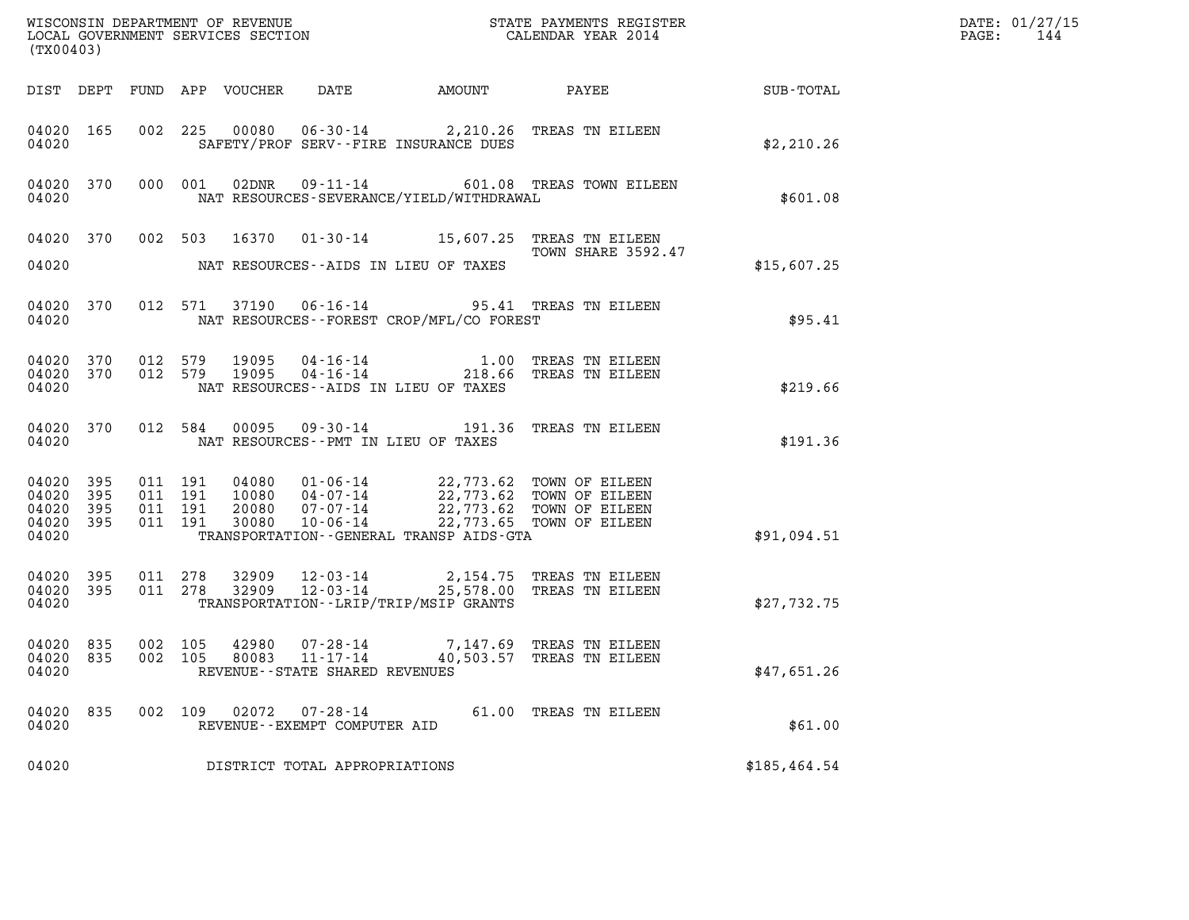| (TX00403)                                |                        |         |                                          |                                 |                                                    |                                             |                                                                                                                                                                                  |              | DATE: 01/27/15<br>$\mathtt{PAGE:}$<br>144 |
|------------------------------------------|------------------------|---------|------------------------------------------|---------------------------------|----------------------------------------------------|---------------------------------------------|----------------------------------------------------------------------------------------------------------------------------------------------------------------------------------|--------------|-------------------------------------------|
|                                          |                        |         |                                          | DIST DEPT FUND APP VOUCHER DATE |                                                    |                                             | AMOUNT PAYEE SUB-TOTAL                                                                                                                                                           |              |                                           |
| 04020                                    | 04020 165              |         |                                          |                                 |                                                    | SAFETY/PROF SERV--FIRE INSURANCE DUES       | 002 225 00080 06-30-14 2,210.26 TREAS TN EILEEN                                                                                                                                  | \$2,210.26   |                                           |
| 04020                                    | 04020 370              |         | 000 001                                  |                                 |                                                    | NAT RESOURCES-SEVERANCE/YIELD/WITHDRAWAL    | 02DNR  09-11-14  601.08 TREAS TOWN EILEEN                                                                                                                                        | \$601.08     |                                           |
|                                          |                        |         |                                          |                                 |                                                    |                                             | 04020 370 002 503 16370 01-30-14 15,607.25 TREAS TN EILEEN<br>TOWN SHARE 3592.47                                                                                                 |              |                                           |
| 04020                                    |                        |         |                                          |                                 |                                                    | NAT RESOURCES--AIDS IN LIEU OF TAXES        |                                                                                                                                                                                  | \$15,607.25  |                                           |
| 04020                                    | 04020 370              |         |                                          |                                 |                                                    | NAT RESOURCES - - FOREST CROP/MFL/CO FOREST | 012 571 37190 06-16-14 95.41 TREAS TN EILEEN                                                                                                                                     | \$95.41      |                                           |
| 04020                                    |                        |         |                                          |                                 |                                                    | NAT RESOURCES--AIDS IN LIEU OF TAXES        | 04020 370 012 579 19095 04-16-14 1.00 TREAS TN EILEEN<br>04020 370 012 579 19095 04-16-14 218.66 TREAS TN EILEEN                                                                 | \$219.66     |                                           |
| 04020                                    |                        |         |                                          |                                 |                                                    | NAT RESOURCES -- PMT IN LIEU OF TAXES       | 04020 370 012 584 00095 09-30-14 191.36 TREAS TN EILEEN                                                                                                                          | \$191.36     |                                           |
| 04020 395<br>04020<br>04020 395<br>04020 | 395<br>04020 395       |         | 011 191<br>011 191<br>011 191<br>011 191 |                                 |                                                    | TRANSPORTATION--GENERAL TRANSP AIDS-GTA     | 04080  01-06-14  22,773.62 TOWN OF EILEEN<br>10080  04-07-14  22,773.62 TOWN OF EILEEN<br>20080  07-07-14  22,773.62 TOWN OF EILEEN<br>30080  10-06-14  22,773.65 TOWN OF EILEEN | \$91,094.51  |                                           |
| 04020                                    | 04020 395<br>04020 395 |         | 011 278<br>011 278                       |                                 |                                                    | TRANSPORTATION - - LRIP/TRIP/MSIP GRANTS    | 32909  12-03-14  2,154.75  TREAS TN EILEEN<br>32909  12-03-14  25,578.00  TREAS TN EILEEN                                                                                        | \$27,732.75  |                                           |
| 04020 835<br>04020                       |                        | 002 105 |                                          |                                 | 80083 11-17-14<br>REVENUE--STATE SHARED REVENUES   |                                             | 04020 835 002 105 42980 07-28-14 7,147.69 TREAS TN EILEEN<br>40,503.57 TREAS TN EILEEN                                                                                           | \$47,651.26  |                                           |
| 04020 835<br>04020                       |                        | 002 109 |                                          |                                 | 02072  07-28-14<br>REVENUE - - EXEMPT COMPUTER AID |                                             | 61.00 TREAS TN EILEEN                                                                                                                                                            | \$61.00      |                                           |
| 04020                                    |                        |         |                                          |                                 | DISTRICT TOTAL APPROPRIATIONS                      |                                             |                                                                                                                                                                                  | \$185,464.54 |                                           |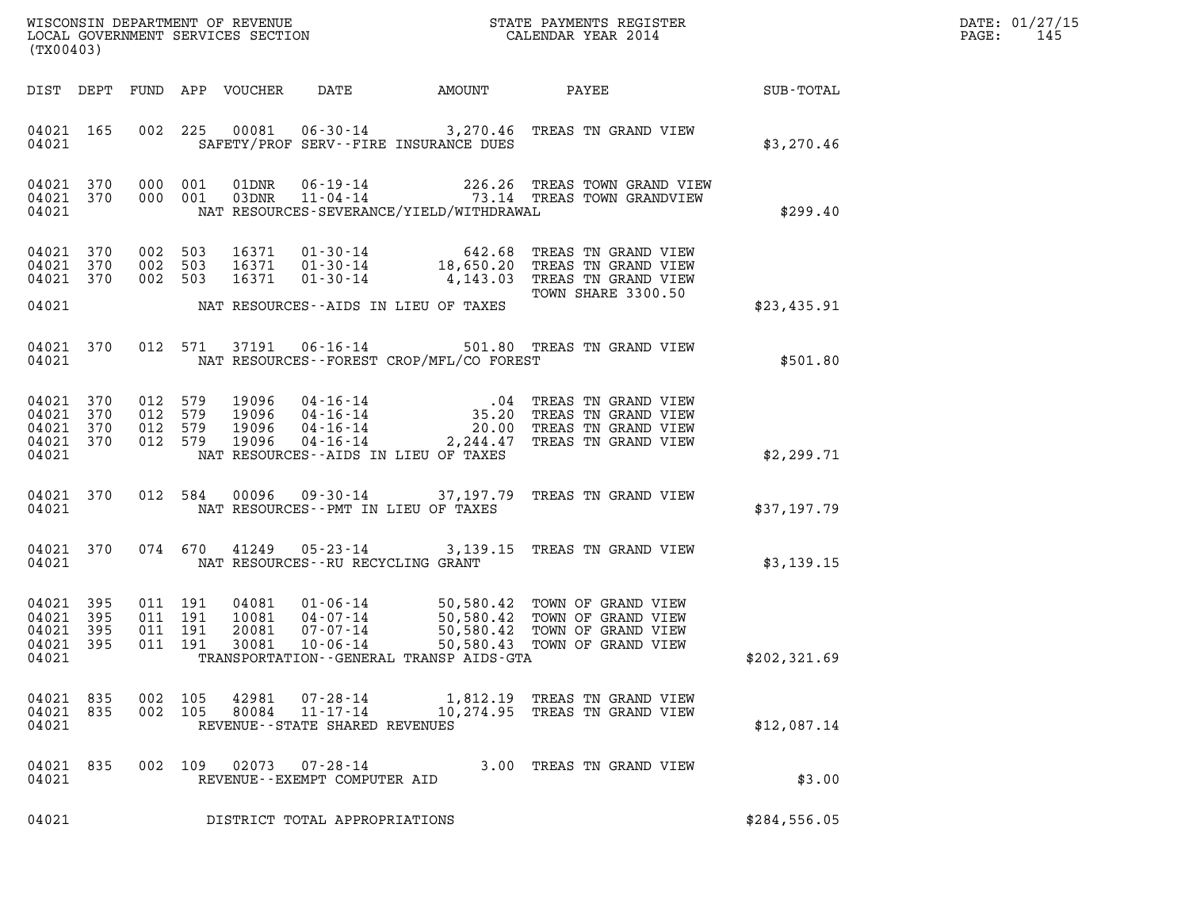| DATE: | 01/27/15 |
|-------|----------|
| PAGE: | 145      |

| ${\tt WISCOONSIM} \begin{tabular}{lcccc} DEPARTMENT OF REVENUE & & & & & & \begin{tabular}{l} \bf STATE \end{tabular} \end{tabular} \begin{tabular}{lcccc} \bf STATE \end{tabular} \end{tabular} \begin{tabular}{lcccc} \bf STATE \end{tabular} \end{tabular} \begin{tabular}{lcccc} \bf STATE \end{tabular} \end{tabular} \begin{tabular}{lcccc} \bf STATE \end{tabular} \end{tabular} \begin{tabular}{lcccc} \bf STATE \end{tabular} \end{tabular} \begin{tabular}{lcccc} \bf STATE \end{tabular} \end{tabular} \begin{tabular}{lcccc} \bf STATE \end{$<br>(TX00403) |                   |                                          |         |                                  |                                                        |                                                                                                                                                                                                                                                                                                                   |  |                          | DATE: 01/27/15<br>PAGE:<br>145 |  |
|------------------------------------------------------------------------------------------------------------------------------------------------------------------------------------------------------------------------------------------------------------------------------------------------------------------------------------------------------------------------------------------------------------------------------------------------------------------------------------------------------------------------------------------------------------------------|-------------------|------------------------------------------|---------|----------------------------------|--------------------------------------------------------|-------------------------------------------------------------------------------------------------------------------------------------------------------------------------------------------------------------------------------------------------------------------------------------------------------------------|--|--------------------------|--------------------------------|--|
|                                                                                                                                                                                                                                                                                                                                                                                                                                                                                                                                                                        |                   |                                          |         | DIST DEPT FUND APP VOUCHER       | DATE                                                   | AMOUNT PAYEE                                                                                                                                                                                                                                                                                                      |  |                          | SUB-TOTAL                      |  |
| 04021 165<br>04021                                                                                                                                                                                                                                                                                                                                                                                                                                                                                                                                                     |                   |                                          |         |                                  |                                                        | 002 225 00081 06-30-14 3,270.46 TREAS TN GRAND VIEW<br>SAFETY/PROF SERV--FIRE INSURANCE DUES                                                                                                                                                                                                                      |  |                          | \$3,270.46                     |  |
| 04021 370<br>04021                                                                                                                                                                                                                                                                                                                                                                                                                                                                                                                                                     | 04021 370 000 001 | 000 001                                  |         |                                  |                                                        | $\begin{array}{cccc} \texttt{01DNR} & \texttt{06-19-14} & \texttt{226.26} & \texttt{TREAS} & \texttt{TOWN} & \texttt{GRAND} & \texttt{VIEW} \\ \texttt{03DNR} & \texttt{11-04-14} & \texttt{73.14} & \texttt{TREAS} & \texttt{TOWN} & \texttt{GRANDVIEW} \end{array}$<br>NAT RESOURCES-SEVERANCE/YIELD/WITHDRAWAL |  |                          | \$299.40                       |  |
| 04021 370<br>04021 370<br>04021 370                                                                                                                                                                                                                                                                                                                                                                                                                                                                                                                                    |                   | 002 503<br>002 503<br>002 503            |         | 16371                            |                                                        | 16371  01-30-14  642.68  TREAS TN GRAND VIEW<br>16371  01-30-14  18,650.20  TREAS TN GRAND VIEW<br>01-30-14 4,143.03 TREAS TN GRAND VIEW                                                                                                                                                                          |  | TOWN SHARE 3300.50       |                                |  |
| 04021                                                                                                                                                                                                                                                                                                                                                                                                                                                                                                                                                                  |                   |                                          |         |                                  |                                                        | NAT RESOURCES--AIDS IN LIEU OF TAXES                                                                                                                                                                                                                                                                              |  |                          | \$23,435.91                    |  |
| 04021 370<br>04021                                                                                                                                                                                                                                                                                                                                                                                                                                                                                                                                                     |                   |                                          | 012 571 |                                  |                                                        | 37191  06-16-14  501.80 TREAS TN GRAND VIEW<br>NAT RESOURCES--FOREST CROP/MFL/CO FOREST                                                                                                                                                                                                                           |  |                          | \$501.80                       |  |
| 04021 370<br>04021<br>04021<br>04021 370<br>04021                                                                                                                                                                                                                                                                                                                                                                                                                                                                                                                      | 370<br>370        | 012 579<br>012 579<br>012 579<br>012 579 |         | 19096<br>19096<br>19096<br>19096 |                                                        | 04-16-14 .04 TREAS TN GRAND VIEW<br>04-16-14 35.20 TREAS TN GRAND VIEW<br>04-16-14 20.00 TREAS TN GRAND VIEW<br>04-16-14 2,244.47 TREAS TN GRAND VIEW<br>NAT RESOURCES--AIDS IN LIEU OF TAXES                                                                                                                     |  |                          | \$2,299.71                     |  |
| 04021 370<br>04021                                                                                                                                                                                                                                                                                                                                                                                                                                                                                                                                                     |                   | 012 584                                  |         | 00096                            | NAT RESOURCES -- PMT IN LIEU OF TAXES                  | 09-30-14 37,197.79 TREAS TN GRAND VIEW                                                                                                                                                                                                                                                                            |  |                          | \$37,197.79                    |  |
| 04021 370<br>04021                                                                                                                                                                                                                                                                                                                                                                                                                                                                                                                                                     |                   | 074 670                                  |         | 41249                            | NAT RESOURCES -- RU RECYCLING GRANT                    | 05-23-14 3,139.15 TREAS TN GRAND VIEW                                                                                                                                                                                                                                                                             |  |                          | \$3,139.15                     |  |
| 04021 395<br>04021<br>04021<br>04021 395<br>04021                                                                                                                                                                                                                                                                                                                                                                                                                                                                                                                      | 395<br>395        | 011 191<br>011 191<br>011 191<br>011 191 |         | 04081<br>10081<br>20081<br>30081 | $10 - 06 - 14$                                         | 01-06-14 50,580.42 TOWN OF GRAND VIEW<br>04-07-14 50,580.42 TOWN OF GRAND VIEW<br>07-07-14 50,580.42 TOWN OF GRAND VIEW<br>50,580.43<br>TRANSPORTATION--GENERAL TRANSP AIDS-GTA                                                                                                                                   |  | TOWN OF GRAND VIEW       | \$202,321.69                   |  |
| 04021 835<br>04021                                                                                                                                                                                                                                                                                                                                                                                                                                                                                                                                                     | 04021 835 002 105 | 002 105                                  |         |                                  | REVENUE - - STATE SHARED REVENUES                      | 80084 11-17-14 10,274.95 TREAS TN GRAND VIEW                                                                                                                                                                                                                                                                      |  |                          | \$12,087.14                    |  |
| 04021 835<br>04021                                                                                                                                                                                                                                                                                                                                                                                                                                                                                                                                                     |                   |                                          |         |                                  | 002 109 02073 07-28-14<br>REVENUE--EXEMPT COMPUTER AID |                                                                                                                                                                                                                                                                                                                   |  | 3.00 TREAS TN GRAND VIEW | \$3.00                         |  |
| 04021                                                                                                                                                                                                                                                                                                                                                                                                                                                                                                                                                                  |                   |                                          |         |                                  | DISTRICT TOTAL APPROPRIATIONS                          |                                                                                                                                                                                                                                                                                                                   |  |                          | \$284,556.05                   |  |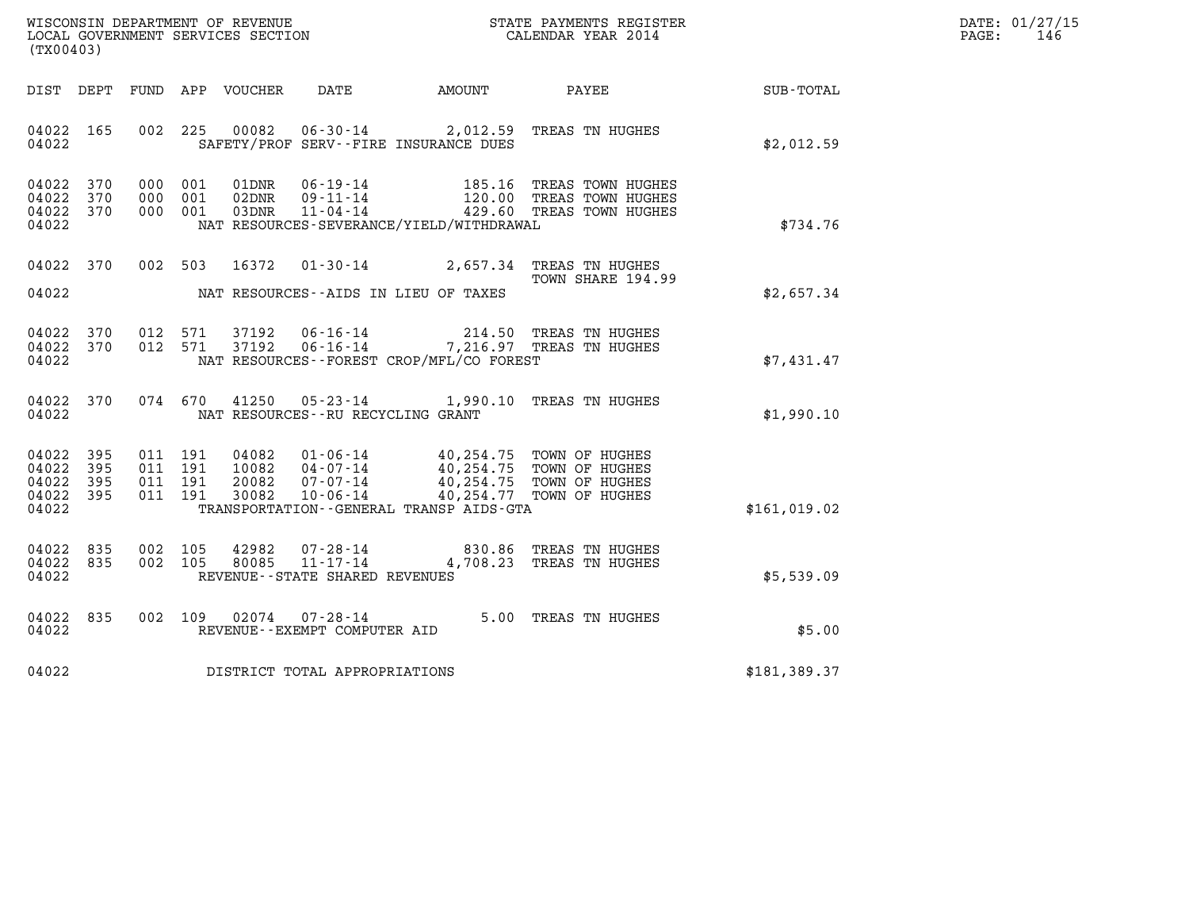| WISCONSIN DEPARTMENT OF REVENUE   | STATE PAYMENTS REGISTER | DATE: 01/27/15 |
|-----------------------------------|-------------------------|----------------|
| LOCAL GOVERNMENT SERVICES SECTION | CALENDAR YEAR 2014      | 146<br>PAGE:   |

| WISCONSIN DEPARTMENT OF REVENUE<br>LOCAL GOVERNMENT SERVICES SECTION<br>(TX00403)                 |                                                                                                                                                                                      |                                                                                                                 |                  |
|---------------------------------------------------------------------------------------------------|--------------------------------------------------------------------------------------------------------------------------------------------------------------------------------------|-----------------------------------------------------------------------------------------------------------------|------------------|
| FUND<br>DIST<br>DEPT                                                                              | APP<br>VOUCHER<br>DATE                                                                                                                                                               | AMOUNT<br>PAYEE                                                                                                 | <b>SUB-TOTAL</b> |
| 04022<br>165<br>002<br>04022                                                                      | 225<br>00082<br>SAFETY/PROF SERV--FIRE INSURANCE DUES                                                                                                                                | 06-30-14 2,012.59 TREAS TN HUGHES                                                                               | \$2,012.59       |
| 370<br>04022<br>000<br>04022<br>370<br>000<br>04022<br>370<br>000<br>04022                        | 001<br>01DNR<br>$06 - 19 - 14$<br>001<br>02DNR<br>$09 - 11 - 14$<br>001<br>$11 - 04 - 14$<br>03DNR<br>NAT RESOURCES-SEVERANCE/YIELD/WITHDRAWAL                                       | 185.16<br>TREAS TOWN HUGHES<br>120.00<br>TREAS TOWN HUGHES<br>429.60<br>TREAS TOWN HUGHES                       | \$734.76         |
| 04022<br>370<br>002<br>04022                                                                      | 503<br>16372<br>$01 - 30 - 14$<br>NAT RESOURCES -- AIDS IN LIEU OF TAXES                                                                                                             | 2,657.34<br>TREAS TN HUGHES<br>TOWN SHARE 194.99                                                                | \$2,657.34       |
|                                                                                                   |                                                                                                                                                                                      |                                                                                                                 |                  |
| 04022<br>370<br>012<br>012<br>04022<br>370<br>04022                                               | 37192<br>571<br>571<br>37192<br>NAT RESOURCES - - FOREST CROP/MFL/CO FOREST                                                                                                          | 06-16-14 214.50 TREAS TN HUGHES<br>06-16-14 7,216.97 TREAS TN HUGHES                                            | \$7,431.47       |
| 04022<br>370<br>074<br>04022                                                                      | $05 - 23 - 14$ 1,990.10<br>670<br>41250<br>NAT RESOURCES -- RU RECYCLING GRANT                                                                                                       | TREAS TN HUGHES                                                                                                 | \$1,990.10       |
| 04022<br>395<br>011<br>395<br>04022<br>011<br>04022<br>395<br>011<br>04022<br>395<br>011<br>04022 | 191<br>04082<br>$01 - 06 - 14$<br>191<br>10082<br>$04 - 07 - 14$<br>$07 - 07 - 14$<br>191<br>20082<br>$10 - 06 - 14$<br>191<br>30082<br>TRANSPORTATION - - GENERAL TRANSP AIDS - GTA | 40,254.75 TOWN OF HUGHES<br>40,254.75 TOWN OF HUGHES<br>40,254.75 TOWN OF HUGHES<br>40,254.77<br>TOWN OF HUGHES | \$161,019.02     |
| 04022<br>835<br>002<br>04022<br>835<br>002<br>04022                                               | 105<br>$07 - 28 - 14$<br>42982<br>$11 - 17 - 14$<br>105<br>80085<br>REVENUE - - STATE SHARED REVENUES                                                                                | 830.86<br>TREAS TN HUGHES<br>4,708.23<br>TREAS TN HUGHES                                                        | \$5,539.09       |
| 04022<br>835<br>002<br>04022                                                                      | 109<br>02074<br>$07 - 28 - 14$<br>REVENUE - - EXEMPT COMPUTER AID                                                                                                                    | 5.00<br>TREAS TN HUGHES                                                                                         | \$5.00           |
| 04022                                                                                             | DISTRICT TOTAL APPROPRIATIONS                                                                                                                                                        |                                                                                                                 | \$181,389.37     |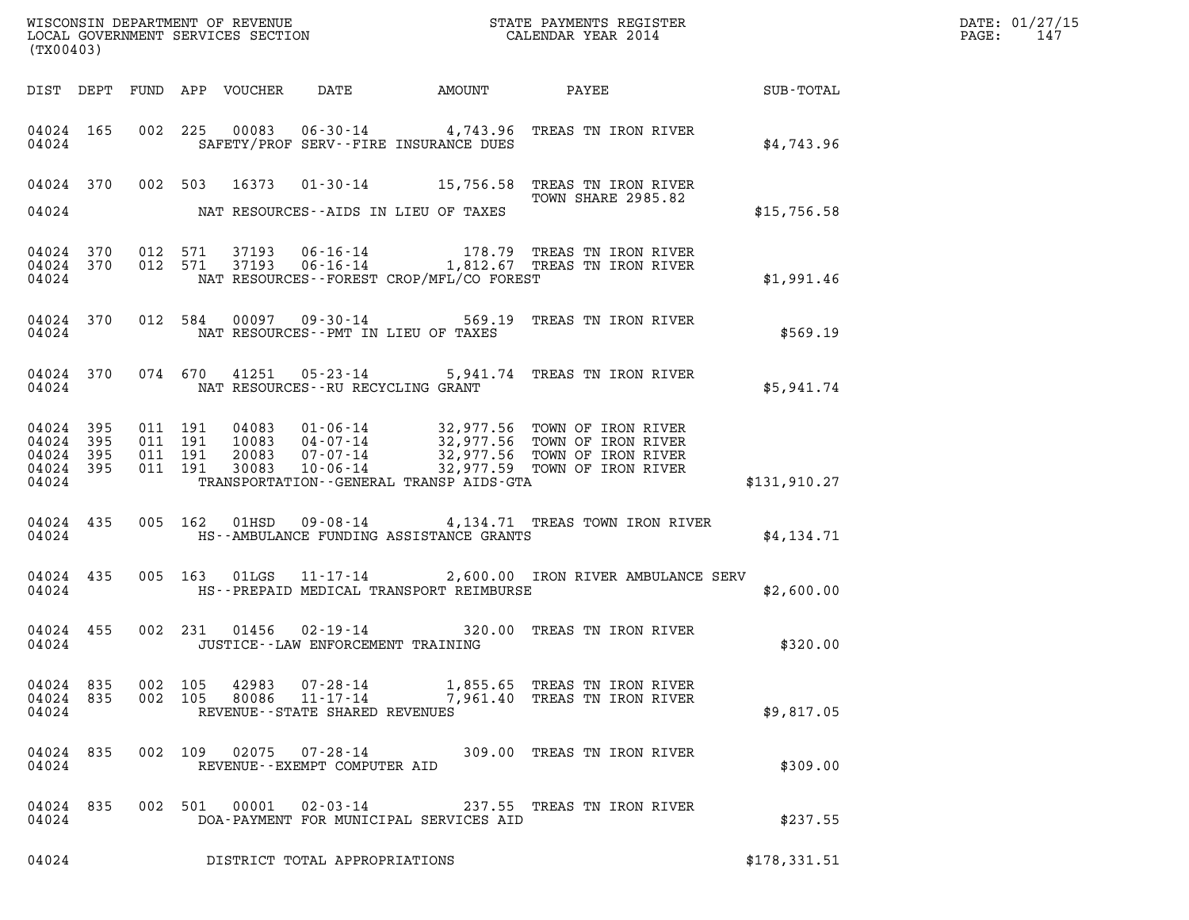| (TX00403)                       |           |                    | WISCONSIN DEPARTMENT OF REVENUE<br>LOCAL GOVERNMENT SERVICES SECTION CALENDAR YEAR 2014<br>CALENDAR YEAR 2014 |                                           |                                                |                                                                                                                                                                                                                                                                                                                                                                                                  |              |  |
|---------------------------------|-----------|--------------------|---------------------------------------------------------------------------------------------------------------|-------------------------------------------|------------------------------------------------|--------------------------------------------------------------------------------------------------------------------------------------------------------------------------------------------------------------------------------------------------------------------------------------------------------------------------------------------------------------------------------------------------|--------------|--|
|                                 |           |                    |                                                                                                               |                                           |                                                | DIST DEPT FUND APP VOUCHER DATE AMOUNT PAYEE SUB-TOTAL                                                                                                                                                                                                                                                                                                                                           |              |  |
|                                 |           | 04024              |                                                                                                               |                                           | SAFETY/PROF SERV--FIRE INSURANCE DUES          | 04024 165 002 225 00083 06-30-14 4,743.96 TREAS TN IRON RIVER                                                                                                                                                                                                                                                                                                                                    | \$4,743.96   |  |
|                                 |           |                    |                                                                                                               |                                           | 04024 NAT RESOURCES--AIDS IN LIEU OF TAXES     | 04024 370 002 503 16373 01-30-14 15,756.58 TREAS TN IRON RIVER<br>TOWN SHARE 2985.82                                                                                                                                                                                                                                                                                                             | \$15,756.58  |  |
|                                 |           |                    |                                                                                                               |                                           |                                                |                                                                                                                                                                                                                                                                                                                                                                                                  |              |  |
|                                 |           |                    |                                                                                                               |                                           | 04024 NAT RESOURCES--FOREST CROP/MFL/CO FOREST | $\begin{array}{cccccc} 04024 & 370 & 012 & 571 & 37193 & 06\cdot 16\cdot 14 & & & 178.79 & \text{TREAS TN IRON RIVER} \\ 04024 & 370 & 012 & 571 & 37193 & 06\cdot 16\cdot 14 & & & 1,812.67 & \text{TREAS TN IRON RIVER} \end{array}$                                                                                                                                                           | \$1,991.46   |  |
|                                 |           |                    |                                                                                                               | 04024 NAT RESOURCES--PMT IN LIEU OF TAXES |                                                | 04024 370 012 584 00097 09-30-14 569.19 TREAS TN IRON RIVER                                                                                                                                                                                                                                                                                                                                      | \$569.19     |  |
|                                 |           |                    |                                                                                                               | 04024 NAT RESOURCES--RU RECYCLING GRANT   |                                                | 04024 370 074 670 41251 05-23-14 5,941.74 TREAS TN IRON RIVER                                                                                                                                                                                                                                                                                                                                    | \$5,941.74   |  |
|                                 |           |                    |                                                                                                               |                                           |                                                | $\begin{array}{cccccccc} 04\,02\,4 & 39\,5 & 011 & 191 & 04\,083 & 01\cdot06\cdot14 & 32\,,977\cdot56 & \text{TOWN OF IRON RIVER} \\ 04\,024 & 39\,5 & 011 & 191 & 100\,83 & 04\cdot07\cdot14 & 32\,,977\cdot56 & \text{TOWN OF IRON RIVER} \\ 04\,024 & 39\,5 & 011 & 191 & 200\,83 & 07\cdot07\cdot14 & 32\,,977\cdot56 & \text{TOWN OF IRON$<br>04024 TRANSPORTATION--GENERAL TRANSP AIDS-GTA | \$131,910.27 |  |
|                                 |           |                    |                                                                                                               |                                           | 04024 HS--AMBULANCE FUNDING ASSISTANCE GRANTS  | 04024 435 005 162 01HSD 09-08-14 4,134.71 TREAS TOWN IRON RIVER                                                                                                                                                                                                                                                                                                                                  | \$4,134.71   |  |
|                                 |           |                    |                                                                                                               |                                           |                                                | 04024 435 005 163 01LGS 11-17-14 2,600.00 IRON RIVER AMBULANCE SERV<br>04024 HS--PREPAID MEDICAL TRANSPORT REIMBURSE                                                                                                                                                                                                                                                                             | \$2,600.00   |  |
|                                 |           | 04024              |                                                                                                               | JUSTICE - - LAW ENFORCEMENT TRAINING      |                                                | 04024 455 002 231 01456 02-19-14 320.00 TREAS TN IRON RIVER                                                                                                                                                                                                                                                                                                                                      | \$320.00     |  |
| 04024 835<br>04024 835<br>04024 |           | 002 105<br>002 105 | 42983<br>80086                                                                                                | REVENUE--STATE SHARED REVENUES            |                                                | 07-28-14 1,855.65 TREAS TN IRON RIVER<br>11-17-14 7,961.40 TREAS TN IRON RIVER                                                                                                                                                                                                                                                                                                                   | \$9,817.05   |  |
| 04024                           | 04024 835 |                    | 002 109 02075                                                                                                 | REVENUE--EXEMPT COMPUTER AID              |                                                | 07-28-14 309.00 TREAS TN IRON RIVER                                                                                                                                                                                                                                                                                                                                                              | \$309.00     |  |
| 04024 835<br>04024              |           |                    | 002 501 00001                                                                                                 |                                           | DOA-PAYMENT FOR MUNICIPAL SERVICES AID         | 02-03-14 237.55 TREAS TN IRON RIVER                                                                                                                                                                                                                                                                                                                                                              | \$237.55     |  |
| 04024                           |           |                    |                                                                                                               | DISTRICT TOTAL APPROPRIATIONS             |                                                |                                                                                                                                                                                                                                                                                                                                                                                                  | \$178,331.51 |  |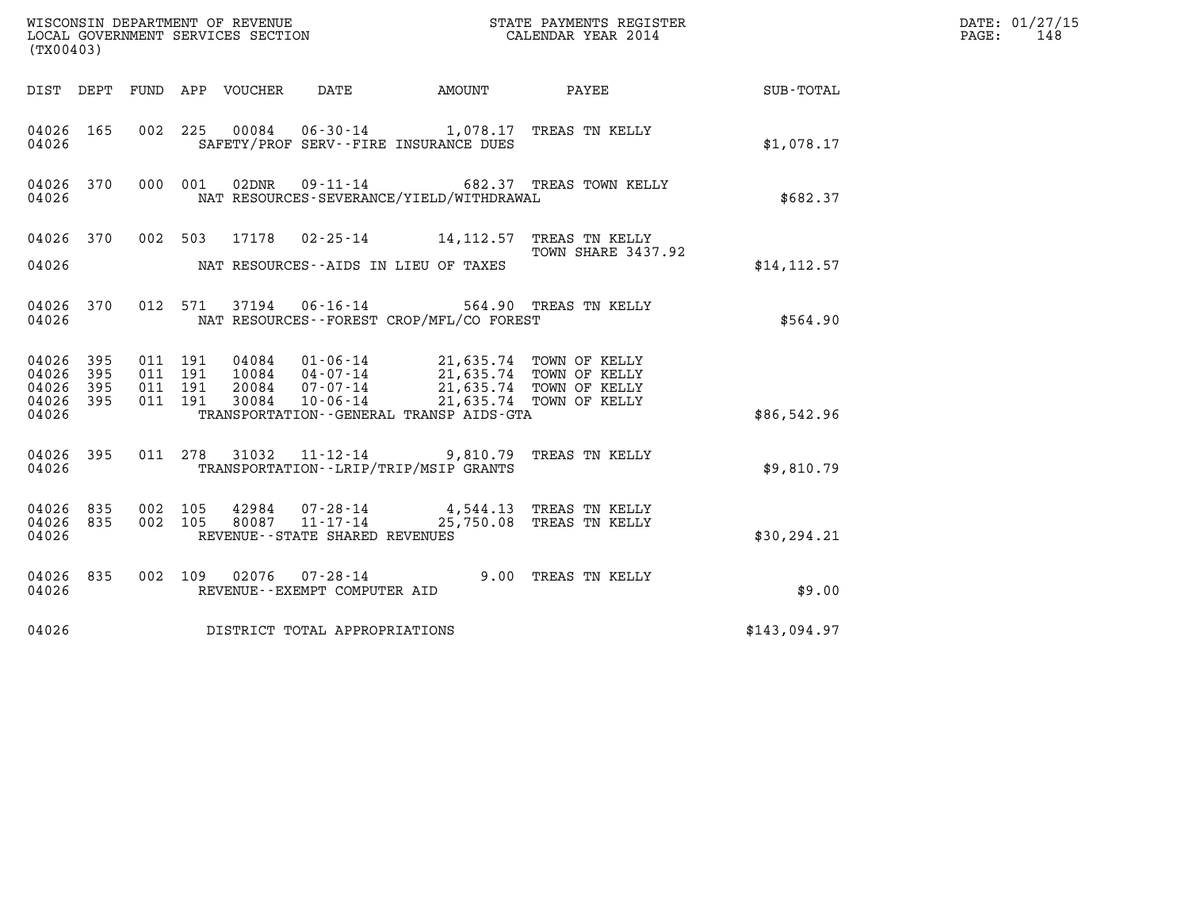| (TX00403)                                       |     |                                          |         |       |                                                          | DATE: 01/27/15<br>148<br>PAGE:           |                                                                                                                                                                                                                         |              |  |
|-------------------------------------------------|-----|------------------------------------------|---------|-------|----------------------------------------------------------|------------------------------------------|-------------------------------------------------------------------------------------------------------------------------------------------------------------------------------------------------------------------------|--------------|--|
| DIST DEPT FUND APP VOUCHER DATE                 |     |                                          |         |       |                                                          |                                          | AMOUNT PAYEE                                                                                                                                                                                                            | SUB-TOTAL    |  |
| 04026 165<br>04026                              |     |                                          |         |       |                                                          | SAFETY/PROF SERV--FIRE INSURANCE DUES    | 002 225 00084 06-30-14 1,078.17 TREAS TN KELLY                                                                                                                                                                          | \$1.078.17   |  |
| 04026 370<br>04026                              |     |                                          | 000 001 | 02DNR |                                                          | NAT RESOURCES-SEVERANCE/YIELD/WITHDRAWAL | 09-11-14 682.37 TREAS TOWN KELLY                                                                                                                                                                                        | \$682.37     |  |
|                                                 |     |                                          |         |       |                                                          |                                          | 04026 370 002 503 17178 02-25-14 14,112.57 TREAS TN KELLY<br>TOWN SHARE 3437.92                                                                                                                                         |              |  |
| 04026                                           |     |                                          |         |       | NAT RESOURCES--AIDS IN LIEU OF TAXES                     |                                          |                                                                                                                                                                                                                         | \$14, 112.57 |  |
| 04026 370<br>04026                              |     |                                          |         |       |                                                          | NAT RESOURCES--FOREST CROP/MFL/CO FOREST | 012 571 37194 06-16-14 564.90 TREAS TN KELLY                                                                                                                                                                            | \$564.90     |  |
| 04026 395<br>04026<br>395<br>04026<br>04026 395 | 395 | 011 191<br>011 191<br>011 191<br>011 191 |         |       |                                                          |                                          | 04084   01-06-14   21,635.74   TOWN OF KELLY<br>10084   04-07-14   21,635.74   TOWN OF KELLY<br>20084   07-07-14   21,635.74   TOWN OF KELLY<br>30084   10-06-14   21,635.74   TOWN OF KELLY<br>21,635.74 TOWN OF KELLY |              |  |
| 04026                                           |     |                                          |         |       |                                                          | TRANSPORTATION--GENERAL TRANSP AIDS-GTA  |                                                                                                                                                                                                                         | \$86,542.96  |  |
| 04026 395<br>04026                              |     |                                          |         |       |                                                          | TRANSPORTATION - - LRIP/TRIP/MSIP GRANTS | 011 278 31032 11-12-14 9,810.79 TREAS TN KELLY                                                                                                                                                                          | \$9,810.79   |  |
| 04026 835<br>04026 835<br>04026                 |     | 002 105                                  |         |       | 002 105 80087 11-17-14<br>REVENUE--STATE SHARED REVENUES |                                          | 42984  07-28-14  4,544.13  TREAS TN KELLY<br>25,750.08 TREAS TN KELLY                                                                                                                                                   | \$30, 294.21 |  |
| 04026 835<br>04026                              |     |                                          |         |       | REVENUE--EXEMPT COMPUTER AID                             |                                          | 002 109 02076 07-28-14 9.00 TREAS TN KELLY                                                                                                                                                                              | \$9.00       |  |
| 04026                                           |     |                                          |         |       | DISTRICT TOTAL APPROPRIATIONS                            |                                          |                                                                                                                                                                                                                         | \$143,094.97 |  |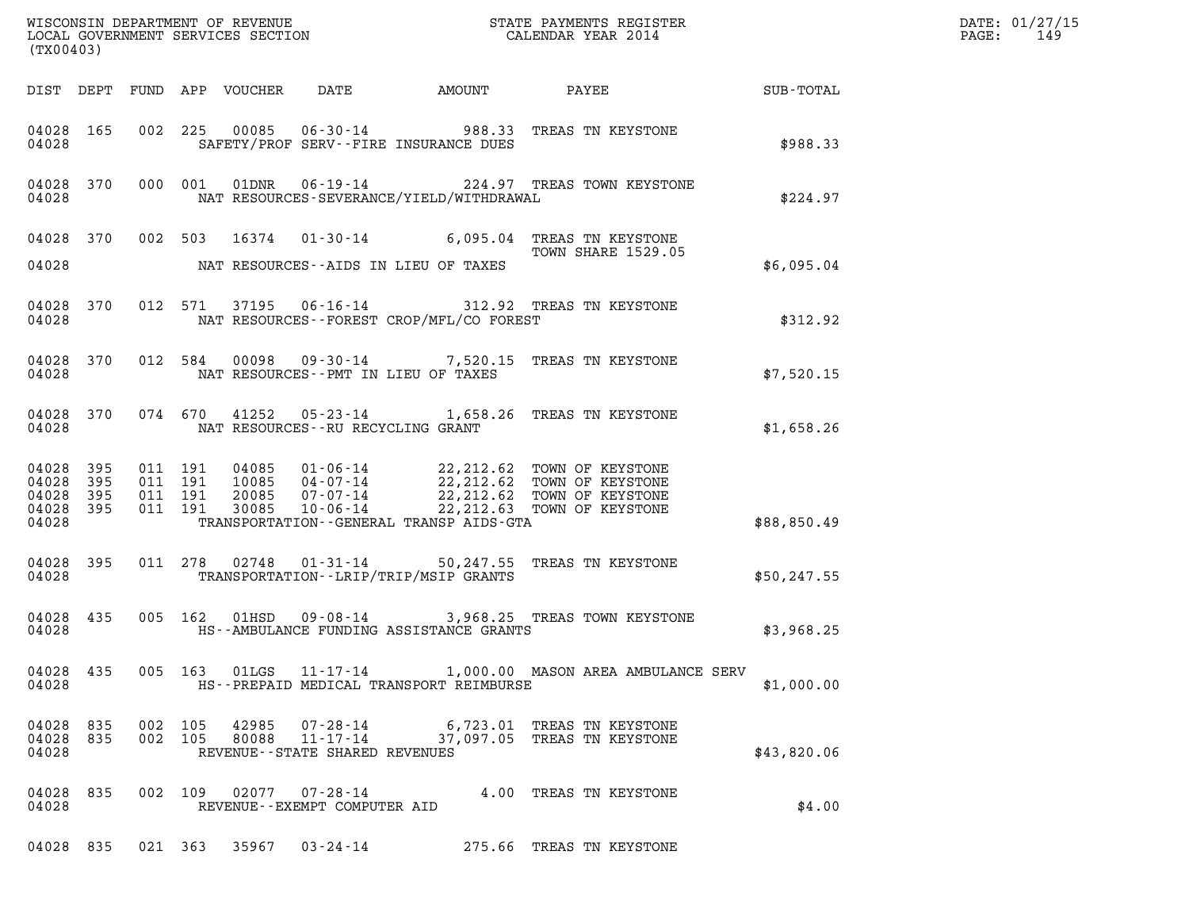| WISCONSIN DEPARTMENT OF REVENUE                               STATE PAYMENTS REGISTER LOCAL GOVERNMENT SERVICES SECTION                                   CALENDAR YEAR 2014<br>(TX00403)            |                                         | DATE: 01/27/15<br>$\mathtt{PAGE:}$<br>149 |
|------------------------------------------------------------------------------------------------------------------------------------------------------------------------------------------------------|-----------------------------------------|-------------------------------------------|
|                                                                                                                                                                                                      |                                         |                                           |
| 002 225 00085 06-30-14 988.33 TREAS TN KEYSTONE<br>04028 165<br>SAFETY/PROF SERV--FIRE INSURANCE DUES<br>04028                                                                                       | \$988.33                                |                                           |
| 000 001 01DNR 06-19-14 224.97 TREAS TOWN KEYSTONE<br>04028 370<br>NAT RESOURCES-SEVERANCE/YIELD/WITHDRAWAL<br>04028                                                                                  | \$224.97                                |                                           |
| 04028 370 002 503 16374 01-30-14 6,095.04 TREAS TN KEYSTONE<br>04028 MAT RESOURCES--AIDS IN LIEU OF TAXES                                                                                            | <b>TOWN SHARE 1529.05</b><br>\$6,095.04 |                                           |
| 012 571 37195 06-16-14 312.92 TREAS TN KEYSTONE<br>04028 370<br>NAT RESOURCES--FOREST CROP/MFL/CO FOREST<br>04028                                                                                    | \$312.92                                |                                           |
| 012 584 00098 09-30-14 7,520.15 TREAS TN KEYSTONE<br>04028 370<br>04028<br>NAT RESOURCES--PMT IN LIEU OF TAXES                                                                                       | \$7,520.15                              |                                           |
| 074 670 41252 05-23-14 1,658.26 TREAS TN KEYSTONE<br>04028 370<br>04028 NAT RESOURCES--RU RECYCLING GRANT                                                                                            | \$1,658.26                              |                                           |
| 04028 395<br>04028 395<br>04028 395<br>04028 395<br>TRANSPORTATION - - GENERAL TRANSP AIDS - GTA<br>04028                                                                                            | \$88,850.49                             |                                           |
| 011 278 02748 01-31-14 50,247.55 TREAS TN KEYSTONE<br>04028 395<br>TRANSPORTATION - - LRIP/TRIP/MSIP GRANTS<br>04028                                                                                 | \$50, 247.55                            |                                           |
| 005 162 01HSD 09-08-14 3,968.25 TREAS TOWN KEYSTONE<br>04028 435<br>04028<br>HS--AMBULANCE FUNDING ASSISTANCE GRANTS                                                                                 | \$3,968.25                              |                                           |
| 04028 435<br>005 163 01LGS 11-17-14 1,000.00 MASON AREA AMBULANCE SERV<br>04028<br>HS--PREPAID MEDICAL TRANSPORT REIMBURSE                                                                           | \$1,000.00                              |                                           |
| 04028 835<br>002 105 42985<br>07-28-14<br>6,723.01 TREAS TN KEYSTONE<br>37,097.05 TREAS TN KEYSTONE<br>$11 - 17 - 14$<br>04028<br>835<br>002 105<br>80088<br>04028<br>REVENUE--STATE SHARED REVENUES | \$43,820.06                             |                                           |
| 04028 835<br>002 109 02077<br>4.00 TREAS TN KEYSTONE<br>07-28-14<br>04028<br>REVENUE--EXEMPT COMPUTER AID                                                                                            | \$4.00                                  |                                           |
| 04028 835 021 363 35967 03-24-14 275.66 TREAS TN KEYSTONE                                                                                                                                            |                                         |                                           |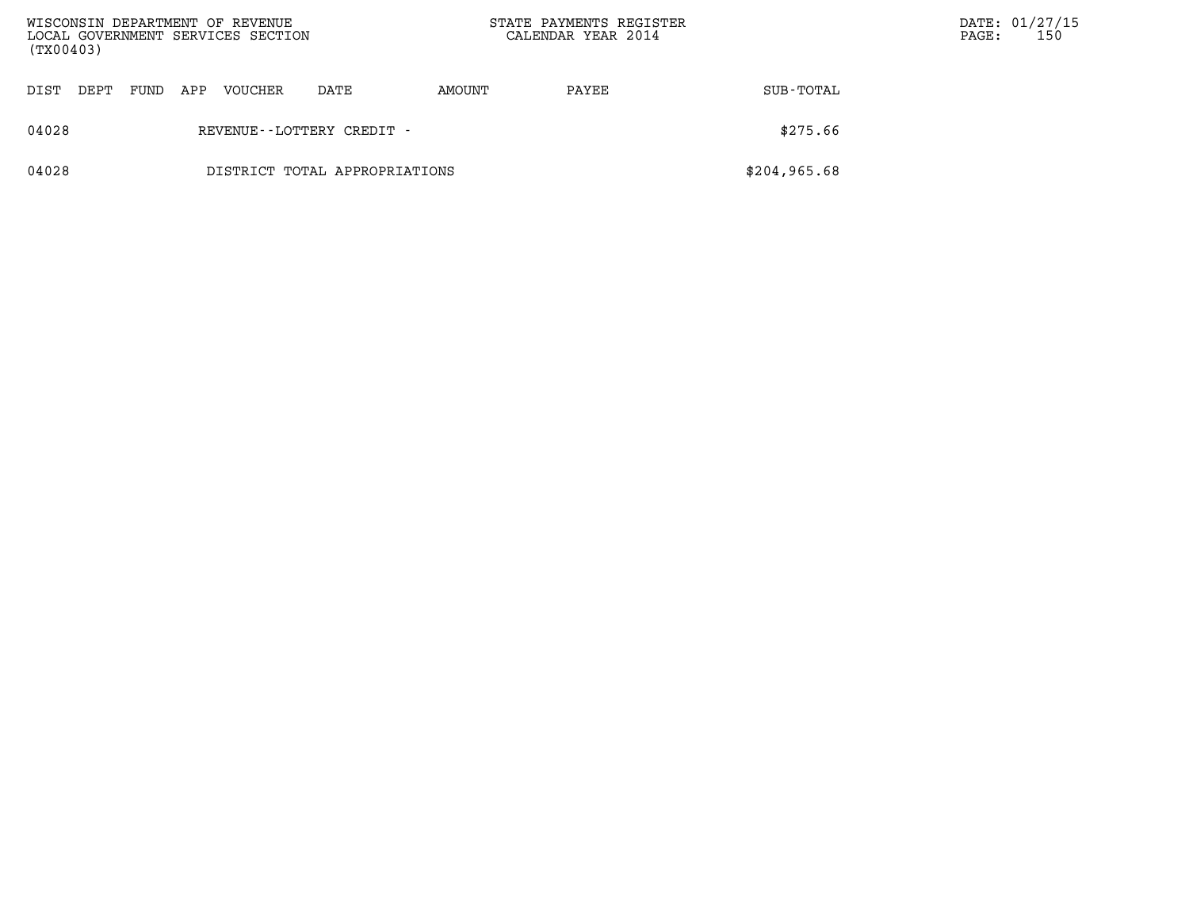| (TX00403) |                              |      |     | WISCONSIN DEPARTMENT OF REVENUE<br>LOCAL GOVERNMENT SERVICES SECTION |                               | STATE PAYMENTS REGISTER<br>CALENDAR YEAR 2014 |       |               | PAGE: | DATE: 01/27/15<br>150 |
|-----------|------------------------------|------|-----|----------------------------------------------------------------------|-------------------------------|-----------------------------------------------|-------|---------------|-------|-----------------------|
| DIST      | DEPT                         | FUND | APP | <b>VOUCHER</b>                                                       | DATE                          | AMOUNT                                        | PAYEE | SUB-TOTAL     |       |                       |
| 04028     | REVENUE - - LOTTERY CREDIT - |      |     |                                                                      |                               |                                               |       | \$275.66      |       |                       |
| 04028     |                              |      |     |                                                                      | DISTRICT TOTAL APPROPRIATIONS |                                               |       | \$204, 965.68 |       |                       |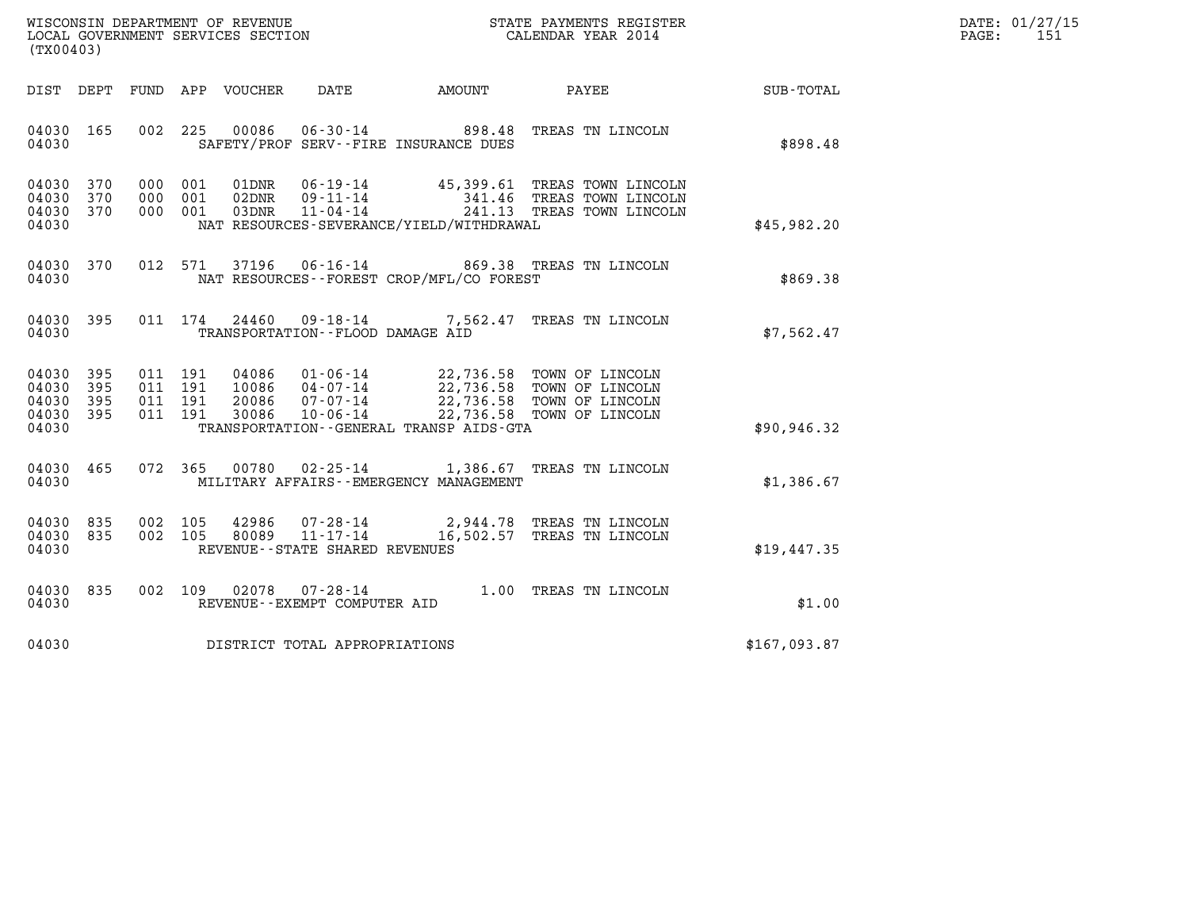| WISCONSIN DEPARTMENT OF REVENUE   | STATE PAYMENTS REGISTER | DATE: 01/27/15 |
|-----------------------------------|-------------------------|----------------|
| LOCAL GOVERNMENT SERVICES SECTION | CALENDAR YEAR 2014      | PAGE:          |

| (TX00403)                                                                                         | CALENDAR YEAR 2014<br>LOCAL GOVERNMENT SERVICES SECTION                                                                                                                                                                                                                                   |              |
|---------------------------------------------------------------------------------------------------|-------------------------------------------------------------------------------------------------------------------------------------------------------------------------------------------------------------------------------------------------------------------------------------------|--------------|
| DEPT<br>FUND<br>DIST                                                                              | APP<br>VOUCHER DATE AMOUNT<br>PAYEE                                                                                                                                                                                                                                                       | SUB-TOTAL    |
| 002<br>04030<br>165<br>04030                                                                      | 225<br>00086<br>06-30-14 898.48 TREAS TN LINCOLN<br>SAFETY/PROF SERV--FIRE INSURANCE DUES                                                                                                                                                                                                 | \$898.48     |
| 04030<br>370<br>000<br>370<br>04030<br>000<br>04030<br>370<br>000<br>04030                        | 001<br>01DNR<br>06-19-14 45,399.61 TREAS TOWN LINCOLN<br>001<br>02DNR<br>09 - 11 - 14<br>11 - 04 - 14<br>341.46 TREAS TOWN LINCOLN<br>241.13 TREAS TOWN LINCOLN<br>001<br>03DNR<br>NAT RESOURCES-SEVERANCE/YIELD/WITHDRAWAL                                                               | \$45,982.20  |
| 04030<br>370<br>04030                                                                             | 012 571<br>37196<br>06-16-14 869.38 TREAS TN LINCOLN<br>NAT RESOURCES - - FOREST CROP/MFL/CO FOREST                                                                                                                                                                                       | \$869.38     |
| 395<br>04030<br>04030                                                                             | 011 174<br>24460 09-18-14 7,562.47<br>TREAS TN LINCOLN<br>TRANSPORTATION--FLOOD DAMAGE AID                                                                                                                                                                                                | \$7,562.47   |
| 04030<br>395<br>011<br>395<br>04030<br>011<br>04030<br>395<br>011<br>395<br>011<br>04030<br>04030 | 191<br>04086  01-06-14  22,736.58  TOWN OF LINCOLN<br>22,736.58 TOWN OF LINCOLN<br>22,736.58 TOWN OF LINCOLN<br>191<br>10086       04-07-14<br>20086       07-07-14<br>191<br>22,736.58 TOWN OF LINCOLN<br>191<br>30086<br>$10 - 06 - 14$<br>TRANSPORTATION - - GENERAL TRANSP AIDS - GTA | \$90,946.32  |
| 072<br>04030<br>465<br>04030                                                                      | 365<br>00780<br>02-25-14 1,386.67 TREAS TN LINCOLN<br>MILITARY AFFAIRS - - EMERGENCY MANAGEMENT                                                                                                                                                                                           | \$1,386.67   |
| 002<br>04030<br>835<br>835<br>002<br>04030<br>04030                                               | 105<br>42986<br>07-28-14<br>2,944.78 TREAS TN LINCOLN<br>11-17-14 16,502.57 TREAS TN LINCOLN<br>105<br>80089<br>REVENUE - - STATE SHARED REVENUES                                                                                                                                         | \$19.447.35  |
| 002<br>04030<br>835<br>04030                                                                      | 02078<br>$07 - 28 - 14$<br>109<br>1.00<br>TREAS TN LINCOLN<br>REVENUE - - EXEMPT COMPUTER AID                                                                                                                                                                                             | \$1.00       |
| 04030                                                                                             | DISTRICT TOTAL APPROPRIATIONS                                                                                                                                                                                                                                                             | \$167,093.87 |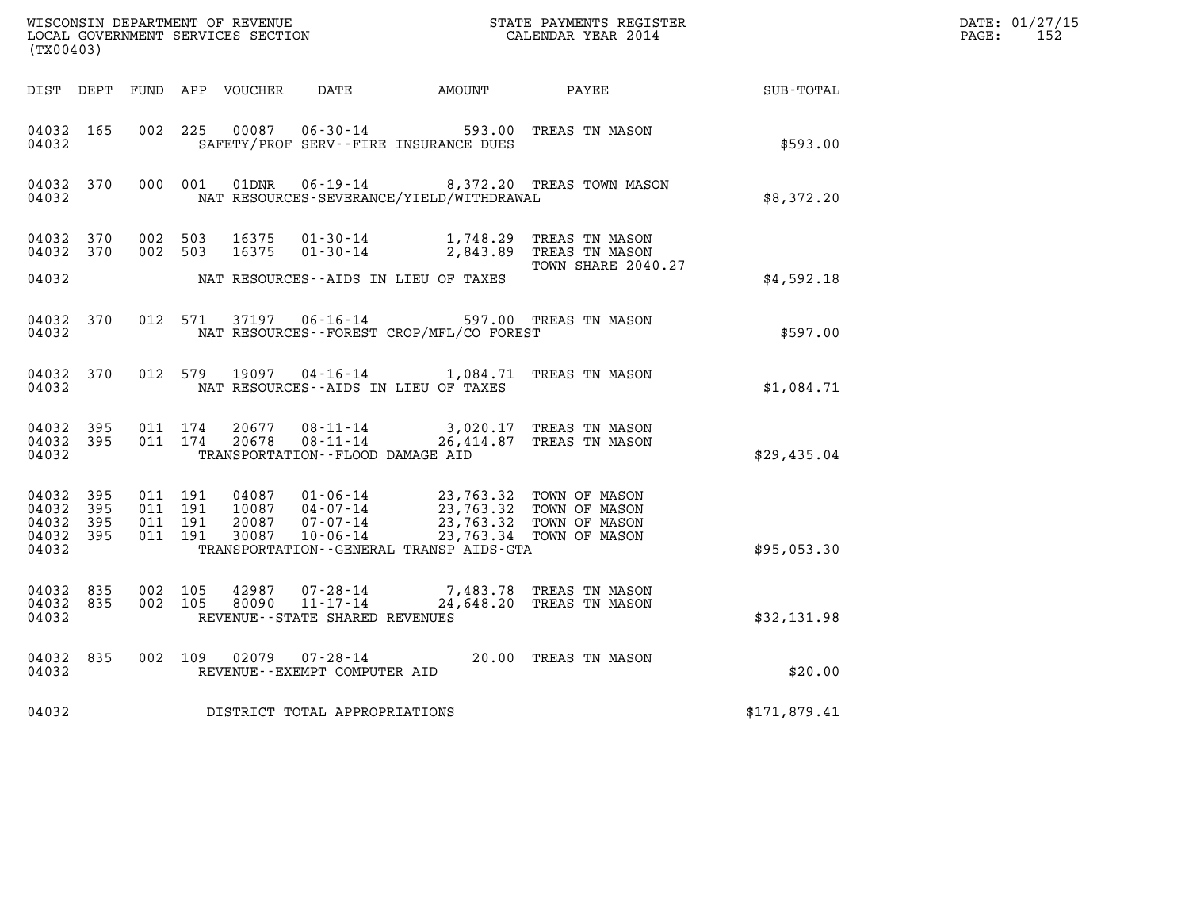| (TX00403)                                                 |                        |                                          |         |                  |                                                |                                                                                                                                            |                                                    |              | DATE: 01/27/15<br>$\mathtt{PAGE}$ :<br>152 |
|-----------------------------------------------------------|------------------------|------------------------------------------|---------|------------------|------------------------------------------------|--------------------------------------------------------------------------------------------------------------------------------------------|----------------------------------------------------|--------------|--------------------------------------------|
| DIST DEPT                                                 |                        |                                          |         | FUND APP VOUCHER | DATE                                           | AMOUNT PAYEE                                                                                                                               |                                                    | SUB-TOTAL    |                                            |
| 04032 165<br>04032                                        |                        | 002 225                                  |         | 00087            |                                                | 06-30-14 593.00 TREAS TN MASON<br>SAFETY/PROF SERV--FIRE INSURANCE DUES                                                                    |                                                    | \$593.00     |                                            |
| 04032 370<br>04032                                        |                        | 000 001                                  |         | 01DNR            |                                                | NAT RESOURCES-SEVERANCE/YIELD/WITHDRAWAL                                                                                                   | 06-19-14 8,372.20 TREAS TOWN MASON                 | \$8,372.20   |                                            |
| 04032 370<br>04032 370                                    |                        | 002 503<br>002 503                       |         | 16375<br>16375   | $01 - 30 - 14$                                 | 01-30-14 1,748.29 TREAS TN MASON                                                                                                           | 2,843.89 TREAS TN MASON<br>TOWN SHARE 2040.27      |              |                                            |
| 04032                                                     |                        |                                          |         |                  |                                                | NAT RESOURCES--AIDS IN LIEU OF TAXES                                                                                                       |                                                    | \$4,592.18   |                                            |
| 04032 370<br>04032                                        |                        |                                          | 012 571 |                  |                                                | 37197   06-16-14   597.00 TREAS TN MASON<br>NAT RESOURCES - - FOREST CROP/MFL/CO FOREST                                                    |                                                    | \$597.00     |                                            |
| 04032 370<br>04032                                        |                        | 012 579                                  |         | 19097            |                                                | 04-16-14 1,084.71 TREAS TN MASON<br>NAT RESOURCES -- AIDS IN LIEU OF TAXES                                                                 |                                                    | \$1,084.71   |                                            |
| 04032                                                     | 04032 395<br>04032 395 | 011 174                                  | 011 174 | 20677<br>20678   | 08-11-14<br>TRANSPORTATION -- FLOOD DAMAGE AID | 08-11-14 26,414.87 TREAS TN MASON                                                                                                          | 3,020.17 TREAS TN MASON                            | \$29,435.04  |                                            |
| 04032 395<br>04032 395<br>04032 395<br>04032 395<br>04032 |                        | 011 191<br>011 191<br>011 191<br>011 191 |         | 30087            | 20087 07-07-14<br>$10 - 06 - 14$               | 04087  01-06-14  23,763.32  TOWN OF MASON<br>23,763.32 TOWN OF MASON<br>23.763.32 TOWN OF MASON<br>TRANSPORTATION--GENERAL TRANSP AIDS-GTA | 23,763.32 TOWN OF MASON<br>23,763.34 TOWN OF MASON | \$95,053.30  |                                            |
| 04032 835<br>04032 835<br>04032                           |                        | 002 105<br>002 105                       |         | 42987<br>80090   | 07-28-14<br>REVENUE - - STATE SHARED REVENUES  | 11-17-14 24,648.20 TREAS TN MASON                                                                                                          | 7,483.78   TREAS  TN  MASON                        | \$32,131.98  |                                            |
| 04032 835<br>04032                                        |                        |                                          | 002 109 |                  | REVENUE--EXEMPT COMPUTER AID                   | 02079  07-28-14  20.00 TREAS TN MASON                                                                                                      |                                                    | \$20.00      |                                            |
| 04032                                                     |                        |                                          |         |                  | DISTRICT TOTAL APPROPRIATIONS                  |                                                                                                                                            |                                                    | \$171,879.41 |                                            |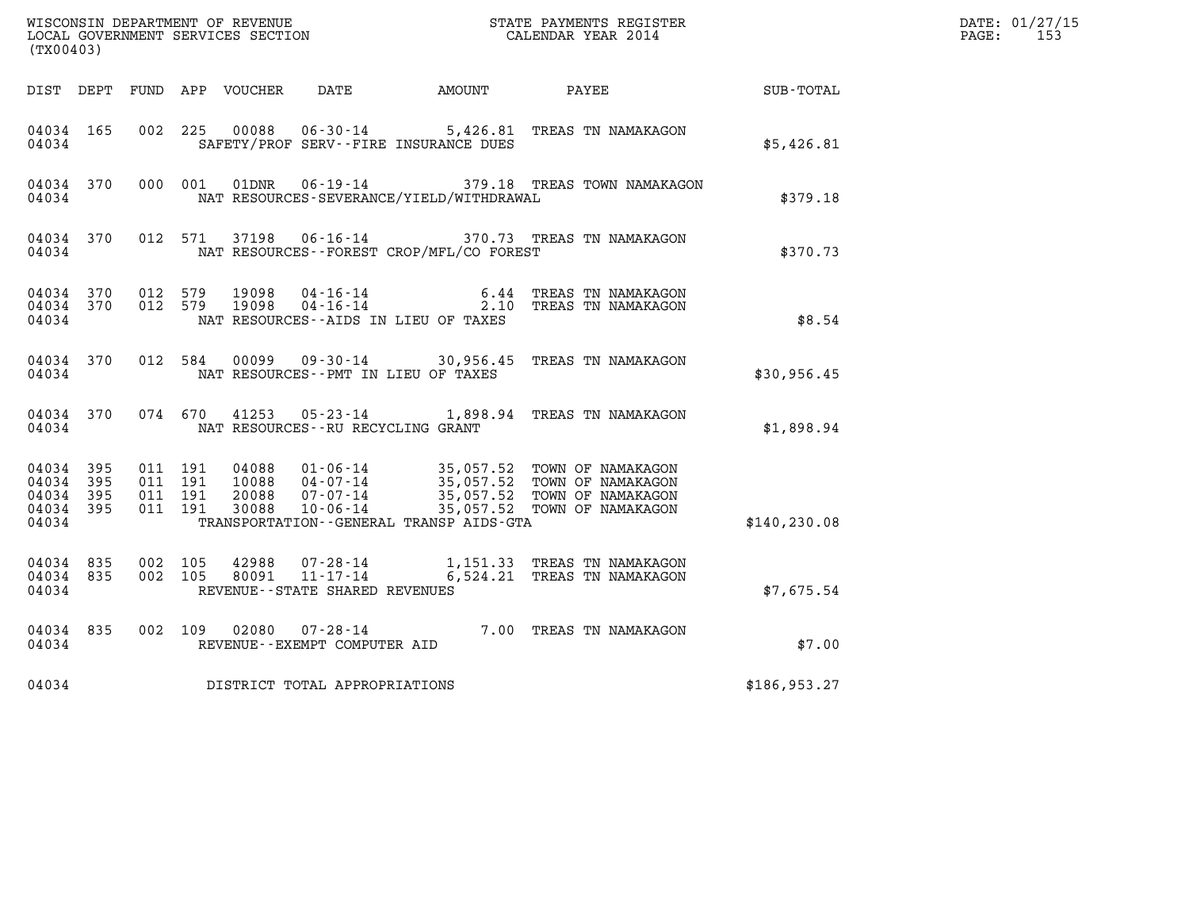| $\tt WISCONSIM DEPARTMENT OF REVENUE$ $\tt WISCONSIMENT$ SERVICES SECTION $\tt WISCONBINENT$ SERVICES SECTION $\tt CALENDAR$ YEAR 2014<br>(TX00403) |              |                               |         |                                  |                                                                 |                                          |                                                                                                                                                     |               | DATE: 01/27/15<br>$\mathtt{PAGE:}$<br>153 |
|-----------------------------------------------------------------------------------------------------------------------------------------------------|--------------|-------------------------------|---------|----------------------------------|-----------------------------------------------------------------|------------------------------------------|-----------------------------------------------------------------------------------------------------------------------------------------------------|---------------|-------------------------------------------|
| DIST DEPT                                                                                                                                           |              |                               |         | FUND APP VOUCHER                 | DATE                                                            | AMOUNT                                   | PAYEE                                                                                                                                               | SUB-TOTAL     |                                           |
| 04034 165<br>04034                                                                                                                                  |              | 002 225                       |         | 00088                            |                                                                 | SAFETY/PROF SERV--FIRE INSURANCE DUES    | 06-30-14 5,426.81 TREAS TN NAMAKAGON                                                                                                                | \$5,426.81    |                                           |
| 04034 370<br>04034                                                                                                                                  |              |                               | 000 001 | 01DNR                            |                                                                 | NAT RESOURCES-SEVERANCE/YIELD/WITHDRAWAL | 06-19-14 379.18 TREAS TOWN NAMAKAGON                                                                                                                | \$379.18      |                                           |
| 04034 370<br>04034                                                                                                                                  |              |                               | 012 571 | 37198                            |                                                                 | NAT RESOURCES--FOREST CROP/MFL/CO FOREST | 06-16-14 370.73 TREAS TN NAMAKAGON                                                                                                                  | \$370.73      |                                           |
| 04034 370<br>04034                                                                                                                                  | 04034 370    | 012 579<br>012 579            |         | 19098<br>19098                   | $04 - 16 - 14$<br>$04 - 16 - 14$                                | NAT RESOURCES--AIDS IN LIEU OF TAXES     | 6.44 TREAS TN NAMAKAGON<br>2.10 TREAS TN NAMAKAGON                                                                                                  | \$8.54        |                                           |
| 04034 370<br>04034                                                                                                                                  |              | 012 584                       |         | 00099                            |                                                                 | NAT RESOURCES - - PMT IN LIEU OF TAXES   | 09-30-14 30,956.45 TREAS TN NAMAKAGON                                                                                                               | \$30,956.45   |                                           |
| 04034 370<br>04034                                                                                                                                  |              |                               | 074 670 | 41253                            | NAT RESOURCES - - RU RECYCLING GRANT                            |                                          | 05-23-14 1,898.94 TREAS TN NAMAKAGON                                                                                                                | \$1,898.94    |                                           |
| 04034 395<br>04034<br>04034<br>04034 395<br>04034                                                                                                   | 395<br>- 395 | 011 191<br>011 191<br>011 191 | 011 191 | 04088<br>10088<br>20088<br>30088 | $10 - 06 - 14$                                                  | TRANSPORTATION--GENERAL TRANSP AIDS-GTA  | 01-06-14 35,057.52 TOWN OF NAMAKAGON<br>04-07-14 35,057.52 TOWN OF NAMAKAGON<br>07-07-14 35,057.52 TOWN OF NAMAKAGON<br>35,057.52 TOWN OF NAMAKAGON | \$140, 230.08 |                                           |
| 04034 835<br>04034 835<br>04034                                                                                                                     |              | 002 105<br>002 105            |         | 42988<br>80091                   | 07-28-14<br>$11 - 17 - 14$<br>REVENUE - - STATE SHARED REVENUES |                                          | 1,151.33 TREAS TN NAMAKAGON<br>6,524.21 TREAS TN NAMAKAGON                                                                                          | \$7,675.54    |                                           |
| 04034 835<br>04034                                                                                                                                  |              | 002 109                       |         | 02080                            | $07 - 28 - 14$<br>REVENUE--EXEMPT COMPUTER AID                  |                                          | 7.00 TREAS TN NAMAKAGON                                                                                                                             | \$7.00        |                                           |
| 04034                                                                                                                                               |              |                               |         |                                  | DISTRICT TOTAL APPROPRIATIONS                                   |                                          |                                                                                                                                                     | \$186, 953.27 |                                           |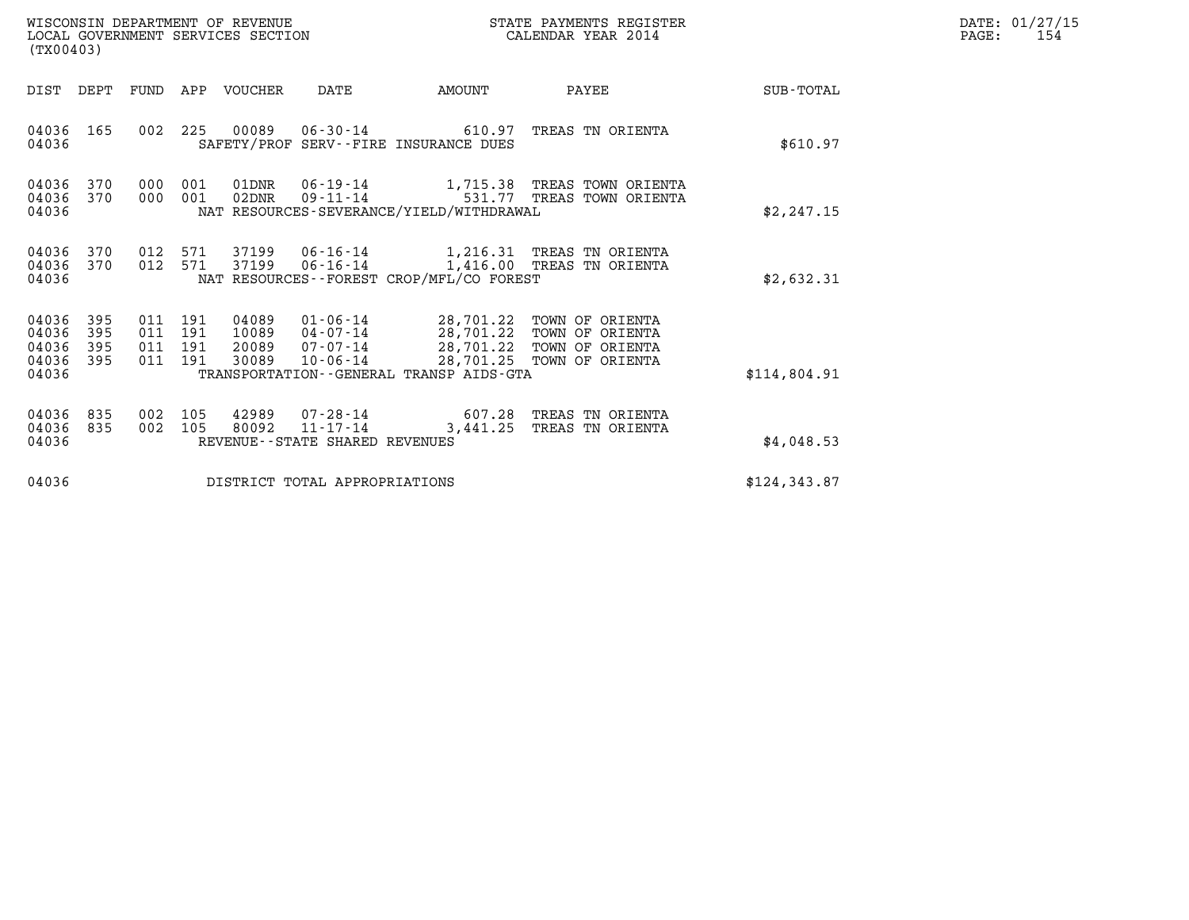| WISCONSIN DEPARTMENT OF REVENUE<br>LOCAL GOVERNMENT SERVICES SECTION<br>(TX00403)                                 |                                                                                                                                                                                                                                          | STATE PAYMENTS REGISTER<br>CALENDAR YEAR 2014 |               | DATE: 01/27/15<br>PAGE:<br>154 |
|-------------------------------------------------------------------------------------------------------------------|------------------------------------------------------------------------------------------------------------------------------------------------------------------------------------------------------------------------------------------|-----------------------------------------------|---------------|--------------------------------|
| DIST DEPT                                                                                                         | FUND APP VOUCHER<br>DATE<br>AMOUNT                                                                                                                                                                                                       | PAYEE                                         | SUB-TOTAL     |                                |
| 04036 165<br>04036                                                                                                | 002 225 00089 06-30-14 610.97 TREAS TN ORIENTA<br>SAFETY/PROF SERV--FIRE INSURANCE DUES                                                                                                                                                  |                                               | \$610.97      |                                |
| 04036 370<br>000 001<br>04036 370<br>000 001<br>04036                                                             | 01DNR<br>06-19-14 1,715.38 TREAS TOWN ORIENTA<br>02DNR<br>$09 - 11 - 14$<br>NAT RESOURCES-SEVERANCE/YIELD/WITHDRAWAL                                                                                                                     | 531.77 TREAS TOWN ORIENTA                     | \$2, 247.15   |                                |
| 04036<br>370<br>012 571<br>04036<br>370<br>04036                                                                  | 012 571 37199<br>06-16-14 1,216.31 TREAS TN ORIENTA<br>37199<br>06-16-14 1,416.00 TREAS TN ORIENTA<br>NAT RESOURCES - - FOREST CROP/MFL/CO FOREST                                                                                        |                                               | \$2,632.31    |                                |
| 04036<br>011 191<br>395<br>04036<br>395<br>011 191<br>04036<br>395<br>011 191<br>04036<br>395<br>011 191<br>04036 | 04089<br>01-06-14 28,701.22 TOWN OF ORIENTA<br>04-07-14 28,701.22 TOWN OF ORIENTA<br>07-07-14 28,701.22 TOWN OF ORIENTA<br>10-06-14 28,701.25 TOWN OF ORIENTA<br>10089<br>20089<br>30089<br>TRANSPORTATION - - GENERAL TRANSP AIDS - GTA | 28,701.25 TOWN OF ORIENTA                     | \$114,804.91  |                                |
| 04036<br>835<br>002 105<br>04036<br>835<br>002 105<br>04036                                                       | 42989<br>07-28-14 607.28 TREAS TN ORIENTA<br>80092<br>$11 - 17 - 14$<br>REVENUE - - STATE SHARED REVENUES                                                                                                                                | 3,441.25 TREAS TN ORIENTA                     | \$4,048.53    |                                |
| 04036                                                                                                             | DISTRICT TOTAL APPROPRIATIONS                                                                                                                                                                                                            |                                               | \$124, 343.87 |                                |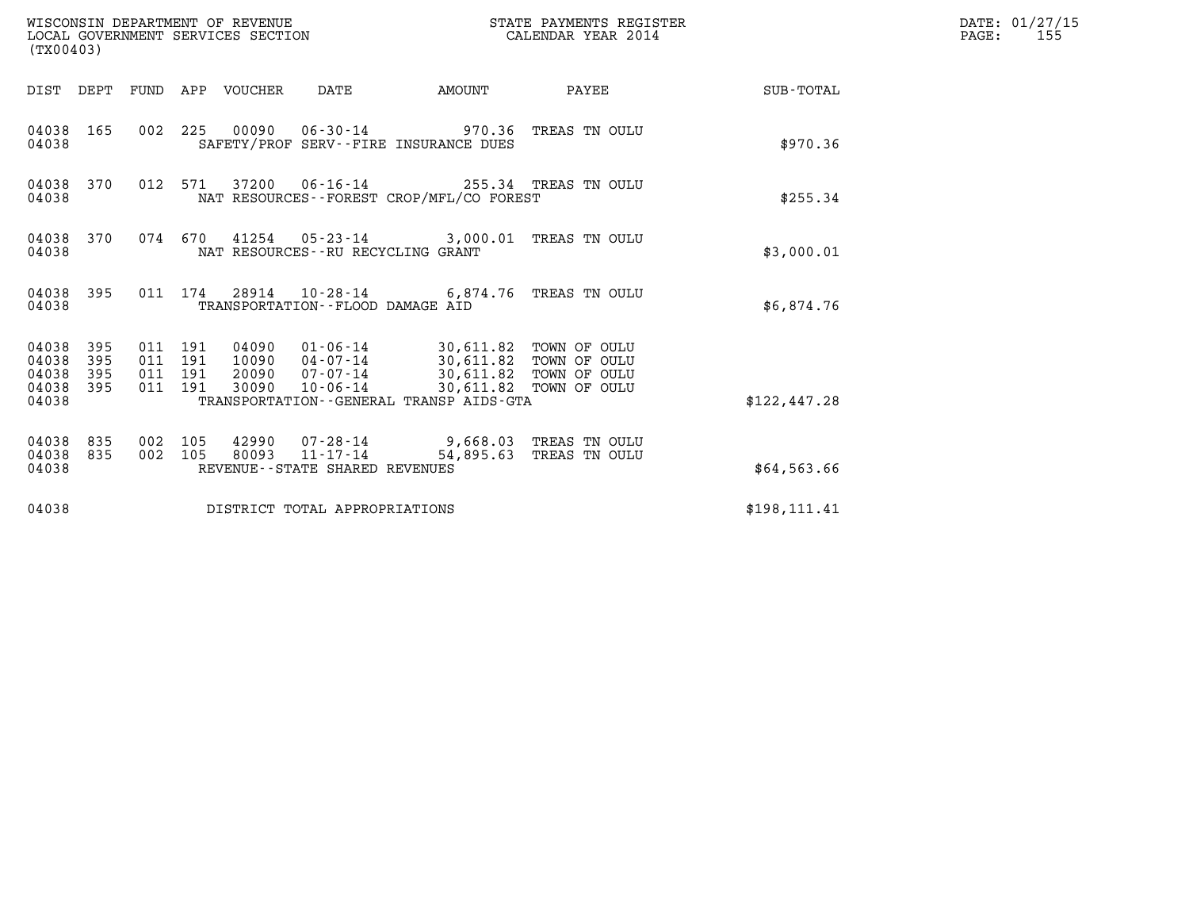| WISCONSIN DEPARTMENT OF REVENUE<br>LOCAL GOVERNMENT SERVICES SECTION<br>(TX00403) |                          |                                          |     |                                 |                                                                    | STATE PAYMENTS REGISTER<br>CALENDAR YEAR 2014                                                                       |                                                  |                  | DATE: 01/27/15<br>$\mathtt{PAGE}$ :<br>155 |
|-----------------------------------------------------------------------------------|--------------------------|------------------------------------------|-----|---------------------------------|--------------------------------------------------------------------|---------------------------------------------------------------------------------------------------------------------|--------------------------------------------------|------------------|--------------------------------------------|
|                                                                                   |                          |                                          |     | DIST DEPT FUND APP VOUCHER DATE |                                                                    | AMOUNT                                                                                                              | PAYEE                                            | <b>SUB-TOTAL</b> |                                            |
| 04038 165<br>04038                                                                |                          |                                          |     |                                 |                                                                    | 002 225 00090 06-30-14 970.36 TREAS TN OULU<br>SAFETY/PROF SERV--FIRE INSURANCE DUES                                |                                                  | \$970.36         |                                            |
| 04038 370<br>04038                                                                |                          | 012 571                                  |     |                                 |                                                                    | 37200  06-16-14  255.34  TREAS TN OULU<br>NAT RESOURCES - - FOREST CROP/MFL/CO FOREST                               |                                                  | \$255.34         |                                            |
| 04038 370<br>04038                                                                |                          |                                          |     |                                 | NAT RESOURCES - - RU RECYCLING GRANT                               | 074 670 41254 05-23-14 3,000.01 TREAS TN OULU                                                                       |                                                  | \$3,000.01       |                                            |
| 04038 395<br>04038                                                                |                          |                                          |     |                                 | TRANSPORTATION -- FLOOD DAMAGE AID                                 | 011 174 28914 10-28-14 6,874.76 TREAS TN OULU                                                                       |                                                  | \$6,874.76       |                                            |
| 04038<br>04038<br>04038<br>04038<br>04038                                         | 395<br>395<br>395<br>395 | 011 191<br>011 191<br>011 191<br>011 191 |     | 20090<br>30090                  | 10090 04-07-14<br>07-07-14<br>10-06-14                             | 04090  01-06-14  30,611.82  TOWN OF OULU<br>30, 611.82 TOWN OF OULU<br>TRANSPORTATION - - GENERAL TRANSP AIDS - GTA | 30,611.82 TOWN OF OULU<br>30,611.82 TOWN OF OULU | \$122,447.28     |                                            |
| 04038<br>04038<br>04038                                                           | 835<br>835               | 002<br>002 105                           | 105 | 80093                           | 42990 07-28-14<br>$11 - 17 - 14$<br>REVENUE--STATE SHARED REVENUES | 9,668.03 TREAS TN OULU                                                                                              | 54,895.63 TREAS TN OULU                          | \$64,563.66      |                                            |
| 04038                                                                             |                          |                                          |     |                                 | DISTRICT TOTAL APPROPRIATIONS                                      |                                                                                                                     |                                                  | \$198, 111.41    |                                            |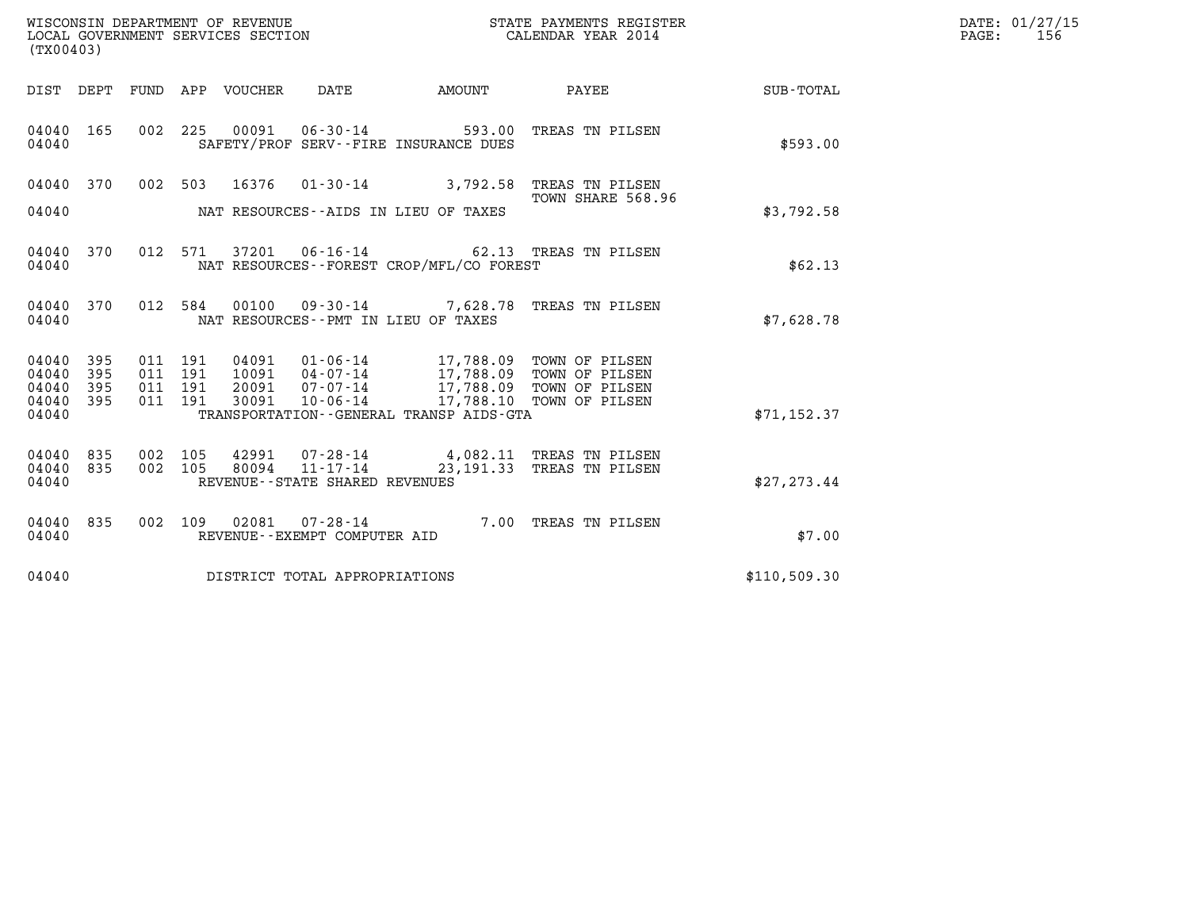| WISCONSIN DEPARTMENT OF REVENUE   | STATE PAYMENTS REGISTER | DATE: 01/27/15 |
|-----------------------------------|-------------------------|----------------|
| LOCAL GOVERNMENT SERVICES SECTION | CALENDAR YEAR 2014      | 156<br>PAGE:   |

|                             | (TX00403)  |  |                    |                                |                                |                                            |                                                                                                                                                  |              | DATE: 01/27/15<br>$\mathtt{PAGE}$ :<br>156 |
|-----------------------------|------------|--|--------------------|--------------------------------|--------------------------------|--------------------------------------------|--------------------------------------------------------------------------------------------------------------------------------------------------|--------------|--------------------------------------------|
|                             |            |  |                    |                                |                                | DIST DEPT FUND APP VOUCHER DATE AMOUNT     | <b>PAYEE</b>                                                                                                                                     | SUB-TOTAL    |                                            |
| 04040 165<br>04040          |            |  |                    |                                |                                | SAFETY/PROF SERV--FIRE INSURANCE DUES      | 002 225 00091 06-30-14 593.00 TREAS TN PILSEN                                                                                                    | \$593.00     |                                            |
| 04040 370                   |            |  |                    |                                |                                |                                            | 002 503 16376 01-30-14 3,792.58 TREAS TN PILSEN<br>TOWN SHARE 568.96                                                                             |              |                                            |
|                             |            |  |                    |                                |                                | 04040 NAT RESOURCES--AIDS IN LIEU OF TAXES |                                                                                                                                                  | \$3,792.58   |                                            |
| 04040 370<br>04040          |            |  |                    |                                |                                | NAT RESOURCES--FOREST CROP/MFL/CO FOREST   | 012 571 37201 06-16-14 62.13 TREAS TN PILSEN                                                                                                     | \$62.13      |                                            |
| 04040 370<br>04040          |            |  |                    |                                |                                | NAT RESOURCES--PMT IN LIEU OF TAXES        | 012 584 00100 09-30-14 7,628.78 TREAS TN PILSEN                                                                                                  | \$7,628.78   |                                            |
| 04040<br>04040              | 395<br>395 |  | 011 191<br>011 191 | 04091<br>10091                 |                                |                                            | 01-06-14 17,788.09 TOWN OF PILSEN<br>04-07-14 17,788.09 TOWN OF PILSEN<br>07-07-14 17,788.09 TOWN OF PILSEN<br>10-06-14 17,788.10 TOWN OF PILSEN |              |                                            |
| 04040<br>04040 395<br>04040 | 395        |  | 011 191            | 011 191 20091<br>30091         |                                | TRANSPORTATION--GENERAL TRANSP AIDS-GTA    |                                                                                                                                                  | \$71, 152.37 |                                            |
|                             |            |  |                    |                                |                                |                                            |                                                                                                                                                  |              |                                            |
| 04040<br>04040              | 835<br>835 |  |                    | 002 105 42991<br>002 105 80094 |                                |                                            | 07-28-14 4,082.11 TREAS TN PILSEN<br>11-17-14 23,191.33 TREAS TN PILSEN                                                                          |              |                                            |
| 04040                       |            |  |                    |                                | REVENUE--STATE SHARED REVENUES |                                            |                                                                                                                                                  | \$27, 273.44 |                                            |
| 04040<br>04040              | 835        |  |                    |                                | REVENUE--EXEMPT COMPUTER AID   |                                            | 002 109 02081 07-28-14 7.00 TREAS TN PILSEN                                                                                                      | \$7.00       |                                            |
| 04040                       |            |  |                    |                                | DISTRICT TOTAL APPROPRIATIONS  |                                            |                                                                                                                                                  | \$110,509.30 |                                            |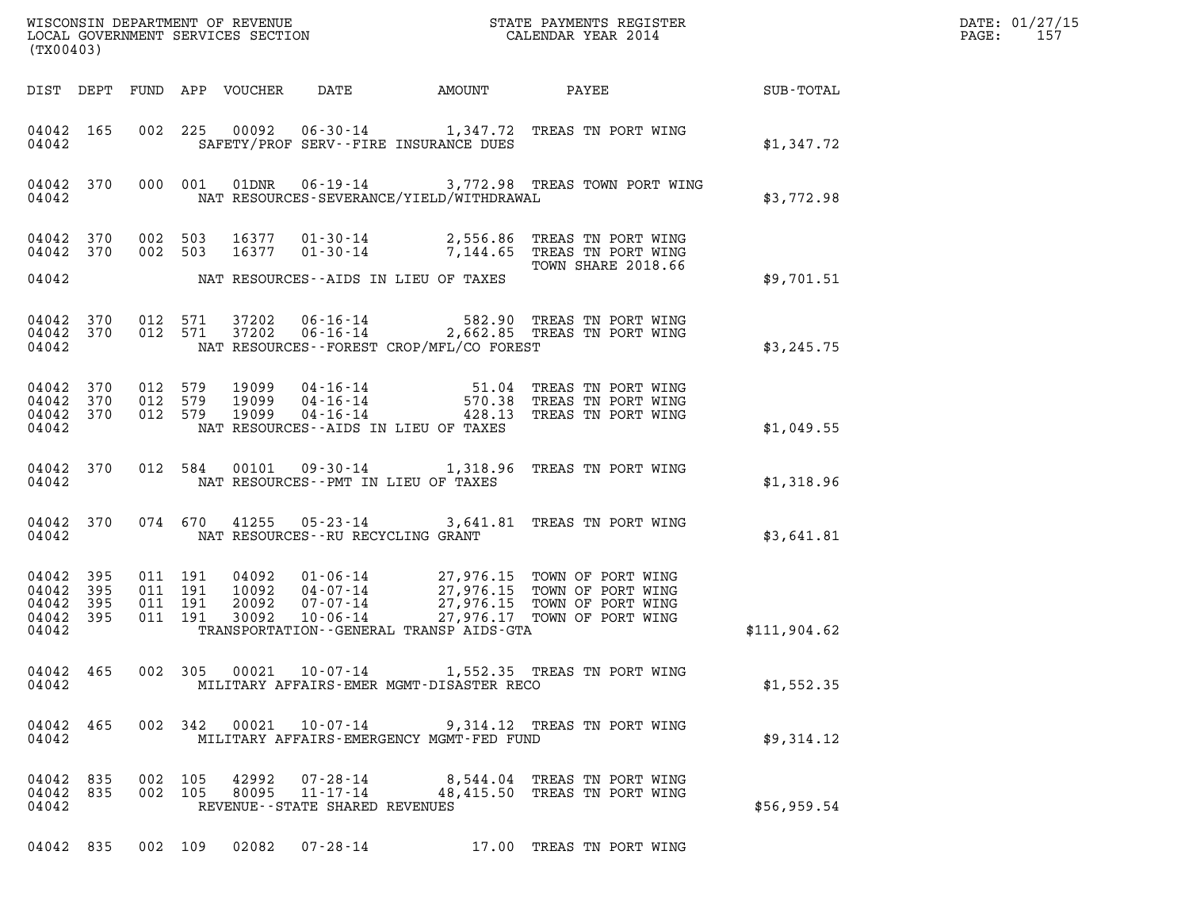| DATE: | 01/27/15 |
|-------|----------|
| PAGE: | 157      |

| WISCONSIN DEPARTMENT OF REVENUE<br>LOCAL GOVERNMENT SERVICES SECTION CALENDAR YEAR 2014<br>(TX00403) |                    |                                         |                                          |                        |                                |                                            | $\mathcal{R}$                                                                                                                                                                                    | DATE: 01/27/15<br>$\mathtt{PAGE:}$<br>157 |  |
|------------------------------------------------------------------------------------------------------|--------------------|-----------------------------------------|------------------------------------------|------------------------|--------------------------------|--------------------------------------------|--------------------------------------------------------------------------------------------------------------------------------------------------------------------------------------------------|-------------------------------------------|--|
|                                                                                                      |                    |                                         |                                          |                        |                                |                                            |                                                                                                                                                                                                  |                                           |  |
|                                                                                                      | 04042 165<br>04042 |                                         |                                          |                        |                                | SAFETY/PROF SERV--FIRE INSURANCE DUES      | 002 225 00092 06-30-14 1,347.72 TREAS TN PORT WING                                                                                                                                               | \$1,347.72                                |  |
|                                                                                                      |                    |                                         |                                          |                        |                                |                                            | 04042 370 000 001 01DNR 06-19-14 3,772.98 TREAS TOWN PORT WING<br>04042 NAT RESOURCES-SEVERANCE/YIELD/WITHDRAWAL                                                                                 | \$3,772.98                                |  |
| 04042 370                                                                                            | 04042 370          | 002 503                                 | 002 503                                  |                        |                                | 04042 NAT RESOURCES--AIDS IN LIEU OF TAXES | 16377  01-30-14  2,556.86  TREAS TN PORT WING<br>16377  01-30-14  7,144.65  TREAS TN PORT WING<br>TOWN SHARE 2018.66                                                                             | \$9,701.51                                |  |
|                                                                                                      |                    |                                         |                                          |                        |                                |                                            |                                                                                                                                                                                                  |                                           |  |
| 04042                                                                                                |                    |                                         |                                          |                        |                                | NAT RESOURCES -- FOREST CROP/MFL/CO FOREST | 04042 370 012 571 37202 06-16-14 582.90 TREAS TN PORT WING<br>04042 370 012 571 37202 06-16-14 2,662.85 TREAS TN PORT WING                                                                       | \$3,245.75                                |  |
| 04042 370                                                                                            | 04042 370          | 012 579<br>012 579<br>04042 370 012 579 |                                          |                        |                                | 04042 NAT RESOURCES--AIDS IN LIEU OF TAXES | 19099   04-16-14   51.04 TREAS TN PORT WING<br>19099   04-16-14   570.38 TREAS TN PORT WING<br>19099   04-16-14   428.13 TREAS TN PORT WING                                                      | \$1,049.55                                |  |
|                                                                                                      | 04042 370          |                                         |                                          |                        |                                | 04042 NAT RESOURCES--PMT IN LIEU OF TAXES  | 012 584 00101 09-30-14 1,318.96 TREAS TN PORT WING                                                                                                                                               | \$1,318.96                                |  |
|                                                                                                      | 04042 370          |                                         |                                          |                        |                                | 04042 NAT RESOURCES--RU RECYCLING GRANT    | 074 670 41255 05-23-14 3,641.81 TREAS TN PORT WING                                                                                                                                               | \$3,641.81                                |  |
| 04042 395<br>04042 395<br>04042 395<br>04042 395<br>04042                                            |                    |                                         | 011 191<br>011 191<br>011 191<br>011 191 |                        |                                | TRANSPORTATION--GENERAL TRANSP AIDS-GTA    | 04092  01-06-14  27,976.15  TOWN OF PORT WING<br>10092  04-07-14  27,976.15  TOWN OF PORT WING<br>20092  07-07-14  27,976.15  TOWN OF PORT WING<br>30092  10-06-14  27,976.17  TOWN OF PORT WING | \$111,904.62                              |  |
| 04042                                                                                                | 04042 465          |                                         |                                          |                        |                                | MILITARY AFFAIRS-EMER MGMT-DISASTER RECO   | 002 305 00021 10-07-14 1,552.35 TREAS TN PORT WING                                                                                                                                               | \$1,552.35                                |  |
| 04042                                                                                                | 04042 465          |                                         |                                          |                        |                                | MILITARY AFFAIRS-EMERGENCY MGMT-FED FUND   | 002 342 00021 10-07-14 9,314.12 TREAS TN PORT WING                                                                                                                                               | \$9,314.12                                |  |
| 04042 835<br>04042 835<br>04042                                                                      |                    |                                         | 002 105                                  | 002 105 42992<br>80095 | REVENUE--STATE SHARED REVENUES |                                            | 07-28-14 8,544.04 TREAS TN PORT WING<br>11-17-14 48,415.50 TREAS TN PORT WING                                                                                                                    | \$56,959.54                               |  |
|                                                                                                      |                    | 04042 835 002 109                       |                                          |                        |                                |                                            | 17.00 TREAS TN PORT WING                                                                                                                                                                         |                                           |  |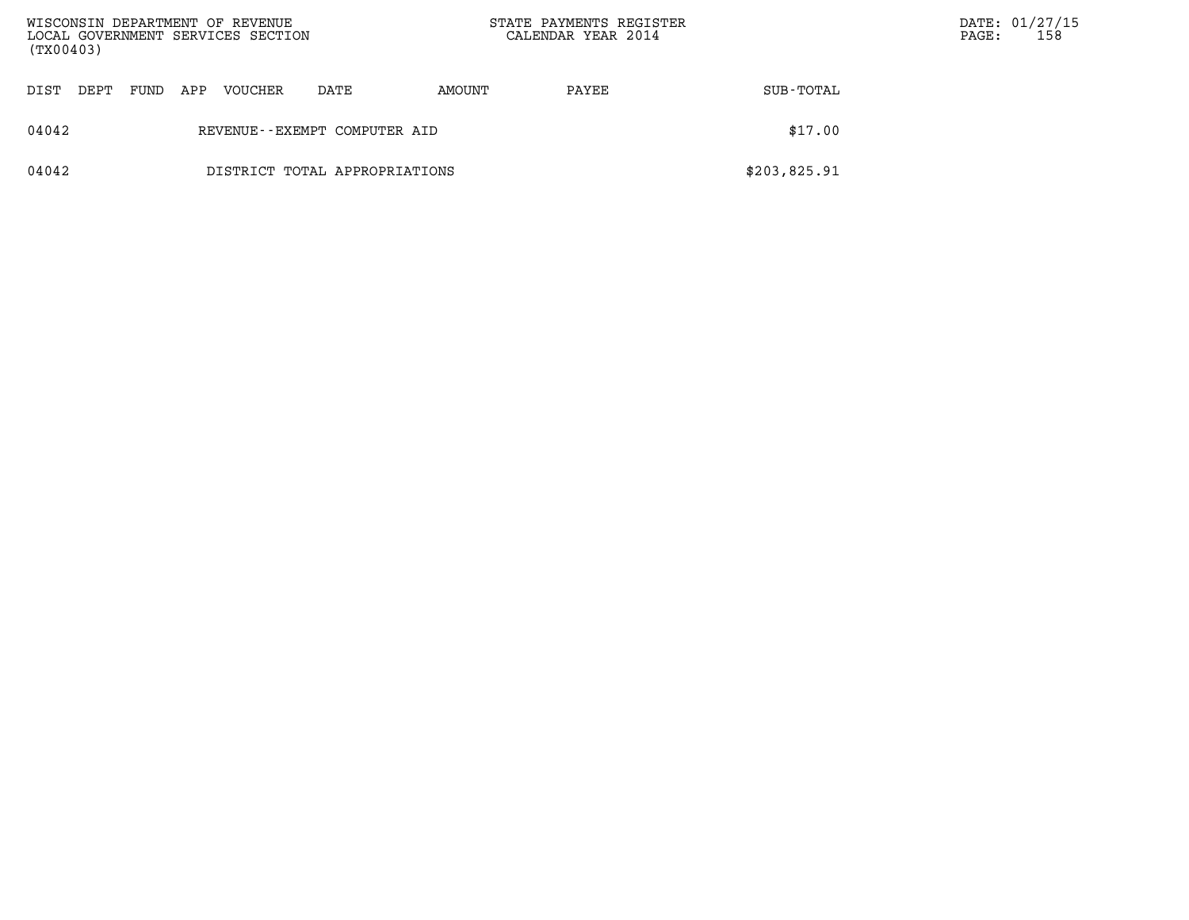| WISCONSIN DEPARTMENT OF REVENUE<br>LOCAL GOVERNMENT SERVICES SECTION<br>(TX00403) |                                         |      |     |                |                               | STATE PAYMENTS REGISTER<br>CALENDAR YEAR 2014 |       |              | PAGE: | DATE: 01/27/15<br>158 |
|-----------------------------------------------------------------------------------|-----------------------------------------|------|-----|----------------|-------------------------------|-----------------------------------------------|-------|--------------|-------|-----------------------|
| DIST                                                                              | DEPT                                    | FUND | APP | <b>VOUCHER</b> | DATE                          | AMOUNT                                        | PAYEE | SUB-TOTAL    |       |                       |
| 04042                                                                             | \$17.00<br>REVENUE--EXEMPT COMPUTER AID |      |     |                |                               |                                               |       |              |       |                       |
| 04042                                                                             |                                         |      |     |                | DISTRICT TOTAL APPROPRIATIONS |                                               |       | \$203,825.91 |       |                       |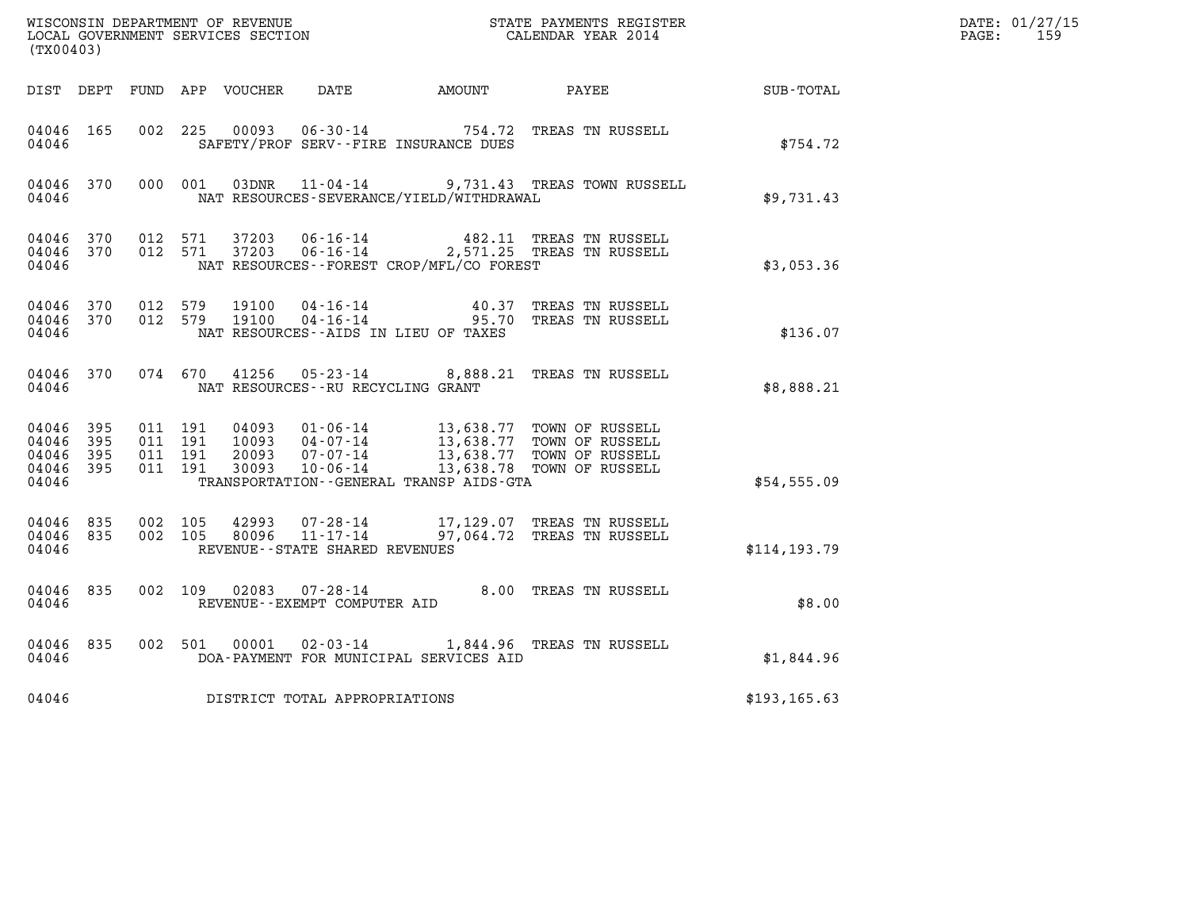| (TX00403)                                     |                     |                                          |         |                                   |                                              | WISCONSIN DEPARTMENT OF REVENUE<br>LOCAL GOVERNMENT SERVICES SECTION<br>CALENDAR YEAR 2014                                                                                               |                                                     | DATE: 01/27/15<br>$\mathtt{PAGE:}$<br>159 |
|-----------------------------------------------|---------------------|------------------------------------------|---------|-----------------------------------|----------------------------------------------|------------------------------------------------------------------------------------------------------------------------------------------------------------------------------------------|-----------------------------------------------------|-------------------------------------------|
|                                               |                     |                                          |         |                                   | DIST DEPT FUND APP VOUCHER DATE AMOUNT PAYEE |                                                                                                                                                                                          | $\begin{array}{lcl} \text{SUB - TOTAL} \end{array}$ |                                           |
| 04046 165<br>04046                            |                     | 002 225                                  |         |                                   | SAFETY/PROF SERV--FIRE INSURANCE DUES        | 00093  06-30-14  754.72  TREAS TN RUSSELL                                                                                                                                                | \$754.72                                            |                                           |
| 04046                                         |                     |                                          |         |                                   | NAT RESOURCES-SEVERANCE/YIELD/WITHDRAWAL     | 04046 370 000 001 03DNR 11-04-14 9,731.43 TREAS TOWN RUSSELL                                                                                                                             | \$9,731.43                                          |                                           |
| 04046                                         | 04046 370           | 04046 370 012 571                        | 012 571 |                                   | NAT RESOURCES--FOREST CROP/MFL/CO FOREST     | 37203  06-16-14  482.11 TREAS TN RUSSELL<br>37203  06-16-14  2,571.25 TREAS TN RUSSELL                                                                                                   | \$3,053.36                                          |                                           |
| 04046                                         | 04046 370           | 04046 370 012 579                        | 012 579 |                                   | NAT RESOURCES--AIDS IN LIEU OF TAXES         | 19100  04-16-14  40.37 TREAS TN RUSSELL<br>19100  04-16-14  95.70 TREAS TN RUSSELL                                                                                                       | \$136.07                                            |                                           |
| 04046                                         |                     |                                          |         | NAT RESOURCES--RU RECYCLING GRANT |                                              | 04046 370 074 670 41256 05-23-14 8,888.21 TREAS TN RUSSELL                                                                                                                               | \$8,888.21                                          |                                           |
| 04046 395<br>04046<br>04046<br>04046<br>04046 | 395<br>395<br>- 395 | 011 191<br>011 191<br>011 191<br>011 191 |         |                                   | TRANSPORTATION - - GENERAL TRANSP AIDS - GTA | 04093  01-06-14  13,638.77  TOWN OF RUSSELL<br>10093  04-07-14  13,638.77  TOWN OF RUSSELL<br>20093  07-07-14  13,638.77  TOWN OF RUSSELL<br>30093  10-06-14  13,638.78  TOWN OF RUSSELL | \$54,555.09                                         |                                           |
| 04046<br>04046                                | 04046 835<br>835    | 002 105<br>002 105                       |         | REVENUE--STATE SHARED REVENUES    |                                              | 42993 07-28-14 17,129.07 TREAS TN RUSSELL<br>80096 11-17-14 97,064.72 TREAS TN RUSSELL                                                                                                   | \$114, 193.79                                       |                                           |
| 04046 835<br>04046                            |                     |                                          |         | REVENUE--EXEMPT COMPUTER AID      |                                              | 002 109 02083 07-28-14 8.00 TREAS TN RUSSELL                                                                                                                                             | \$8.00                                              |                                           |
| 04046                                         | 04046 835           |                                          |         |                                   | DOA-PAYMENT FOR MUNICIPAL SERVICES AID       | 002 501 00001 02-03-14 1,844.96 TREAS TN RUSSELL                                                                                                                                         | \$1,844.96                                          |                                           |
| 04046                                         |                     |                                          |         | DISTRICT TOTAL APPROPRIATIONS     |                                              |                                                                                                                                                                                          | \$193, 165.63                                       |                                           |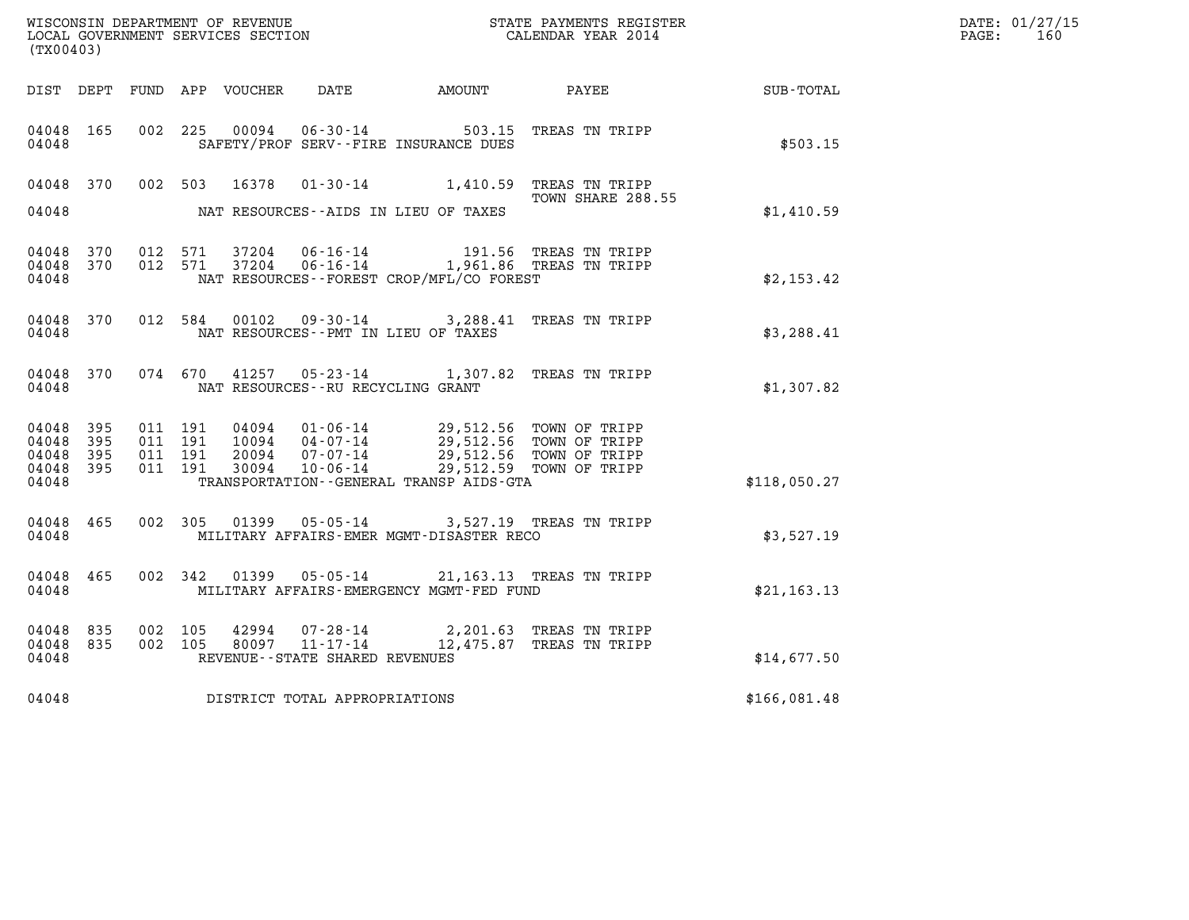|                                               |                    |                                          |         | WISCONSIN DEPARTMENT OF REVENUE<br>LOCAL GOVERNMENT SERVICES SECTION |                                                                    |                                                                                             | STATE PAYMENTS REGISTER<br>CALENDAR YEAR 2014                                 |              | DATE: 01/27/15<br>$\mathtt{PAGE}$ :<br>160 |
|-----------------------------------------------|--------------------|------------------------------------------|---------|----------------------------------------------------------------------|--------------------------------------------------------------------|---------------------------------------------------------------------------------------------|-------------------------------------------------------------------------------|--------------|--------------------------------------------|
| (TX00403)                                     |                    |                                          |         |                                                                      |                                                                    |                                                                                             |                                                                               |              |                                            |
|                                               |                    |                                          |         | DIST DEPT FUND APP VOUCHER DATE                                      |                                                                    | <b>AMOUNT</b>                                                                               | <b>PAYEE</b>                                                                  | SUB - TOTAL  |                                            |
| 04048 165<br>04048                            |                    | 002 225                                  |         | 00094                                                                | $06 - 30 - 14$                                                     | SAFETY/PROF SERV--FIRE INSURANCE DUES                                                       | 503.15 TREAS TN TRIPP                                                         | \$503.15     |                                            |
| 04048 370                                     |                    |                                          | 002 503 |                                                                      |                                                                    | 16378  01-30-14  1,410.59  TREAS TN TRIPP                                                   |                                                                               |              |                                            |
| 04048                                         |                    |                                          |         |                                                                      |                                                                    | NAT RESOURCES--AIDS IN LIEU OF TAXES                                                        | TOWN SHARE 288.55                                                             | \$1,410.59   |                                            |
| 04048 370<br>04048<br>04048                   | 370                | 012 571<br>012 571                       |         | 37204<br>37204                                                       | 06-16-14                                                           | 06-16-14 1,961.86 TREAS TN TRIPP<br>NAT RESOURCES--FOREST CROP/MFL/CO FOREST                | 191.56 TREAS TN TRIPP                                                         | \$2,153.42   |                                            |
| 04048 370<br>04048                            |                    |                                          | 012 584 |                                                                      |                                                                    | 00102  09-30-14  3,288.41  TREAS TN TRIPP<br>NAT RESOURCES - PMT IN LIEU OF TAXES           |                                                                               | \$3,288.41   |                                            |
| 04048 370<br>04048                            |                    |                                          | 074 670 |                                                                      | NAT RESOURCES - - RU RECYCLING GRANT                               | 41257  05-23-14  1,307.82  TREAS TN TRIPP                                                   |                                                                               | \$1,307.82   |                                            |
| 04048 395<br>04048<br>04048<br>04048<br>04048 | 395<br>395<br>-395 | 011 191<br>011 191<br>011 191<br>011 191 |         | 10094<br>20094<br>30094                                              | $04 - 07 - 14$<br>07-07-14<br>10-06-14                             | 04094  01-06-14  29,512.56  TOWN OF TRIPP<br>TRANSPORTATION - - GENERAL TRANSP AIDS - GTA   | 29,512.56 TOWN OF TRIPP<br>29,512.56 TOWN OF TRIPP<br>29,512.59 TOWN OF TRIPP | \$118,050.27 |                                            |
| 04048 465<br>04048                            |                    |                                          |         |                                                                      |                                                                    | 002 305 01399 05-05-14 3,527.19 TREAS TN TRIPP<br>MILITARY AFFAIRS-EMER MGMT-DISASTER RECO  |                                                                               | \$3,527.19   |                                            |
| 04048 465<br>04048                            |                    |                                          |         |                                                                      |                                                                    | 002 342 01399 05-05-14 21,163.13 TREAS TN TRIPP<br>MILITARY AFFAIRS-EMERGENCY MGMT-FED FUND |                                                                               | \$21, 163.13 |                                            |
| 04048<br>04048<br>04048                       | 835<br>835         | 002 105<br>002 105                       |         |                                                                      | 42994 07-28-14<br>80097 11-17-14<br>REVENUE--STATE SHARED REVENUES |                                                                                             | 2,201.63 TREAS TN TRIPP<br>12,475.87 TREAS TN TRIPP                           | \$14,677.50  |                                            |
| 04048                                         |                    |                                          |         |                                                                      | DISTRICT TOTAL APPROPRIATIONS                                      |                                                                                             |                                                                               | \$166,081.48 |                                            |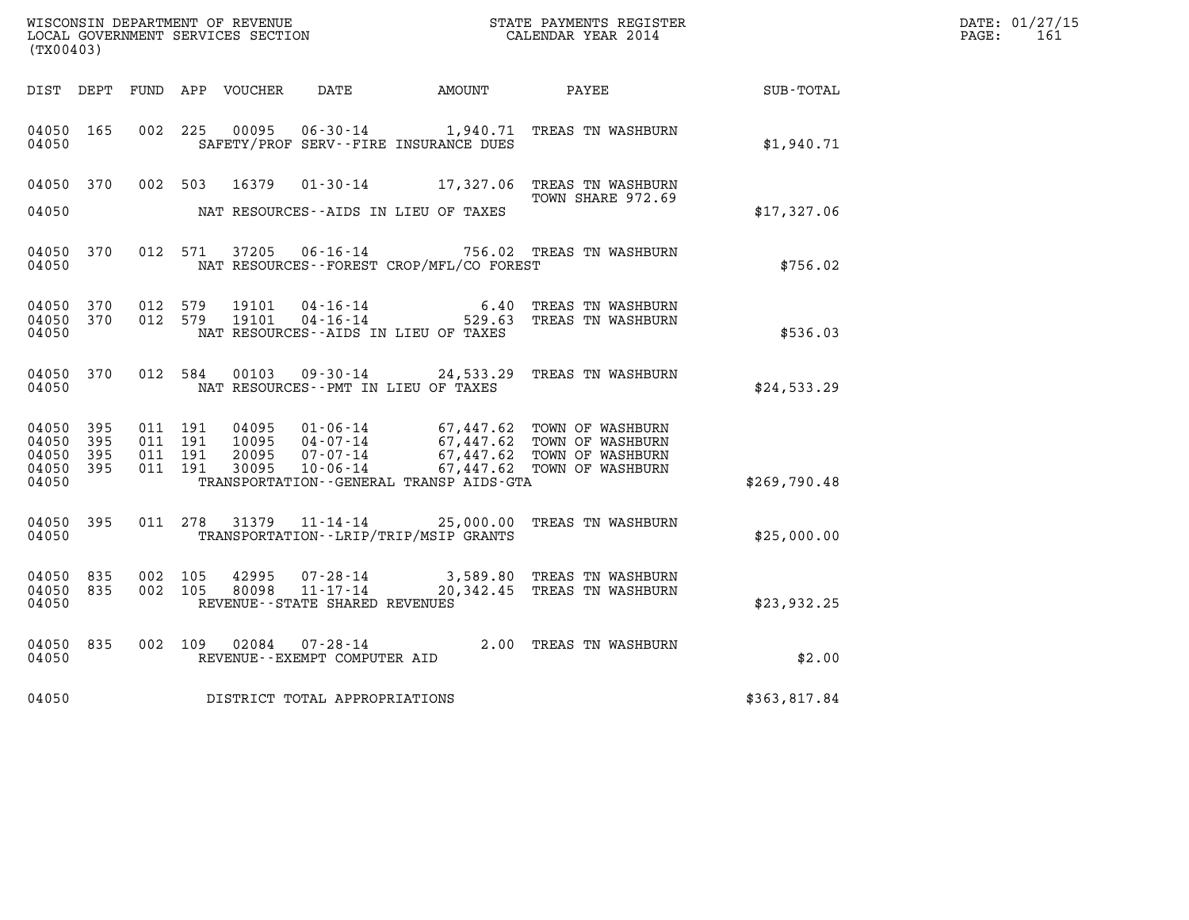| WISCONSIN DEPARTMENT OF REVENUE<br>LOCAL GOVERNMENT SERVICES SECTION<br>(TX00403) |                          |         |                               |                                  |                                |                                             | STATE PAYMENTS REGISTER<br>CALENDAR YEAR 2014                                                                                                            |              | DATE: 01/27/15<br>PAGE: 161 |
|-----------------------------------------------------------------------------------|--------------------------|---------|-------------------------------|----------------------------------|--------------------------------|---------------------------------------------|----------------------------------------------------------------------------------------------------------------------------------------------------------|--------------|-----------------------------|
|                                                                                   |                          |         |                               | DIST DEPT FUND APP VOUCHER  DATE |                                | <b>AMOUNT</b>                               | <b>PAYEE</b>                                                                                                                                             | SUB-TOTAL    |                             |
| 04050 165<br>04050                                                                |                          |         | 002 225                       | 00095                            |                                | SAFETY/PROF SERV--FIRE INSURANCE DUES       | 06-30-14 1,940.71 TREAS TN WASHBURN                                                                                                                      | \$1,940.71   |                             |
| 04050                                                                             |                          |         |                               |                                  |                                | NAT RESOURCES--AIDS IN LIEU OF TAXES        | 04050 370 002 503 16379 01-30-14 17,327.06 TREAS TN WASHBURN<br>TOWN SHARE 972.69                                                                        | \$17,327.06  |                             |
| 04050                                                                             | 04050 370                |         |                               |                                  |                                | NAT RESOURCES - - FOREST CROP/MFL/CO FOREST | 012 571 37205 06-16-14 756.02 TREAS TN WASHBURN                                                                                                          | \$756.02     |                             |
| 04050 370<br>04050 370<br>04050                                                   |                          |         |                               | 012 579 19101<br>012 579 19101   |                                | NAT RESOURCES -- AIDS IN LIEU OF TAXES      | 04-16-14 6.40 TREAS TN WASHBURN<br>04-16-14 529.63 TREAS TN WASHBURN                                                                                     | \$536.03     |                             |
| 04050 370<br>04050                                                                |                          |         |                               |                                  |                                | NAT RESOURCES--PMT IN LIEU OF TAXES         | 012 584 00103 09-30-14 24,533.29 TREAS TN WASHBURN                                                                                                       | \$24,533.29  |                             |
| 04050<br>04050<br>04050<br>04050<br>04050                                         | 395<br>395<br>395<br>395 | 011 191 | 011 191<br>011 191<br>011 191 | 04095<br>10095<br>20095<br>30095 |                                | TRANSPORTATION--GENERAL TRANSP AIDS-GTA     | 01-06-14 67,447.62 TOWN OF WASHBURN<br>04-07-14 67,447.62 TOWN OF WASHBURN<br>07-07-14 67,447.62 TOWN OF WASHBURN<br>10-06-14 67,447.62 TOWN OF WASHBURN | \$269,790.48 |                             |
| 04050 395<br>04050                                                                |                          |         |                               |                                  |                                | TRANSPORTATION - - LRIP/TRIP/MSIP GRANTS    | 011 278 31379 11-14-14 25,000.00 TREAS TN WASHBURN                                                                                                       | \$25,000.00  |                             |
| 04050 835<br>04050<br>04050                                                       | 835                      |         |                               |                                  | REVENUE--STATE SHARED REVENUES |                                             | 002 105 42995 07-28-14 3,589.80 TREAS TN WASHBURN 002 105 80098 11-17-14 20,342.45 TREAS TN WASHBURN                                                     | \$23,932.25  |                             |
| 04050 835<br>04050                                                                |                          |         |                               |                                  | REVENUE--EXEMPT COMPUTER AID   |                                             | 002 109 02084 07-28-14 2.00 TREAS TN WASHBURN                                                                                                            | \$2.00       |                             |
| 04050                                                                             |                          |         |                               |                                  | DISTRICT TOTAL APPROPRIATIONS  |                                             |                                                                                                                                                          | \$363,817.84 |                             |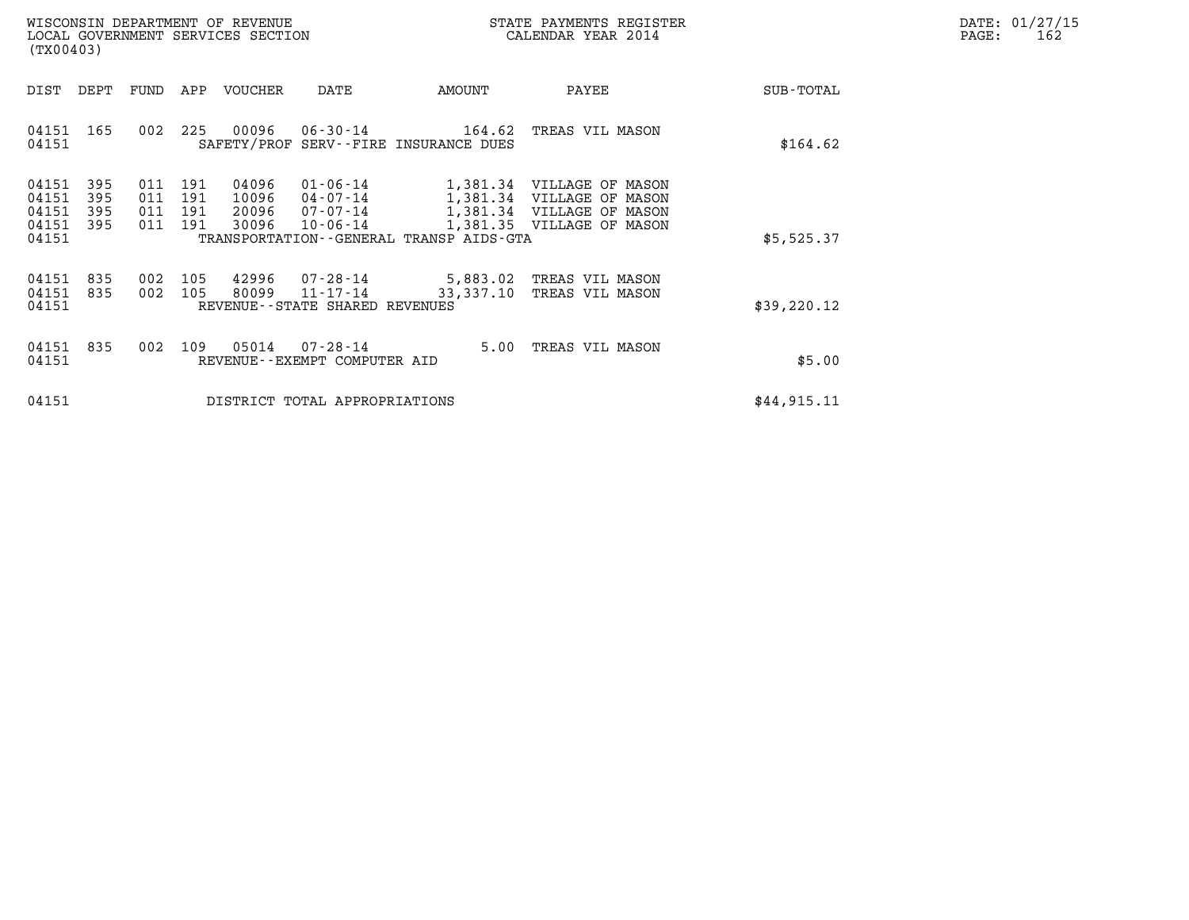| DATE: | 01/27/15 |
|-------|----------|
| PAGE: | 162      |

| WISCONSIN DEPARTMENT OF REVENUE<br>LOCAL GOVERNMENT SERVICES SECTION<br>(TX00403) |                                           |                          |                          |                          |                                  |                                                                | STATE PAYMENTS REGISTER<br>CALENDAR YEAR 2014                  |                                                                                                                  |             | DATE: 01/27/15<br>PAGE:<br>162 |
|-----------------------------------------------------------------------------------|-------------------------------------------|--------------------------|--------------------------|--------------------------|----------------------------------|----------------------------------------------------------------|----------------------------------------------------------------|------------------------------------------------------------------------------------------------------------------|-------------|--------------------------------|
|                                                                                   | DIST                                      | DEPT                     | FUND                     | APP                      | VOUCHER                          | DATE                                                           | AMOUNT                                                         | PAYEE                                                                                                            | SUB-TOTAL   |                                |
|                                                                                   | 04151 165<br>04151                        |                          | 002                      | 225                      | 00096                            |                                                                | $06 - 30 - 14$ 164.62<br>SAFETY/PROF SERV--FIRE INSURANCE DUES | TREAS VIL MASON                                                                                                  | \$164.62    |                                |
|                                                                                   | 04151<br>04151<br>04151<br>04151<br>04151 | 395<br>395<br>395<br>395 | 011<br>011<br>011<br>011 | 191<br>191<br>191<br>191 | 04096<br>10096<br>20096<br>30096 | $01 - 06 - 14$<br>$04 - 07 - 14$<br>07-07-14<br>$10 - 06 - 14$ | TRANSPORTATION--GENERAL TRANSP AIDS-GTA                        | 1,381.34 VILLAGE OF MASON<br>1,381.34 VILLAGE OF MASON<br>1,381.34 VILLAGE OF MASON<br>1,381.35 VILLAGE OF MASON | \$5,525.37  |                                |
|                                                                                   | 04151<br>04151<br>04151                   | 835<br>835               | 002<br>002               | 105<br>105               | 42996<br>80099                   | 07-28-14<br>11-17-14<br>REVENUE--STATE SHARED REVENUES         | 33,337.10                                                      | 5,883.02 TREAS VIL MASON<br>TREAS VIL MASON                                                                      | \$39,220.12 |                                |
|                                                                                   | 04151<br>04151                            | 835                      | 002                      | 109                      | 05014                            | 07-28-14<br>REVENUE - - EXEMPT COMPUTER AID                    |                                                                | 5.00 TREAS VIL MASON                                                                                             | \$5.00      |                                |
|                                                                                   | 04151                                     |                          |                          |                          |                                  | DISTRICT TOTAL APPROPRIATIONS                                  |                                                                | \$44,915.11                                                                                                      |             |                                |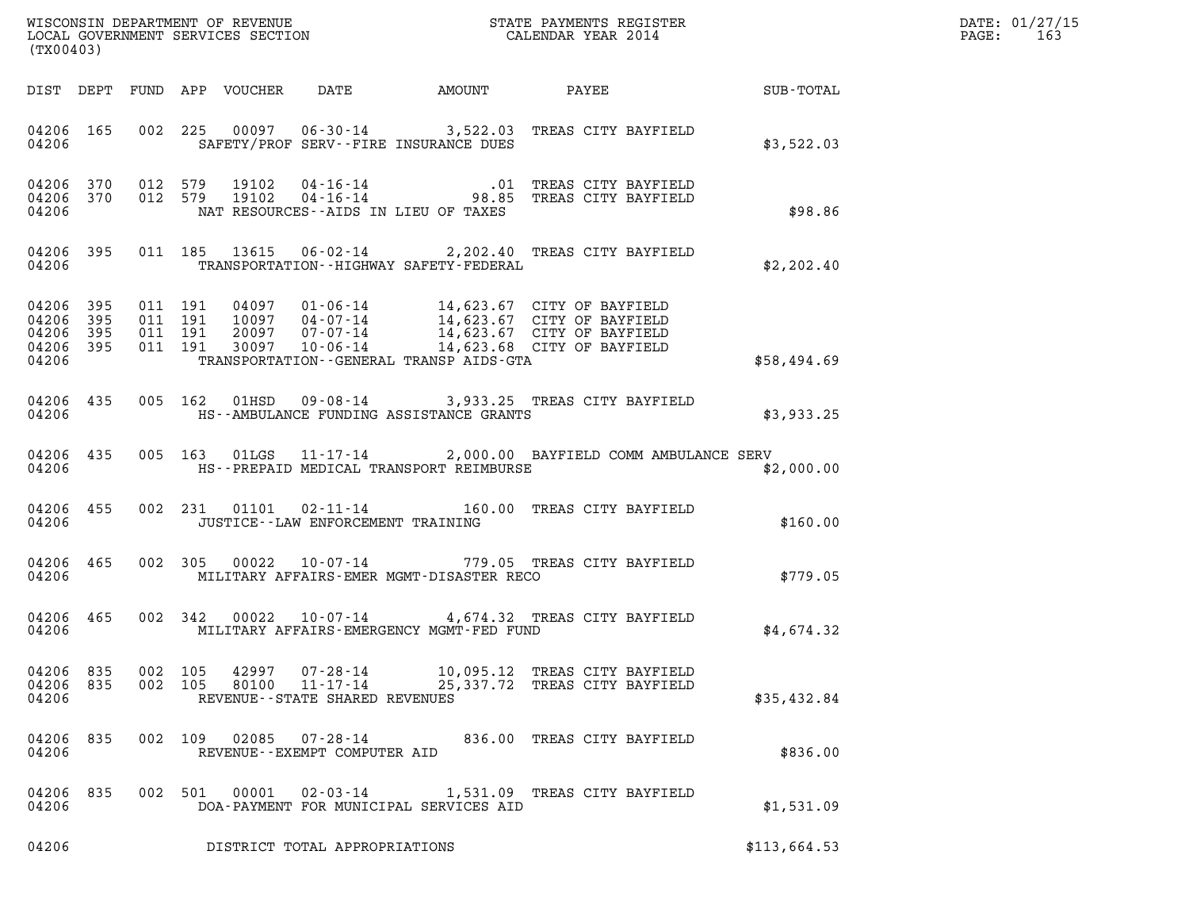| (TX00403)                                                 |         |                           |                                                        |                                                | WISCONSIN DEPARTMENT OF REVENUE<br>LOCAL GOVERNMENT SERVICES SECTION<br>(TWOO403)                                                                                                                                |              | DATE: 01/27/15<br>$\mathtt{PAGE:}$<br>163 |
|-----------------------------------------------------------|---------|---------------------------|--------------------------------------------------------|------------------------------------------------|------------------------------------------------------------------------------------------------------------------------------------------------------------------------------------------------------------------|--------------|-------------------------------------------|
|                                                           |         |                           |                                                        |                                                | DIST DEPT FUND APP VOUCHER DATE AMOUNT PAYEE SUB-TOTAL                                                                                                                                                           |              |                                           |
|                                                           | 04206   |                           |                                                        | SAFETY/PROF SERV--FIRE INSURANCE DUES          | 04206 165 002 225 00097 06-30-14 3,522.03 TREAS CITY BAYFIELD                                                                                                                                                    | \$3,522.03   |                                           |
| 04206                                                     |         |                           |                                                        | NAT RESOURCES--AIDS IN LIEU OF TAXES           | 04206 370 012 579 19102 04-16-14 .01 TREAS CITY BAYFIELD<br>04206 370 012 579 19102 04-16-14 98.85 TREAS CITY BAYFIELD                                                                                           | \$98.86      |                                           |
|                                                           |         |                           |                                                        | 04206 TRANSPORTATION--HIGHWAY SAFETY-FEDERAL   | 04206 395 011 185 13615 06-02-14 2,202.40 TREAS CITY BAYFIELD                                                                                                                                                    | \$2,202.40   |                                           |
| 04206 395<br>04206 395<br>04206 395<br>04206 395<br>04206 |         |                           |                                                        | TRANSPORTATION - - GENERAL TRANSP AIDS - GTA   | 011 191 04097 01-06-14 14,623.67 CITY OF BAYFIELD<br>011 191 10097 04-07-14 14,623.67 CITY OF BAYFIELD<br>011 191 20097 07-07-14 14,623.67 CITY OF BAYFIELD<br>011 191 30097 10-06-14 14,623.68 CITY OF BAYFIELD | \$58,494.69  |                                           |
|                                                           |         |                           |                                                        | 04206 MS--AMBULANCE FUNDING ASSISTANCE GRANTS  | 04206 435 005 162 01HSD 09-08-14 3,933.25 TREAS CITY BAYFIELD                                                                                                                                                    | \$3,933.25   |                                           |
|                                                           |         |                           |                                                        |                                                | 04206 435 005 163 01LGS 11-17-14 2,000.00 BAYFIELD COMM AMBULANCE SERV<br>04206 THS--PREPAID MEDICAL TRANSPORT REIMBURSE                                                                                         | \$2,000.00   |                                           |
| 04206                                                     |         |                           | JUSTICE - - LAW ENFORCEMENT TRAINING                   |                                                | 04206 455 002 231 01101 02-11-14 160.00 TREAS CITY BAYFIELD                                                                                                                                                      | \$160.00     |                                           |
|                                                           |         |                           |                                                        | 04206 MILITARY AFFAIRS-EMER MGMT-DISASTER RECO | 04206 465 002 305 00022 10-07-14 779.05 TREAS CITY BAYFIELD                                                                                                                                                      | \$779.05     |                                           |
| 04206 465<br>04206                                        |         |                           |                                                        | MILITARY AFFAIRS-EMERGENCY MGMT-FED FUND       | 002 342 00022 10-07-14 4,674.32 TREAS CITY BAYFIELD                                                                                                                                                              | \$4,674.32   |                                           |
| 04206 835<br>04206 835<br>04206                           | 002 105 | 42997<br>002 105<br>80100 | 07-28-14<br>11-17-14<br>REVENUE--STATE SHARED REVENUES |                                                | 10,095.12 TREAS CITY BAYFIELD<br>25,337.72 TREAS CITY BAYFIELD                                                                                                                                                   | \$35,432.84  |                                           |
| 04206 835<br>04206                                        |         | 002 109<br>02085          | 07-28-14<br>REVENUE--EXEMPT COMPUTER AID               |                                                | 836.00 TREAS CITY BAYFIELD                                                                                                                                                                                       | \$836.00     |                                           |
| 04206 835<br>04206                                        |         | 00001<br>002 501          | 02-03-14                                               | DOA-PAYMENT FOR MUNICIPAL SERVICES AID         | 1,531.09 TREAS CITY BAYFIELD                                                                                                                                                                                     | \$1,531.09   |                                           |
| 04206                                                     |         |                           | DISTRICT TOTAL APPROPRIATIONS                          |                                                |                                                                                                                                                                                                                  | \$113,664.53 |                                           |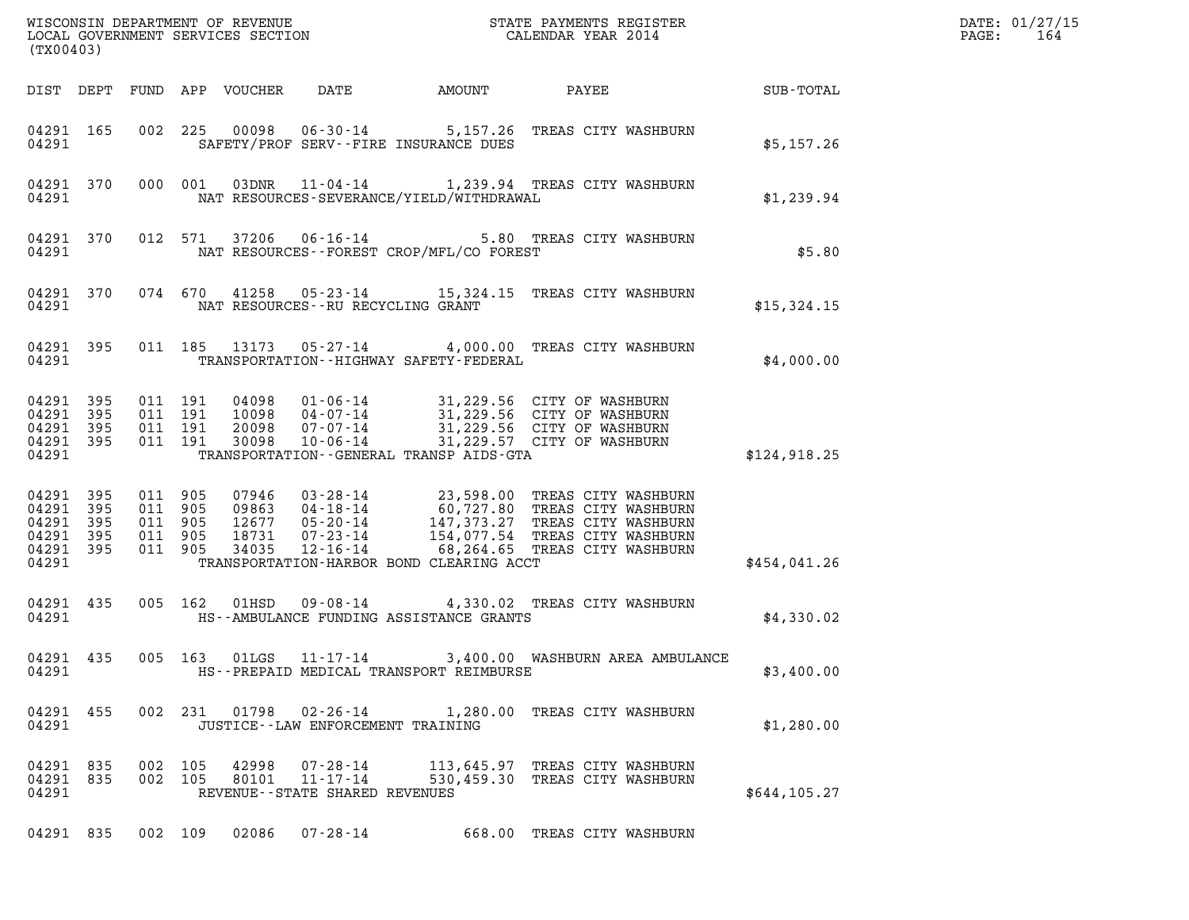| (TX00403)                                                              |                    |                               |                            |                                                                       |                                              |                                                                                                                                                                                                                                            |               | DATE: 01/27/15<br>$\mathtt{PAGE}$ :<br>164 |
|------------------------------------------------------------------------|--------------------|-------------------------------|----------------------------|-----------------------------------------------------------------------|----------------------------------------------|--------------------------------------------------------------------------------------------------------------------------------------------------------------------------------------------------------------------------------------------|---------------|--------------------------------------------|
|                                                                        |                    |                               | DIST DEPT FUND APP VOUCHER | DATE                                                                  | AMOUNT                                       | PAYEE SUB-TOTAL                                                                                                                                                                                                                            |               |                                            |
| 04291 165<br>04291                                                     |                    |                               |                            |                                                                       | SAFETY/PROF SERV--FIRE INSURANCE DUES        | 002 225 00098 06-30-14 5,157.26 TREAS CITY WASHBURN                                                                                                                                                                                        | \$5,157.26    |                                            |
| 04291 370<br>04291                                                     |                    |                               |                            |                                                                       | NAT RESOURCES-SEVERANCE/YIELD/WITHDRAWAL     | 000 001 03DNR 11-04-14 1,239.94 TREAS CITY WASHBURN                                                                                                                                                                                        | \$1,239.94    |                                            |
| 04291 370<br>04291                                                     |                    |                               |                            |                                                                       | NAT RESOURCES--FOREST CROP/MFL/CO FOREST     | 012 571 37206 06-16-14 5.80 TREAS CITY WASHBURN                                                                                                                                                                                            | \$5.80        |                                            |
| 04291 370<br>04291                                                     |                    |                               |                            |                                                                       | NAT RESOURCES--RU RECYCLING GRANT            | 074 670 41258 05-23-14 15,324.15 TREAS CITY WASHBURN                                                                                                                                                                                       | \$15,324.15   |                                            |
| 04291 395<br>04291                                                     |                    |                               |                            |                                                                       | TRANSPORTATION - - HIGHWAY SAFETY - FEDERAL  | 011 185 13173 05-27-14 4,000.00 TREAS CITY WASHBURN                                                                                                                                                                                        | \$4,000.00    |                                            |
| 04291 395 011 191<br>04291 395<br>04291 395<br>04291 395<br>04291      |                    | 011 191<br>011 191<br>011 191 |                            |                                                                       | TRANSPORTATION - - GENERAL TRANSP AIDS - GTA | 04098 01-06-14 31,229.56 CITY OF WASHBURN<br>10098 04-07-14 31,229.56 CITY OF WASHBURN<br>20098 07-07-14 31,229.56 CITY OF WASHBURN<br>30098 10-06-14 31,229.57 CITY OF WASHBURN                                                           | \$124,918.25  |                                            |
| 04291 395<br>04291 395<br>04291 395<br>04291 395<br>04291 395<br>04291 | 011 905<br>011 905 | 011 905<br>011 905<br>011 905 |                            |                                                                       | TRANSPORTATION-HARBOR BOND CLEARING ACCT     | 07946 03-28-14 23,598.00 TREAS CITY WASHBURN<br>09863 04-18-14 60,727.80 TREAS CITY WASHBURN<br>12677 05-20-14 147,373.27 TREAS CITY WASHBURN<br>18731 07-23-14 154,077.54 TREAS CITY WASHBURN<br>34035 12-16-14 68,264.65 TREAS CITY WASH | \$454,041.26  |                                            |
| 04291                                                                  |                    |                               |                            |                                                                       | HS--AMBULANCE FUNDING ASSISTANCE GRANTS      | 04291 435 005 162 01HSD 09-08-14 4,330.02 TREAS CITY WASHBURN                                                                                                                                                                              | \$4,330.02    |                                            |
| 04291 435<br>04291                                                     |                    |                               |                            |                                                                       | HS--PREPAID MEDICAL TRANSPORT REIMBURSE      | 005 163 01LGS 11-17-14 3,400.00 WASHBURN AREA AMBULANCE                                                                                                                                                                                    | \$3,400.00    |                                            |
| 04291 455<br>04291                                                     |                    |                               |                            |                                                                       | JUSTICE - - LAW ENFORCEMENT TRAINING         | 002 231 01798 02-26-14 1,280.00 TREAS CITY WASHBURN                                                                                                                                                                                        | \$1,280.00    |                                            |
| 04291 835<br>04291 835<br>04291                                        | 002 105            | 002 105                       |                            | 42998 07-28-14<br>80101 11-17-14<br>REVENUE - - STATE SHARED REVENUES |                                              | 113,645.97 TREAS CITY WASHBURN<br>530,459.30 TREAS CITY WASHBURN                                                                                                                                                                           | \$644, 105.27 |                                            |
| 04291 835                                                              |                    | 002 109                       | 02086                      | $07 - 28 - 14$                                                        |                                              | 668.00 TREAS CITY WASHBURN                                                                                                                                                                                                                 |               |                                            |